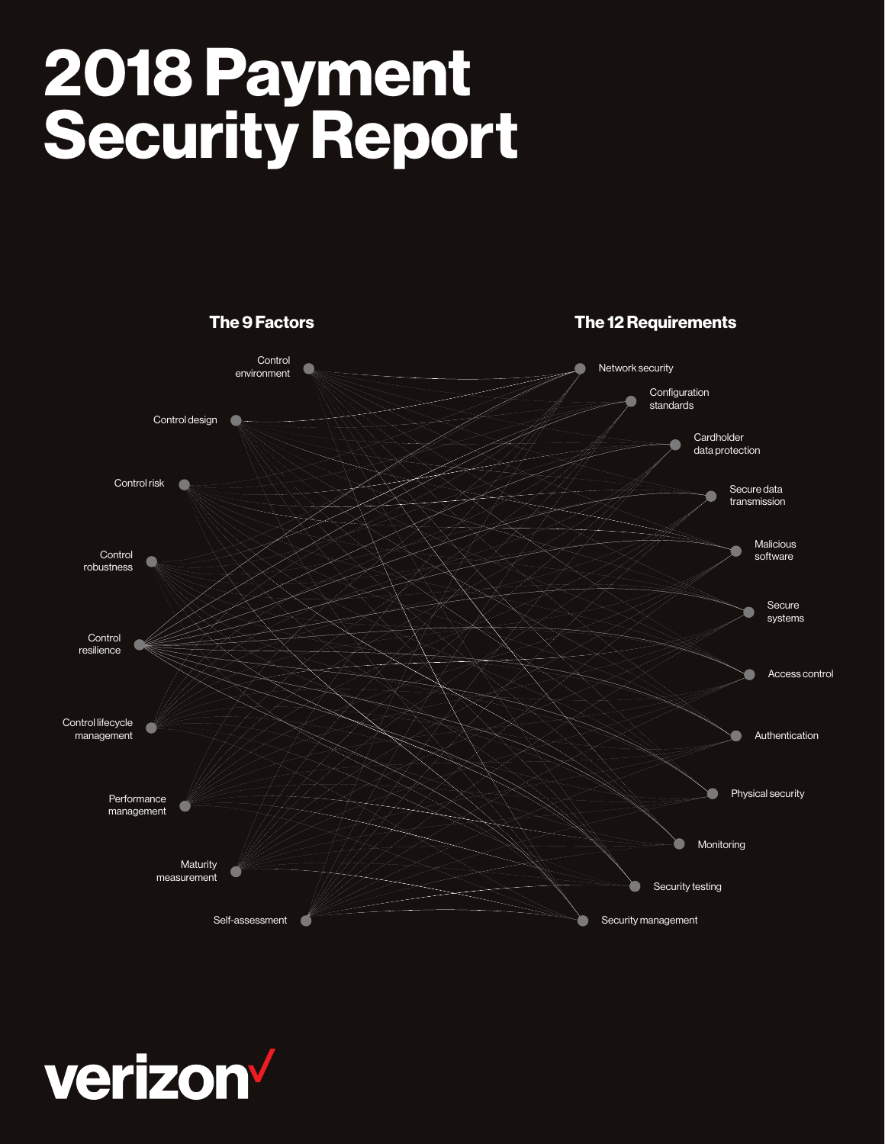# 2018 Payment Security Report



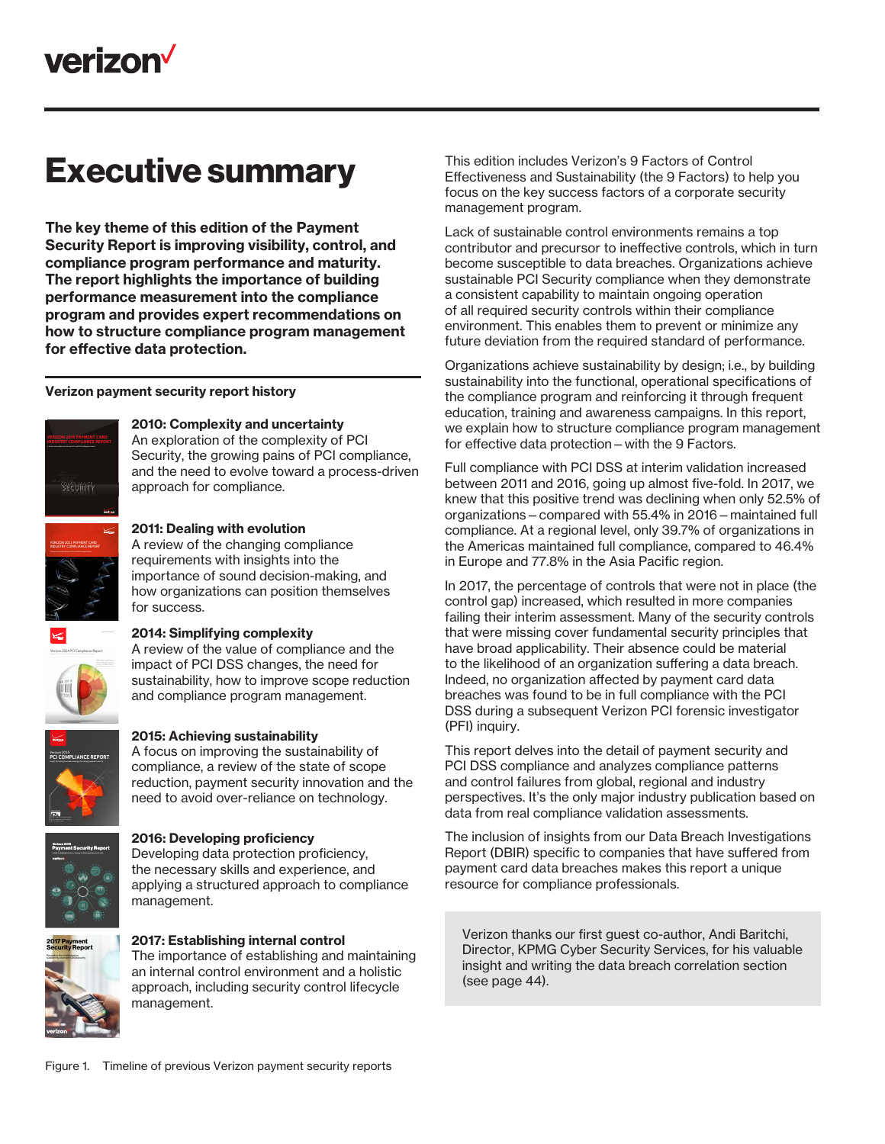## Executive summary

The key theme of this edition of the Payment Security Report is improving visibility, control, and compliance program performance and maturity. The report highlights the importance of building performance measurement into the compliance program and provides expert recommendations on how to structure compliance program management for effective data protection.

#### Verizon payment security report history



#### 2010: Complexity and uncertainty

An exploration of the complexity of PCI Security, the growing pains of PCI compliance, and the need to evolve toward a process-driven approach for compliance.



#### requirements with insights into the importance of sound decision-making, and

2011: Dealing with evolution

A review of the changing compliance

how organizations can position themselves for success.



#### *Executive Summary* 2014: Simplifying complexity

A review of the value of compliance and the impact of PCI DSS changes, the need for sustainability, how to improve scope reduction and compliance program management.



#### 2015: Achieving sustainability

A focus on improving the sustainability of compliance, a review of the state of scope reduction, payment security innovation and the need to avoid over-reliance on technology.



### 2016: Developing proficiency Developing data protection proficiency,

the necessary skills and experience, and applying a structured approach to compliance management.



#### 2017: Establishing internal control The importance of establishing and maintaining an internal control environment and a holistic approach, including security control lifecycle management.

This edition includes Verizon's 9 Factors of Control Effectiveness and Sustainability (the 9 Factors) to help you focus on the key success factors of a corporate security management program.

Lack of sustainable control environments remains a top contributor and precursor to ineffective controls, which in turn become susceptible to data breaches. Organizations achieve sustainable PCI Security compliance when they demonstrate a consistent capability to maintain ongoing operation of all required security controls within their compliance environment. This enables them to prevent or minimize any future deviation from the required standard of performance.

Organizations achieve sustainability by design; i.e., by building sustainability into the functional, operational specifications of the compliance program and reinforcing it through frequent education, training and awareness campaigns. In this report, we explain how to structure compliance program management for effective data protection—with the 9 Factors.

Full compliance with PCI DSS at interim validation increased between 2011 and 2016, going up almost five-fold. In 2017, we knew that this positive trend was declining when only 52.5% of organizations—compared with 55.4% in 2016—maintained full compliance. At a regional level, only 39.7% of organizations in the Americas maintained full compliance, compared to 46.4% in Europe and 77.8% in the Asia Pacific region.

In 2017, the percentage of controls that were not in place (the control gap) increased, which resulted in more companies failing their interim assessment. Many of the security controls that were missing cover fundamental security principles that have broad applicability. Their absence could be material to the likelihood of an organization suffering a data breach. Indeed, no organization affected by payment card data breaches was found to be in full compliance with the PCI DSS during a subsequent Verizon PCI forensic investigator (PFI) inquiry.

This report delves into the detail of payment security and PCI DSS compliance and analyzes compliance patterns and control failures from global, regional and industry perspectives. It's the only major industry publication based on data from real compliance validation assessments.

The inclusion of insights from our Data Breach Investigations Report (DBIR) specific to companies that have suffered from payment card data breaches makes this report a unique resource for compliance professionals.

Verizon thanks our first guest co-author, Andi Baritchi, Director, KPMG Cyber Security Services, for his valuable insight and writing the data breach correlation section (see page 44).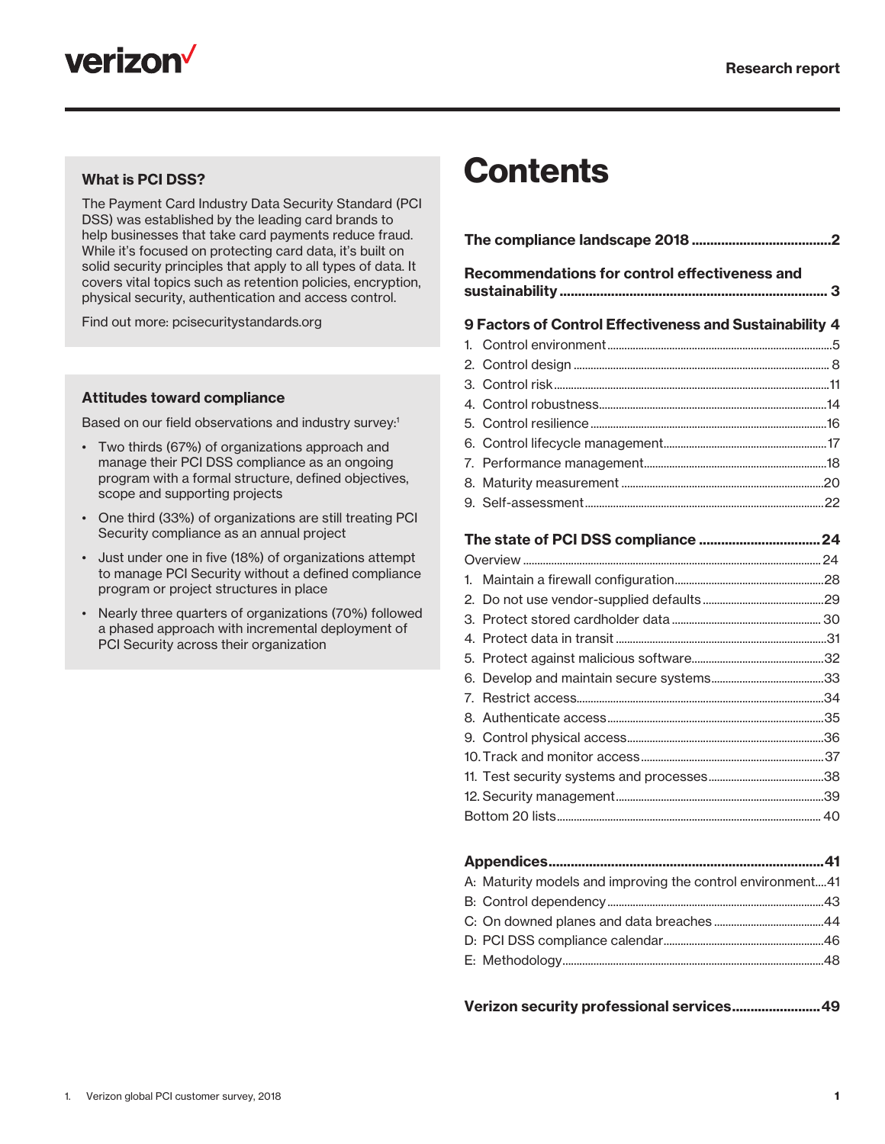



#### What is PCI DSS?

The Payment Card Industry Data Security Standard (PCI DSS) was established by the leading card brands to help businesses that take card payments reduce fraud. While it's focused on protecting card data, it's built on solid security principles that apply to all types of data. It covers vital topics such as retention policies, encryption, physical security, authentication and access control.

Find out more: pcisecuritystandards.org

#### Attitudes toward compliance

Based on our field observations and industry survey:<sup>1</sup>

- Two thirds (67%) of organizations approach and manage their PCI DSS compliance as an ongoing program with a formal structure, defined objectives, scope and supporting projects
- One third (33%) of organizations are still treating PCI Security compliance as an annual project
- Just under one in five (18%) of organizations attempt to manage PCI Security without a defined compliance program or project structures in place
- Nearly three quarters of organizations (70%) followed a phased approach with incremental deployment of PCI Security across their organization

## **Contents**

| Recommendations for control effectiveness and           |
|---------------------------------------------------------|
| 9 Factors of Control Effectiveness and Sustainability 4 |
| 1.                                                      |
|                                                         |
|                                                         |
|                                                         |
|                                                         |
|                                                         |
|                                                         |
|                                                         |
|                                                         |
|                                                         |
|                                                         |
|                                                         |
|                                                         |
|                                                         |
|                                                         |
|                                                         |
|                                                         |
|                                                         |
|                                                         |
|                                                         |
|                                                         |
|                                                         |
|                                                         |
|                                                         |
| والألام وبرابين<br>A 4.                                 |

| A: Maturity models and improving the control environment41 |  |
|------------------------------------------------------------|--|
|                                                            |  |
|                                                            |  |
|                                                            |  |
|                                                            |  |

| Verizon security professional services 49 |  |
|-------------------------------------------|--|
|-------------------------------------------|--|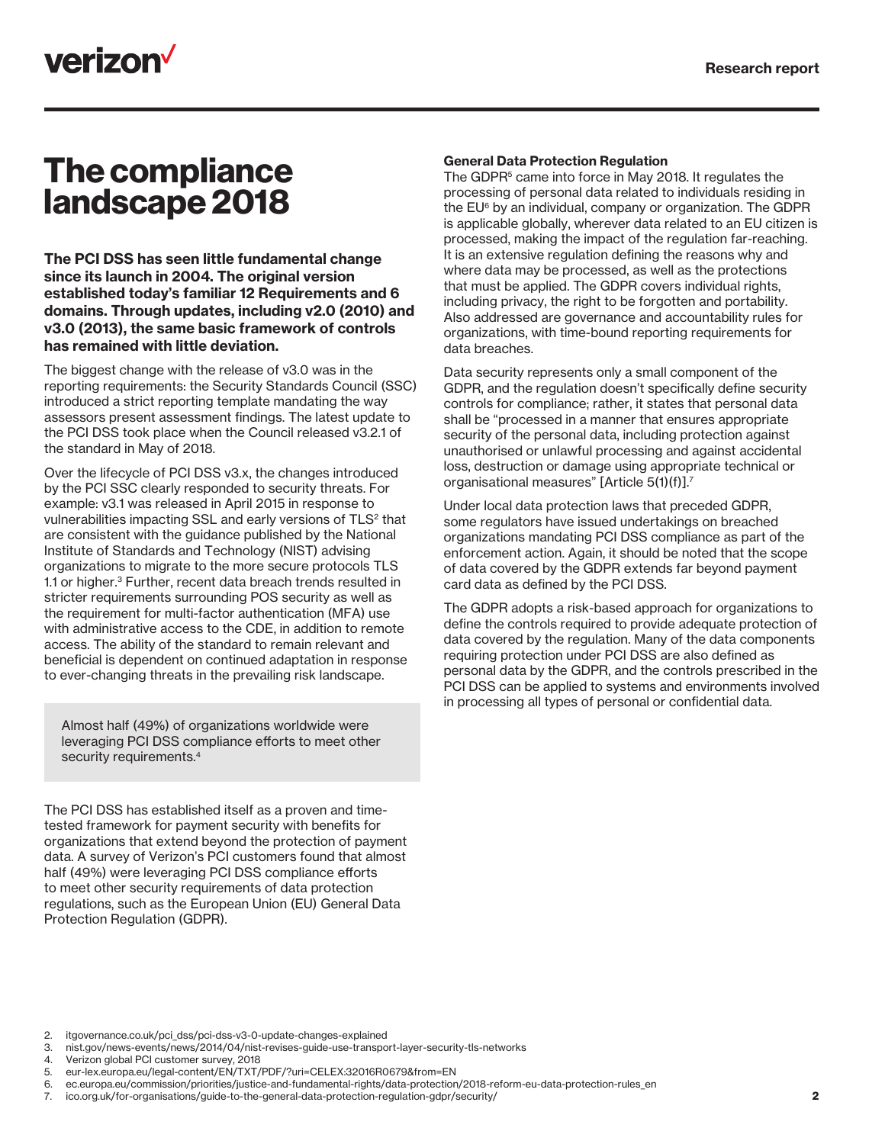

### The compliance landscape 2018

The PCI DSS has seen little fundamental change since its launch in 2004. The original version established today's familiar 12 Requirements and 6 domains. Through updates, including v2.0 (2010) and v3.0 (2013), the same basic framework of controls has remained with little deviation.

The biggest change with the release of v3.0 was in the reporting requirements: the Security Standards Council (SSC) introduced a strict reporting template mandating the way assessors present assessment findings. The latest update to the PCI DSS took place when the Council released v3.2.1 of the standard in May of 2018.

Over the lifecycle of PCI DSS v3.x, the changes introduced by the PCI SSC clearly responded to security threats. For example: v3.1 was released in April 2015 in response to vulnerabilities impacting SSL and early versions of TLS<sup>2</sup> that are consistent with the guidance published by the National Institute of Standards and Technology (NIST) advising organizations to migrate to the more secure protocols TLS 1.1 or higher.<sup>3</sup> Further, recent data breach trends resulted in stricter requirements surrounding POS security as well as the requirement for multi-factor authentication (MFA) use with administrative access to the CDE, in addition to remote access. The ability of the standard to remain relevant and beneficial is dependent on continued adaptation in response to ever-changing threats in the prevailing risk landscape.

Almost half (49%) of organizations worldwide were leveraging PCI DSS compliance efforts to meet other security requirements.<sup>4</sup>

The PCI DSS has established itself as a proven and timetested framework for payment security with benefits for organizations that extend beyond the protection of payment data. A survey of Verizon's PCI customers found that almost half (49%) were leveraging PCI DSS compliance efforts to meet other security requirements of data protection regulations, such as the European Union (EU) General Data Protection Regulation (GDPR).

#### General Data Protection Regulation

The GDPR<sup>5</sup> came into force in May 2018. It regulates the processing of personal data related to individuals residing in the EU6 by an individual, company or organization. The GDPR is applicable globally, wherever data related to an EU citizen is processed, making the impact of the regulation far-reaching. It is an extensive regulation defining the reasons why and where data may be processed, as well as the protections that must be applied. The GDPR covers individual rights, including privacy, the right to be forgotten and portability. Also addressed are governance and accountability rules for organizations, with time-bound reporting requirements for data breaches.

Data security represents only a small component of the GDPR, and the regulation doesn't specifically define security controls for compliance; rather, it states that personal data shall be "processed in a manner that ensures appropriate security of the personal data, including protection against unauthorised or unlawful processing and against accidental loss, destruction or damage using appropriate technical or organisational measures" [Article 5(1)(f)].7

Under local data protection laws that preceded GDPR, some regulators have issued undertakings on breached organizations mandating PCI DSS compliance as part of the enforcement action. Again, it should be noted that the scope of data covered by the GDPR extends far beyond payment card data as defined by the PCI DSS.

The GDPR adopts a risk-based approach for organizations to define the controls required to provide adequate protection of data covered by the regulation. Many of the data components requiring protection under PCI DSS are also defined as personal data by the GDPR, and the controls prescribed in the PCI DSS can be applied to systems and environments involved in processing all types of personal or confidential data.

2. itgovernance.co.uk/pci\_dss/pci-dss-v3-0-update-changes-explained<br>3. nist gov/news-events/news/2014/04/nist-revises-guide-use-transpo

- 4. Verizon global PCI customer survey, 2018
- 5. eur-lex.europa.eu/legal-content/EN/TXT/PDF/?uri=CELEX:32016R0679&from=EN

6. ec.europa.eu/commission/priorities/justice-and-fundamental-rights/data-protection/2018-reform-eu-data-protection-rules\_en

7. ico.org.uk/for-organisations/guide-to-the-general-data-protection-regulation-gdpr/security/

<sup>3.</sup> nist.gov/news-events/news/2014/04/nist-revises-guide-use-transport-layer-security-tls-networks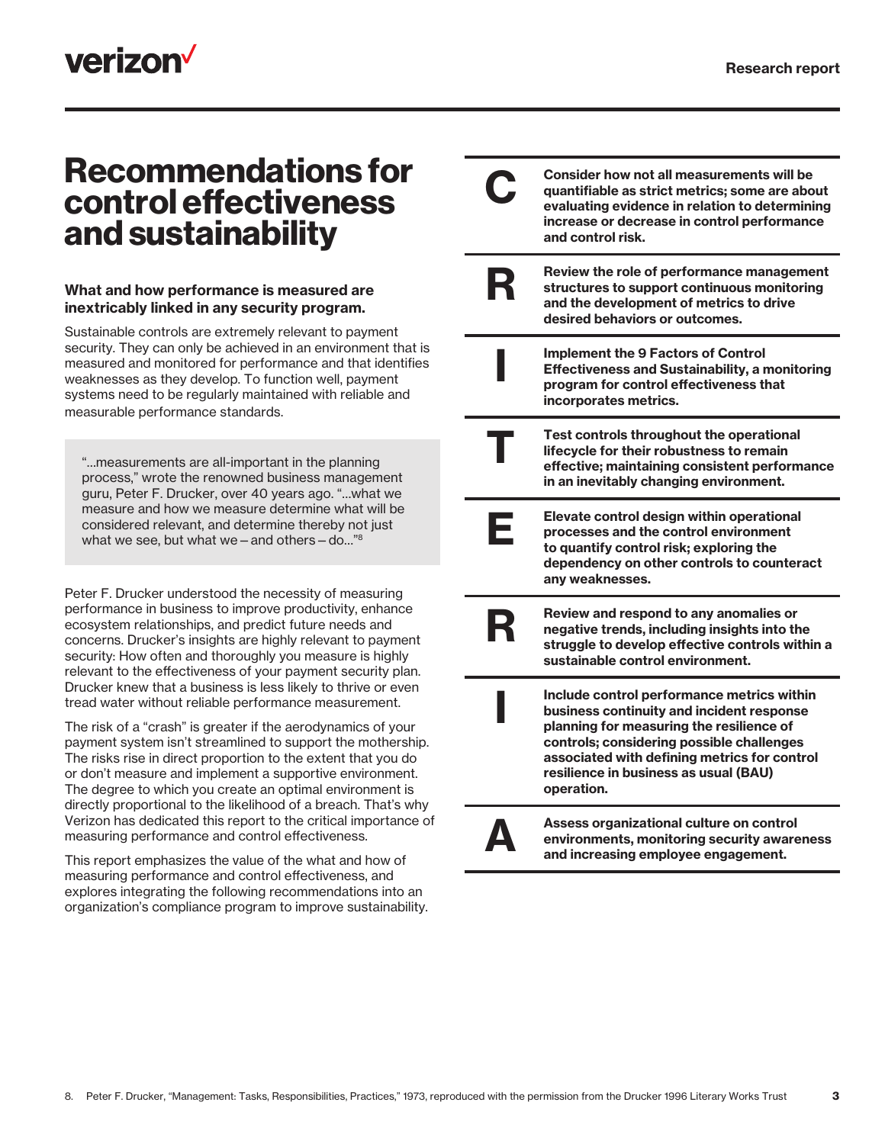## **verizon**

### Recommendations for control effectiveness and sustainability

#### What and how performance is measured are inextricably linked in any security program.

Sustainable controls are extremely relevant to payment security. They can only be achieved in an environment that is measured and monitored for performance and that identifies weaknesses as they develop. To function well, payment systems need to be regularly maintained with reliable and measurable performance standards.

"…measurements are all-important in the planning process," wrote the renowned business management guru, Peter F. Drucker, over 40 years ago. "…what we measure and how we measure determine what will be considered relevant, and determine thereby not just what we see, but what we - and others - do..."<sup>8</sup>

Peter F. Drucker understood the necessity of measuring performance in business to improve productivity, enhance ecosystem relationships, and predict future needs and concerns. Drucker's insights are highly relevant to payment security: How often and thoroughly you measure is highly relevant to the effectiveness of your payment security plan. Drucker knew that a business is less likely to thrive or even tread water without reliable performance measurement.

The risk of a "crash" is greater if the aerodynamics of your payment system isn't streamlined to support the mothership. The risks rise in direct proportion to the extent that you do or don't measure and implement a supportive environment. The degree to which you create an optimal environment is directly proportional to the likelihood of a breach. That's why Verizon has dedicated this report to the critical importance of measuring performance and control effectiveness.

This report emphasizes the value of the what and how of measuring performance and control effectiveness, and explores integrating the following recommendations into an organization's compliance program to improve sustainability.

|   | <b>Consider how not all measurements will be</b><br>quantifiable as strict metrics; some are about<br>evaluating evidence in relation to determining<br>increase or decrease in control performance<br>and control risk.                                                                |
|---|-----------------------------------------------------------------------------------------------------------------------------------------------------------------------------------------------------------------------------------------------------------------------------------------|
| R | Review the role of performance management<br>structures to support continuous monitoring<br>and the development of metrics to drive<br>desired behaviors or outcomes.                                                                                                                   |
|   | <b>Implement the 9 Factors of Control</b><br><b>Effectiveness and Sustainability, a monitoring</b><br>program for control effectiveness that<br>incorporates metrics.                                                                                                                   |
|   | Test controls throughout the operational<br>lifecycle for their robustness to remain<br>effective; maintaining consistent performance<br>in an inevitably changing environment.                                                                                                         |
| Е | Elevate control design within operational<br>processes and the control environment<br>to quantify control risk; exploring the<br>dependency on other controls to counteract<br>any weaknesses.                                                                                          |
| R | Review and respond to any anomalies or<br>negative trends, including insights into the<br>struggle to develop effective controls within a<br>sustainable control environment.                                                                                                           |
|   | Include control performance metrics within<br>business continuity and incident response<br>planning for measuring the resilience of<br>controls; considering possible challenges<br>associated with defining metrics for control<br>resilience in business as usual (BAU)<br>operation. |
|   | Assess organizational culture on control<br>environments, monitoring security awareness<br>and increasing employee engagement.                                                                                                                                                          |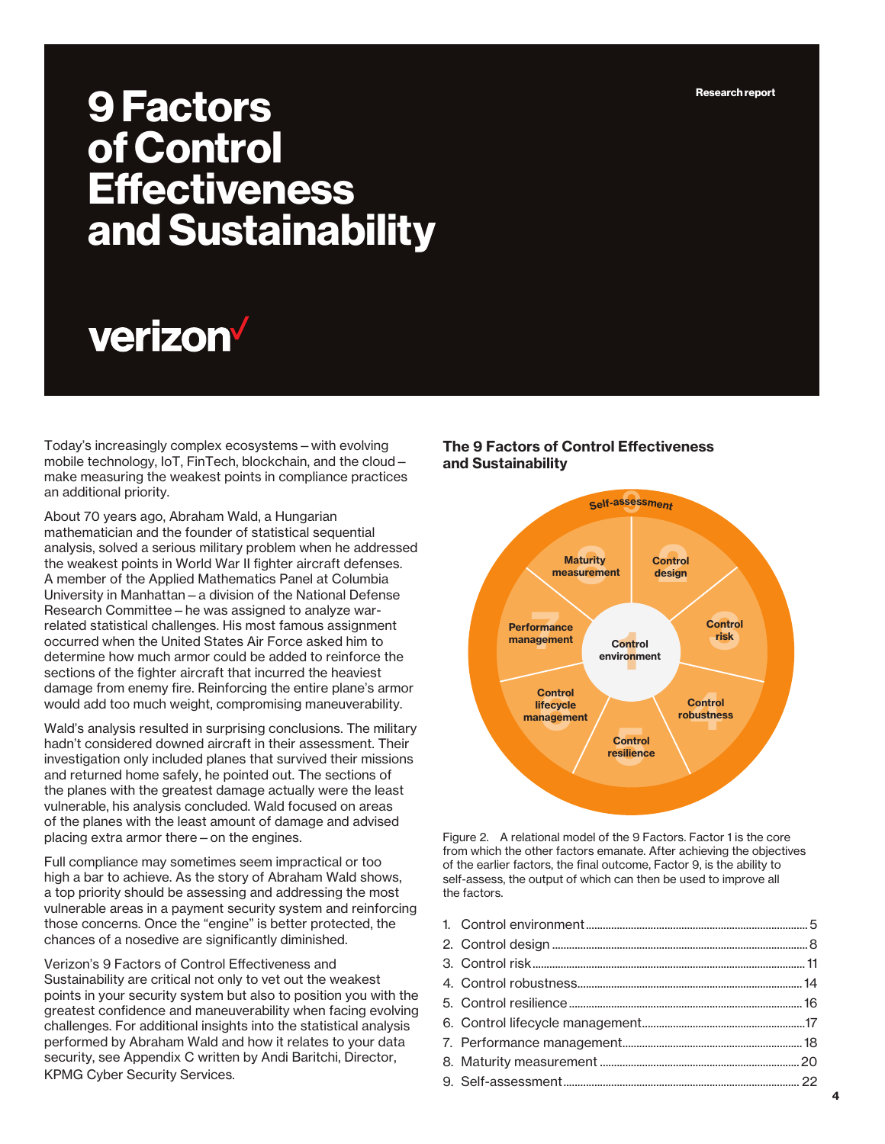Research report

## 9 Factors of Control **Effectiveness** and Sustainability

# verizon

Today's increasingly complex ecosystems—with evolving mobile technology, IoT, FinTech, blockchain, and the cloud make measuring the weakest points in compliance practices an additional priority.

About 70 years ago, Abraham Wald, a Hungarian mathematician and the founder of statistical sequential analysis, solved a serious military problem when he addressed the weakest points in World War II fighter aircraft defenses. A member of the Applied Mathematics Panel at Columbia University in Manhattan—a division of the National Defense Research Committee—he was assigned to analyze warrelated statistical challenges. His most famous assignment occurred when the United States Air Force asked him to determine how much armor could be added to reinforce the sections of the fighter aircraft that incurred the heaviest damage from enemy fire. Reinforcing the entire plane's armor would add too much weight, compromising maneuverability.

Wald's analysis resulted in surprising conclusions. The military hadn't considered downed aircraft in their assessment. Their investigation only included planes that survived their missions and returned home safely, he pointed out. The sections of the planes with the greatest damage actually were the least vulnerable, his analysis concluded. Wald focused on areas of the planes with the least amount of damage and advised placing extra armor there—on the engines.

Full compliance may sometimes seem impractical or too high a bar to achieve. As the story of Abraham Wald shows, a top priority should be assessing and addressing the most vulnerable areas in a payment security system and reinforcing those concerns. Once the "engine" is better protected, the chances of a nosedive are significantly diminished.

Verizon's 9 Factors of Control Effectiveness and Sustainability are critical not only to vet out the weakest points in your security system but also to position you with the greatest confidence and maneuverability when facing evolving challenges. For additional insights into the statistical analysis performed by Abraham Wald and how it relates to your data security, see Appendix C written by Andi Baritchi, Director, KPMG Cyber Security Services.

#### The 9 Factors of Control Effectiveness and Sustainability



Figure 2. A relational model of the 9 Factors. Factor 1 is the core from which the other factors emanate. After achieving the objectives of the earlier factors, the final outcome, Factor 9, is the ability to self-assess, the output of which can then be used to improve all the factors.

1. Control environment ............................................................................... 5 2. Control design ...........................................................................................8 3. Control risk .................................................................................................11 4. Control robustness ................................................................................14 5. Control resilience ...................................................................................16 6. Control lifecycle management ..........................................................17 7. Performance management ................................................................18 8. Maturity measurement .......................................................................20 9. Self-assessment .................................................................................... 22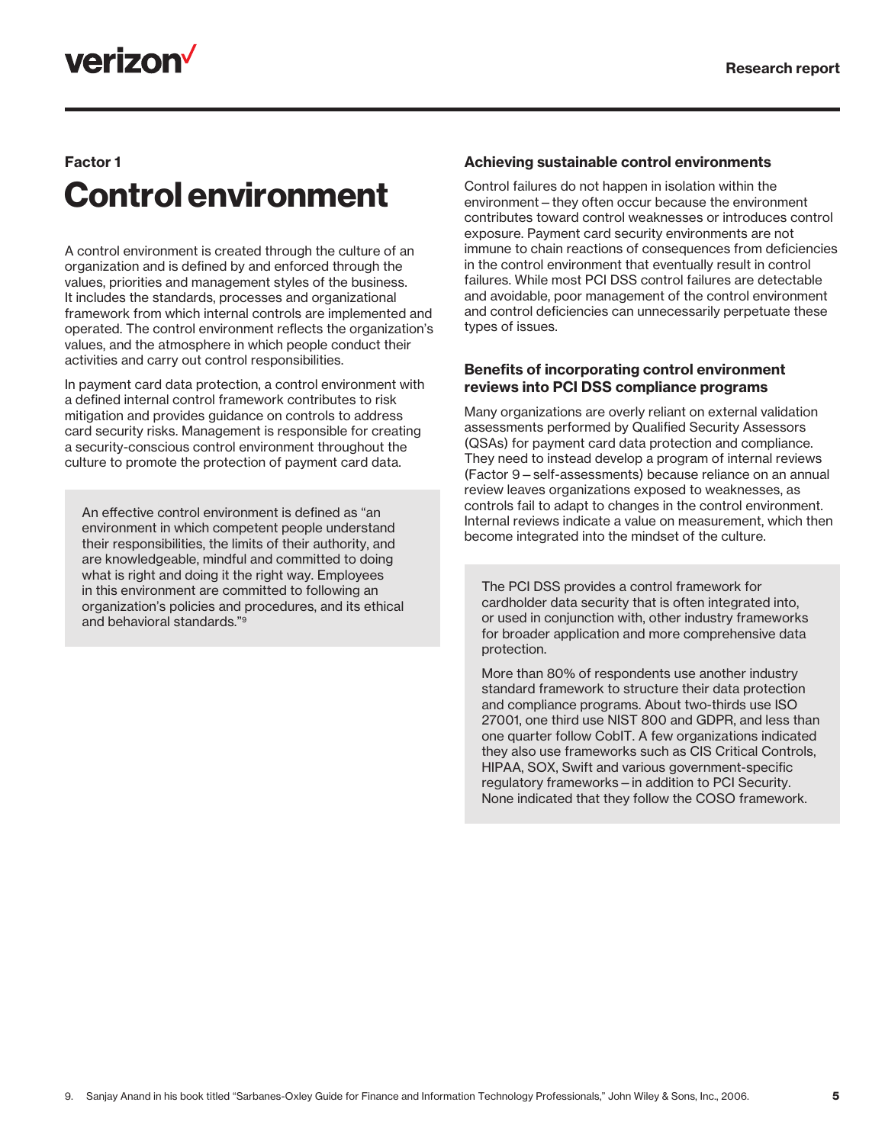## verizon<sup>V</sup>

### Factor 1 Control environment

A control environment is created through the culture of an organization and is defined by and enforced through the values, priorities and management styles of the business. It includes the standards, processes and organizational framework from which internal controls are implemented and operated. The control environment reflects the organization's values, and the atmosphere in which people conduct their activities and carry out control responsibilities.

In payment card data protection, a control environment with a defined internal control framework contributes to risk mitigation and provides guidance on controls to address card security risks. Management is responsible for creating a security-conscious control environment throughout the culture to promote the protection of payment card data.

An effective control environment is defined as "an environment in which competent people understand their responsibilities, the limits of their authority, and are knowledgeable, mindful and committed to doing what is right and doing it the right way. Employees in this environment are committed to following an organization's policies and procedures, and its ethical and behavioral standards."9

#### Achieving sustainable control environments

Control failures do not happen in isolation within the environment—they often occur because the environment contributes toward control weaknesses or introduces control exposure. Payment card security environments are not immune to chain reactions of consequences from deficiencies in the control environment that eventually result in control failures. While most PCI DSS control failures are detectable and avoidable, poor management of the control environment and control deficiencies can unnecessarily perpetuate these types of issues.

#### Benefits of incorporating control environment reviews into PCI DSS compliance programs

Many organizations are overly reliant on external validation assessments performed by Qualified Security Assessors (QSAs) for payment card data protection and compliance. They need to instead develop a program of internal reviews (Factor 9—self-assessments) because reliance on an annual review leaves organizations exposed to weaknesses, as controls fail to adapt to changes in the control environment. Internal reviews indicate a value on measurement, which then become integrated into the mindset of the culture.

The PCI DSS provides a control framework for cardholder data security that is often integrated into, or used in conjunction with, other industry frameworks for broader application and more comprehensive data protection.

More than 80% of respondents use another industry standard framework to structure their data protection and compliance programs. About two-thirds use ISO 27001, one third use NIST 800 and GDPR, and less than one quarter follow CobIT. A few organizations indicated they also use frameworks such as CIS Critical Controls, HIPAA, SOX, Swift and various government-specific regulatory frameworks—in addition to PCI Security. None indicated that they follow the COSO framework.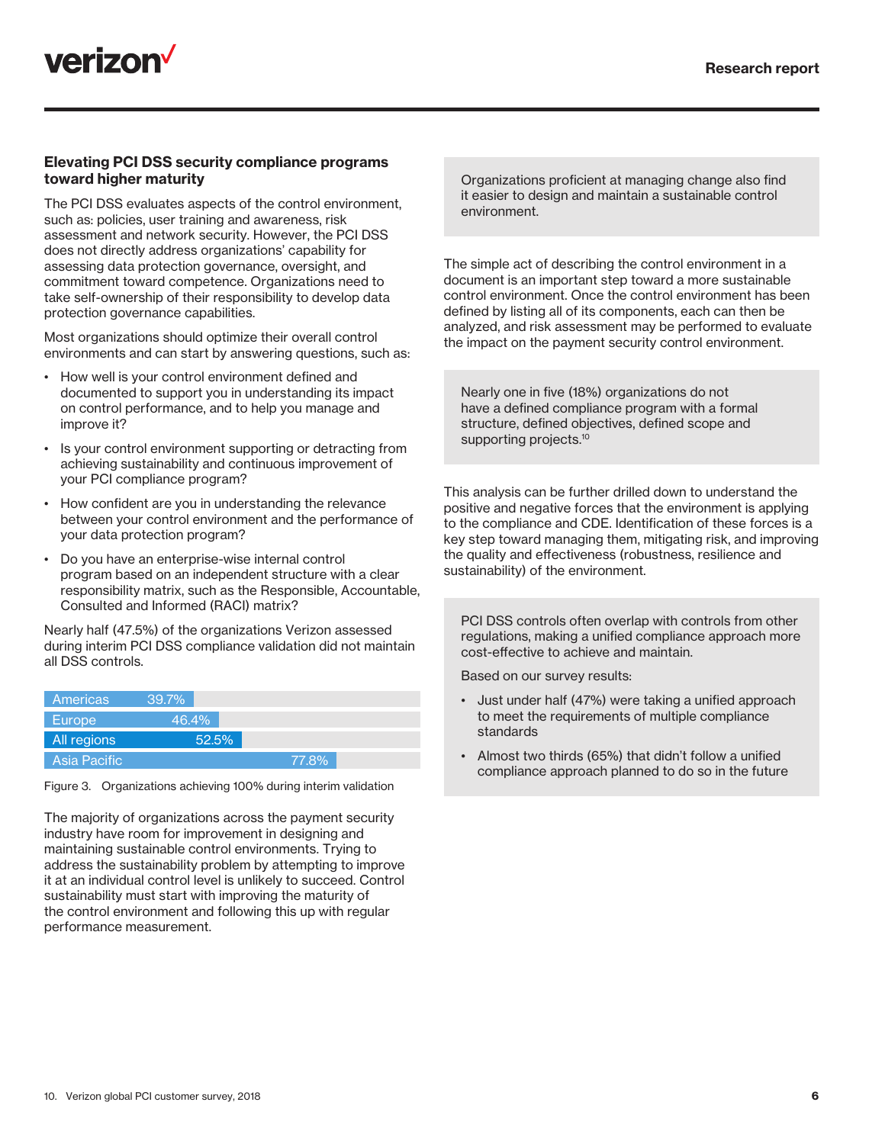

#### Elevating PCI DSS security compliance programs toward higher maturity

The PCI DSS evaluates aspects of the control environment, such as: policies, user training and awareness, risk assessment and network security. However, the PCI DSS does not directly address organizations' capability for assessing data protection governance, oversight, and commitment toward competence. Organizations need to take self-ownership of their responsibility to develop data protection governance capabilities.

Most organizations should optimize their overall control environments and can start by answering questions, such as:

- How well is your control environment defined and documented to support you in understanding its impact on control performance, and to help you manage and improve it?
- Is your control environment supporting or detracting from achieving sustainability and continuous improvement of your PCI compliance program?
- How confident are you in understanding the relevance between your control environment and the performance of your data protection program?
- Do you have an enterprise-wise internal control program based on an independent structure with a clear responsibility matrix, such as the Responsible, Accountable, Consulted and Informed (RACI) matrix?

Nearly half (47.5%) of the organizations Verizon assessed during interim PCI DSS compliance validation did not maintain all DSS controls.

| Americas     | 39.7% |       |
|--------------|-------|-------|
| Europe       | 46.4% |       |
| All regions  | 52.5% |       |
| Asia Pacific |       | 77.8% |

Figure 3. Organizations achieving 100% during interim validation

The majority of organizations across the payment security industry have room for improvement in designing and maintaining sustainable control environments. Trying to address the sustainability problem by attempting to improve it at an individual control level is unlikely to succeed. Control sustainability must start with improving the maturity of the control environment and following this up with regular performance measurement.

Organizations proficient at managing change also find it easier to design and maintain a sustainable control environment.

The simple act of describing the control environment in a document is an important step toward a more sustainable control environment. Once the control environment has been defined by listing all of its components, each can then be analyzed, and risk assessment may be performed to evaluate the impact on the payment security control environment.

Nearly one in five (18%) organizations do not have a defined compliance program with a formal structure, defined objectives, defined scope and supporting projects.<sup>10</sup>

This analysis can be further drilled down to understand the positive and negative forces that the environment is applying to the compliance and CDE. Identification of these forces is a key step toward managing them, mitigating risk, and improving the quality and effectiveness (robustness, resilience and sustainability) of the environment.

PCI DSS controls often overlap with controls from other regulations, making a unified compliance approach more cost-effective to achieve and maintain.

Based on our survey results:

- Just under half (47%) were taking a unified approach to meet the requirements of multiple compliance standards
- Almost two thirds (65%) that didn't follow a unified compliance approach planned to do so in the future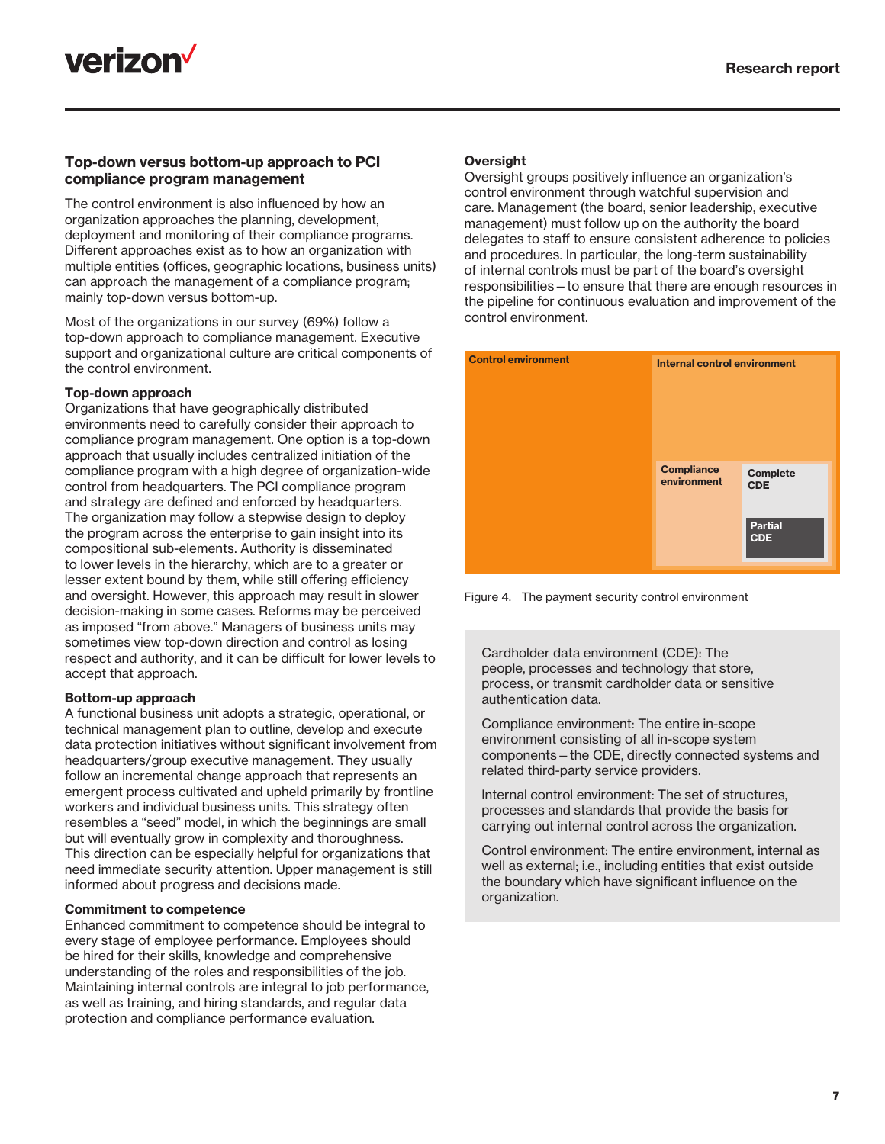

#### Top-down versus bottom-up approach to PCI compliance program management

The control environment is also influenced by how an organization approaches the planning, development, deployment and monitoring of their compliance programs. Different approaches exist as to how an organization with multiple entities (offices, geographic locations, business units) can approach the management of a compliance program; mainly top-down versus bottom-up.

Most of the organizations in our survey (69%) follow a top-down approach to compliance management. Executive support and organizational culture are critical components of the control environment.

#### Top-down approach

Organizations that have geographically distributed environments need to carefully consider their approach to compliance program management. One option is a top-down approach that usually includes centralized initiation of the compliance program with a high degree of organization-wide control from headquarters. The PCI compliance program and strategy are defined and enforced by headquarters. The organization may follow a stepwise design to deploy the program across the enterprise to gain insight into its compositional sub-elements. Authority is disseminated to lower levels in the hierarchy, which are to a greater or lesser extent bound by them, while still offering efficiency and oversight. However, this approach may result in slower decision-making in some cases. Reforms may be perceived as imposed "from above." Managers of business units may sometimes view top-down direction and control as losing respect and authority, and it can be difficult for lower levels to accept that approach.

#### Bottom-up approach

A functional business unit adopts a strategic, operational, or technical management plan to outline, develop and execute data protection initiatives without significant involvement from headquarters/group executive management. They usually follow an incremental change approach that represents an emergent process cultivated and upheld primarily by frontline workers and individual business units. This strategy often resembles a "seed" model, in which the beginnings are small but will eventually grow in complexity and thoroughness. This direction can be especially helpful for organizations that need immediate security attention. Upper management is still informed about progress and decisions made.

#### Commitment to competence

Enhanced commitment to competence should be integral to every stage of employee performance. Employees should be hired for their skills, knowledge and comprehensive understanding of the roles and responsibilities of the job. Maintaining internal controls are integral to job performance, as well as training, and hiring standards, and regular data protection and compliance performance evaluation.

#### **Oversight**

Oversight groups positively influence an organization's control environment through watchful supervision and care. Management (the board, senior leadership, executive management) must follow up on the authority the board delegates to staff to ensure consistent adherence to policies and procedures. In particular, the long-term sustainability of internal controls must be part of the board's oversight responsibilities—to ensure that there are enough resources in the pipeline for continuous evaluation and improvement of the control environment.



Figure 4. The payment security control environment

Cardholder data environment (CDE): The people, processes and technology that store, process, or transmit cardholder data or sensitive authentication data.

Compliance environment: The entire in-scope environment consisting of all in-scope system components—the CDE, directly connected systems and related third-party service providers.

Internal control environment: The set of structures, processes and standards that provide the basis for carrying out internal control across the organization.

Control environment: The entire environment, internal as well as external; i.e., including entities that exist outside the boundary which have significant influence on the organization.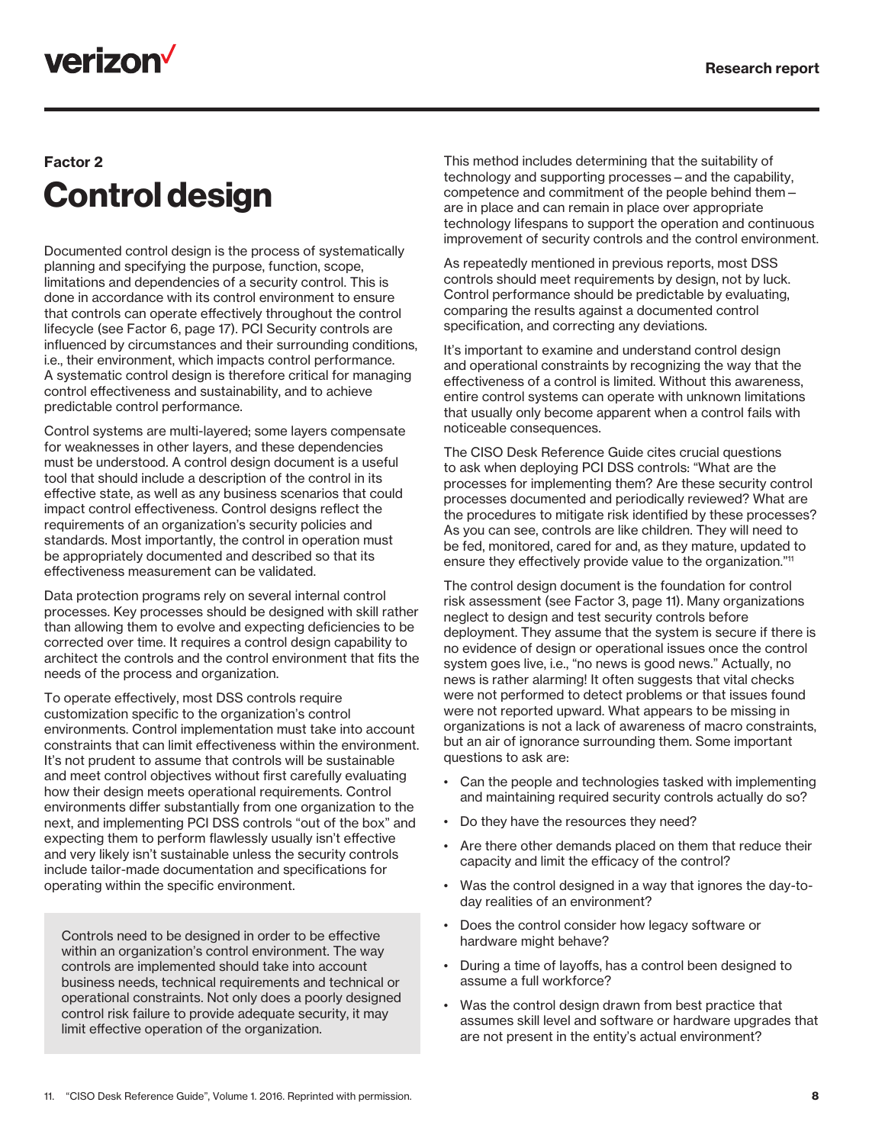## **verizon<sup>v</sup>**

### Factor 2 Control design

Documented control design is the process of systematically planning and specifying the purpose, function, scope, limitations and dependencies of a security control. This is done in accordance with its control environment to ensure that controls can operate effectively throughout the control lifecycle (see Factor 6, page 17). PCI Security controls are influenced by circumstances and their surrounding conditions, i.e., their environment, which impacts control performance. A systematic control design is therefore critical for managing control effectiveness and sustainability, and to achieve predictable control performance.

Control systems are multi-layered; some layers compensate for weaknesses in other layers, and these dependencies must be understood. A control design document is a useful tool that should include a description of the control in its effective state, as well as any business scenarios that could impact control effectiveness. Control designs reflect the requirements of an organization's security policies and standards. Most importantly, the control in operation must be appropriately documented and described so that its effectiveness measurement can be validated.

Data protection programs rely on several internal control processes. Key processes should be designed with skill rather than allowing them to evolve and expecting deficiencies to be corrected over time. It requires a control design capability to architect the controls and the control environment that fits the needs of the process and organization.

To operate effectively, most DSS controls require customization specific to the organization's control environments. Control implementation must take into account constraints that can limit effectiveness within the environment. It's not prudent to assume that controls will be sustainable and meet control objectives without first carefully evaluating how their design meets operational requirements. Control environments differ substantially from one organization to the next, and implementing PCI DSS controls "out of the box" and expecting them to perform flawlessly usually isn't effective and very likely isn't sustainable unless the security controls include tailor-made documentation and specifications for operating within the specific environment.

Controls need to be designed in order to be effective within an organization's control environment. The way controls are implemented should take into account business needs, technical requirements and technical or operational constraints. Not only does a poorly designed control risk failure to provide adequate security, it may limit effective operation of the organization.

This method includes determining that the suitability of technology and supporting processes—and the capability, competence and commitment of the people behind them are in place and can remain in place over appropriate technology lifespans to support the operation and continuous improvement of security controls and the control environment.

As repeatedly mentioned in previous reports, most DSS controls should meet requirements by design, not by luck. Control performance should be predictable by evaluating, comparing the results against a documented control specification, and correcting any deviations.

It's important to examine and understand control design and operational constraints by recognizing the way that the effectiveness of a control is limited. Without this awareness, entire control systems can operate with unknown limitations that usually only become apparent when a control fails with noticeable consequences.

The CISO Desk Reference Guide cites crucial questions to ask when deploying PCI DSS controls: "What are the processes for implementing them? Are these security control processes documented and periodically reviewed? What are the procedures to mitigate risk identified by these processes? As you can see, controls are like children. They will need to be fed, monitored, cared for and, as they mature, updated to ensure they effectively provide value to the organization."11

The control design document is the foundation for control risk assessment (see Factor 3, page 11). Many organizations neglect to design and test security controls before deployment. They assume that the system is secure if there is no evidence of design or operational issues once the control system goes live, i.e., "no news is good news." Actually, no news is rather alarming! It often suggests that vital checks were not performed to detect problems or that issues found were not reported upward. What appears to be missing in organizations is not a lack of awareness of macro constraints, but an air of ignorance surrounding them. Some important questions to ask are:

- Can the people and technologies tasked with implementing and maintaining required security controls actually do so?
- Do they have the resources they need?
- Are there other demands placed on them that reduce their capacity and limit the efficacy of the control?
- Was the control designed in a way that ignores the day-today realities of an environment?
- Does the control consider how legacy software or hardware might behave?
- During a time of layoffs, has a control been designed to assume a full workforce?
- Was the control design drawn from best practice that assumes skill level and software or hardware upgrades that are not present in the entity's actual environment?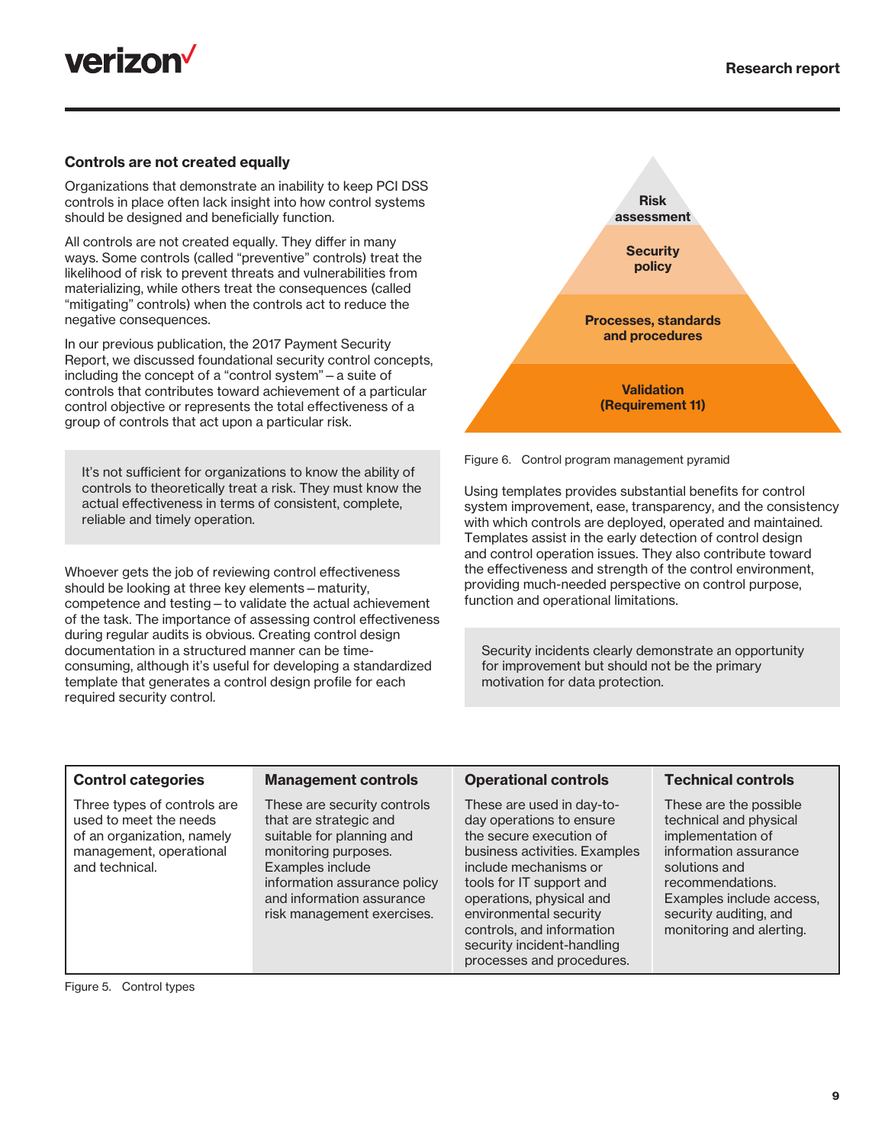



#### Controls are not created equally

Organizations that demonstrate an inability to keep PCI DSS controls in place often lack insight into how control systems should be designed and beneficially function.

All controls are not created equally. They differ in many ways. Some controls (called "preventive" controls) treat the likelihood of risk to prevent threats and vulnerabilities from materializing, while others treat the consequences (called "mitigating" controls) when the controls act to reduce the negative consequences.

In our previous publication, the 2017 Payment Security Report, we discussed foundational security control concepts, including the concept of a "control system"—a suite of controls that contributes toward achievement of a particular control objective or represents the total effectiveness of a group of controls that act upon a particular risk.

It's not sufficient for organizations to know the ability of controls to theoretically treat a risk. They must know the actual effectiveness in terms of consistent, complete, reliable and timely operation.

Whoever gets the job of reviewing control effectiveness should be looking at three key elements—maturity, competence and testing—to validate the actual achievement of the task. The importance of assessing control effectiveness during regular audits is obvious. Creating control design documentation in a structured manner can be timeconsuming, although it's useful for developing a standardized template that generates a control design profile for each required security control.





Using templates provides substantial benefits for control system improvement, ease, transparency, and the consistency with which controls are deployed, operated and maintained. Templates assist in the early detection of control design and control operation issues. They also contribute toward the effectiveness and strength of the control environment, providing much-needed perspective on control purpose, function and operational limitations.

Security incidents clearly demonstrate an opportunity for improvement but should not be the primary motivation for data protection.

| <b>Control categories</b>                                                                                                        | <b>Management controls</b>                                                                                                                                                                                                | <b>Operational controls</b>                                                                                                                                                                                                                                                                                          | <b>Technical controls</b>                                                                                                                                                                                             |
|----------------------------------------------------------------------------------------------------------------------------------|---------------------------------------------------------------------------------------------------------------------------------------------------------------------------------------------------------------------------|----------------------------------------------------------------------------------------------------------------------------------------------------------------------------------------------------------------------------------------------------------------------------------------------------------------------|-----------------------------------------------------------------------------------------------------------------------------------------------------------------------------------------------------------------------|
| Three types of controls are<br>used to meet the needs<br>of an organization, namely<br>management, operational<br>and technical. | These are security controls<br>that are strategic and<br>suitable for planning and<br>monitoring purposes.<br>Examples include<br>information assurance policy<br>and information assurance<br>risk management exercises. | These are used in day-to-<br>day operations to ensure<br>the secure execution of<br>business activities. Examples<br>include mechanisms or<br>tools for IT support and<br>operations, physical and<br>environmental security<br>controls, and information<br>security incident-handling<br>processes and procedures. | These are the possible<br>technical and physical<br>implementation of<br>information assurance<br>solutions and<br>recommendations.<br>Examples include access,<br>security auditing, and<br>monitoring and alerting. |

Figure 5. Control types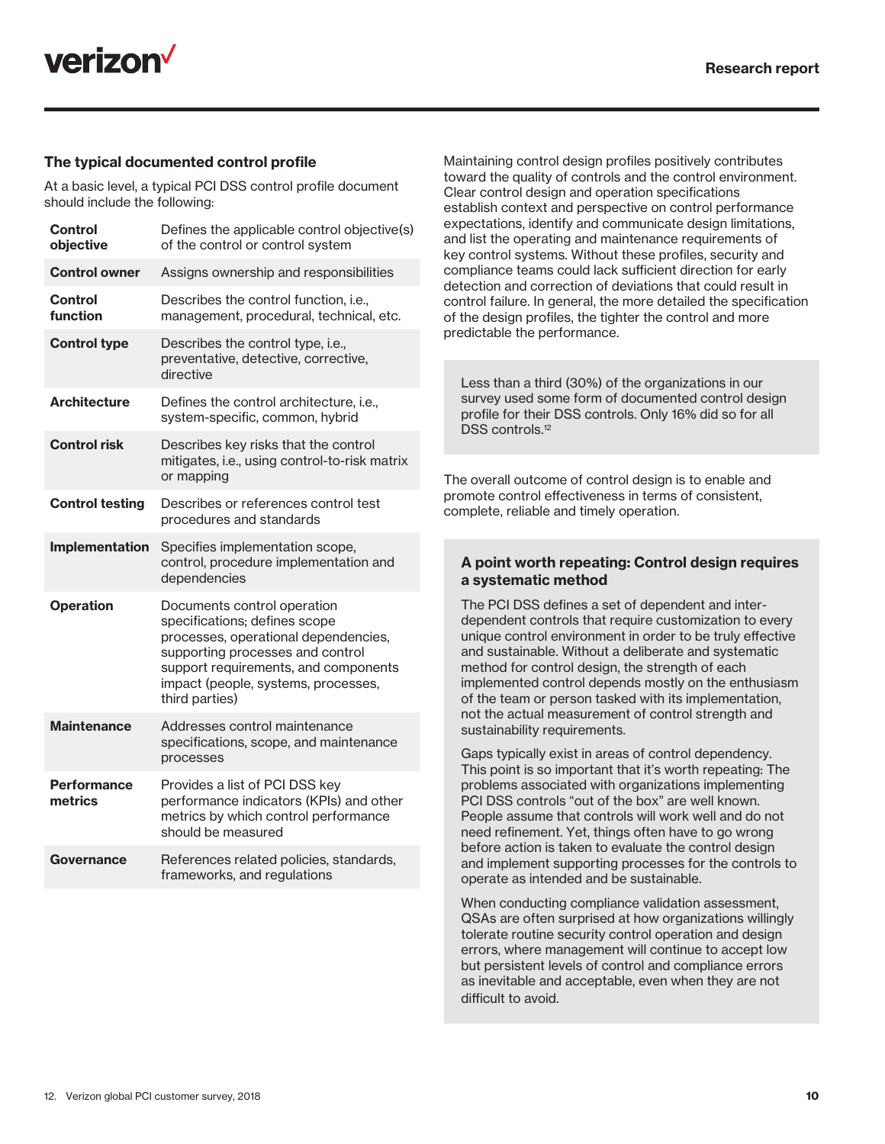

#### The typical documented control profile

At a basic level, a typical PCI DSS control profile document should include the following:

| <b>Control</b><br>objective   | Defines the applicable control objective(s)<br>of the control or control system                                                                                                                                                           |
|-------------------------------|-------------------------------------------------------------------------------------------------------------------------------------------------------------------------------------------------------------------------------------------|
| <b>Control owner</b>          | Assigns ownership and responsibilities                                                                                                                                                                                                    |
| <b>Control</b><br>function    | Describes the control function, i.e.,<br>management, procedural, technical, etc.                                                                                                                                                          |
| <b>Control type</b>           | Describes the control type, i.e.,<br>preventative, detective, corrective,<br>directive                                                                                                                                                    |
| <b>Architecture</b>           | Defines the control architecture, i.e.,<br>system-specific, common, hybrid                                                                                                                                                                |
| <b>Control risk</b>           | Describes key risks that the control<br>mitigates, i.e., using control-to-risk matrix<br>or mapping                                                                                                                                       |
| <b>Control testing</b>        | Describes or references control test<br>procedures and standards                                                                                                                                                                          |
| Implementation                | Specifies implementation scope,<br>control, procedure implementation and<br>dependencies                                                                                                                                                  |
| <b>Operation</b>              | Documents control operation<br>specifications; defines scope<br>processes, operational dependencies,<br>supporting processes and control<br>support requirements, and components<br>impact (people, systems, processes,<br>third parties) |
| <b>Maintenance</b>            | Addresses control maintenance<br>specifications, scope, and maintenance<br>processes                                                                                                                                                      |
| <b>Performance</b><br>metrics | Provides a list of PCI DSS key<br>performance indicators (KPIs) and other<br>metrics by which control performance<br>should be measured                                                                                                   |
| Governance                    | References related policies, standards,<br>frameworks, and regulations                                                                                                                                                                    |

Maintaining control design profiles positively contributes toward the quality of controls and the control environment. Clear control design and operation specifications establish context and perspective on control performance expectations, identify and communicate design limitations, and list the operating and maintenance requirements of key control systems. Without these profiles, security and compliance teams could lack sufficient direction for early detection and correction of deviations that could result in control failure. In general, the more detailed the specification of the design profiles, the tighter the control and more predictable the performance.

Less than a third (30%) of the organizations in our survey used some form of documented control design profile for their DSS controls. Only 16% did so for all DSS controls.<sup>12</sup>

The overall outcome of control design is to enable and promote control effectiveness in terms of consistent, complete, reliable and timely operation.

#### A point worth repeating: Control design requires a systematic method

The PCI DSS defines a set of dependent and interdependent controls that require customization to every unique control environment in order to be truly effective and sustainable. Without a deliberate and systematic method for control design, the strength of each implemented control depends mostly on the enthusiasm of the team or person tasked with its implementation, not the actual measurement of control strength and sustainability requirements.

Gaps typically exist in areas of control dependency. This point is so important that it's worth repeating: The problems associated with organizations implementing PCI DSS controls "out of the box" are well known. People assume that controls will work well and do not need refinement. Yet, things often have to go wrong before action is taken to evaluate the control design and implement supporting processes for the controls to operate as intended and be sustainable.

When conducting compliance validation assessment, QSAs are often surprised at how organizations willingly tolerate routine security control operation and design errors, where management will continue to accept low but persistent levels of control and compliance errors as inevitable and acceptable, even when they are not difficult to avoid.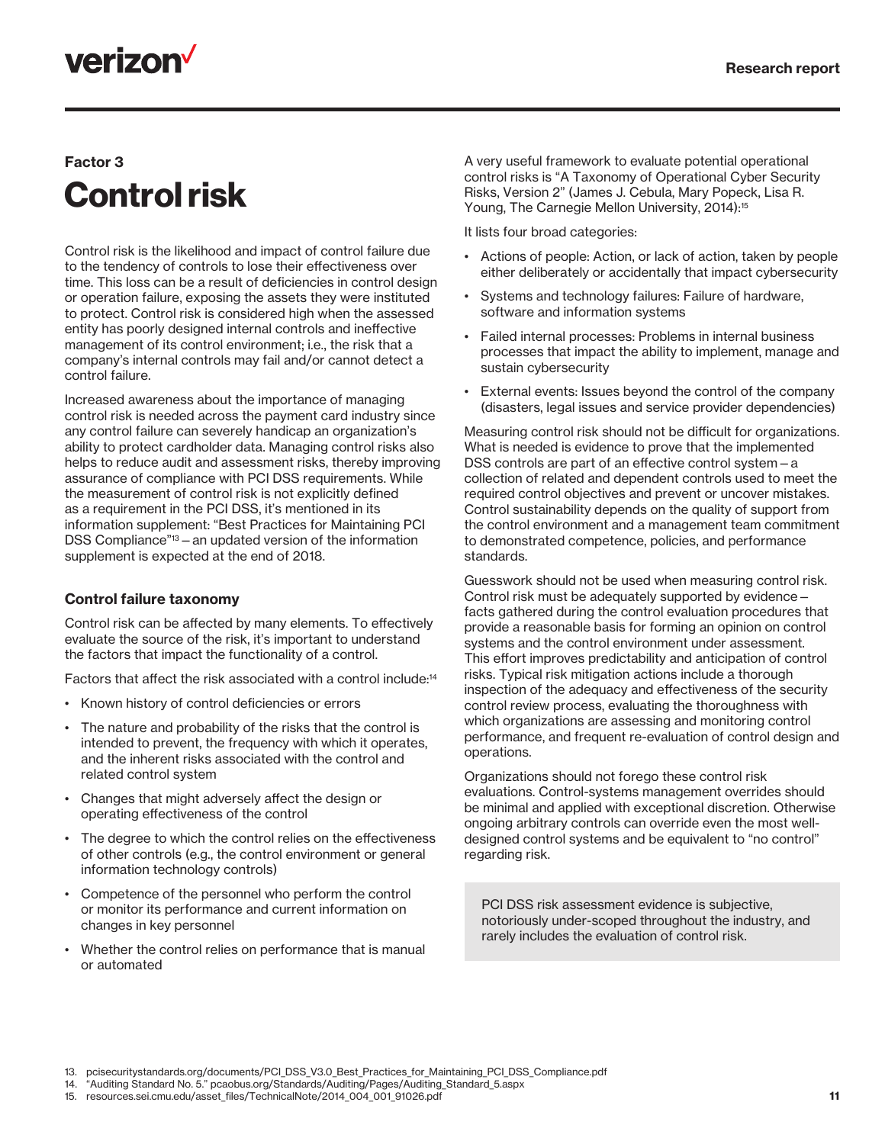## **verizon**

### Factor 3 Control risk

Control risk is the likelihood and impact of control failure due to the tendency of controls to lose their effectiveness over time. This loss can be a result of deficiencies in control design or operation failure, exposing the assets they were instituted to protect. Control risk is considered high when the assessed entity has poorly designed internal controls and ineffective management of its control environment; i.e., the risk that a company's internal controls may fail and/or cannot detect a control failure.

Increased awareness about the importance of managing control risk is needed across the payment card industry since any control failure can severely handicap an organization's ability to protect cardholder data. Managing control risks also helps to reduce audit and assessment risks, thereby improving assurance of compliance with PCI DSS requirements. While the measurement of control risk is not explicitly defined as a requirement in the PCI DSS, it's mentioned in its information supplement: "Best Practices for Maintaining PCI DSS Compliance"<sup>13</sup> – an updated version of the information supplement is expected at the end of 2018.

### Control failure taxonomy

Control risk can be affected by many elements. To effectively evaluate the source of the risk, it's important to understand the factors that impact the functionality of a control.

Factors that affect the risk associated with a control include:14

- Known history of control deficiencies or errors
- The nature and probability of the risks that the control is intended to prevent, the frequency with which it operates, and the inherent risks associated with the control and related control system
- Changes that might adversely affect the design or operating effectiveness of the control
- The degree to which the control relies on the effectiveness of other controls (e.g., the control environment or general information technology controls)
- Competence of the personnel who perform the control or monitor its performance and current information on changes in key personnel
- Whether the control relies on performance that is manual or automated

A very useful framework to evaluate potential operational control risks is "A Taxonomy of Operational Cyber Security Risks, Version 2" (James J. Cebula, Mary Popeck, Lisa R. Young, The Carnegie Mellon University, 2014):<sup>15</sup>

It lists four broad categories:

- Actions of people: Action, or lack of action, taken by people either deliberately or accidentally that impact cybersecurity
- Systems and technology failures: Failure of hardware, software and information systems
- Failed internal processes: Problems in internal business processes that impact the ability to implement, manage and sustain cybersecurity
- External events: Issues beyond the control of the company (disasters, legal issues and service provider dependencies)

Measuring control risk should not be difficult for organizations. What is needed is evidence to prove that the implemented DSS controls are part of an effective control system—a collection of related and dependent controls used to meet the required control objectives and prevent or uncover mistakes. Control sustainability depends on the quality of support from the control environment and a management team commitment to demonstrated competence, policies, and performance standards.

Guesswork should not be used when measuring control risk. Control risk must be adequately supported by evidence facts gathered during the control evaluation procedures that provide a reasonable basis for forming an opinion on control systems and the control environment under assessment. This effort improves predictability and anticipation of control risks. Typical risk mitigation actions include a thorough inspection of the adequacy and effectiveness of the security control review process, evaluating the thoroughness with which organizations are assessing and monitoring control performance, and frequent re-evaluation of control design and operations.

Organizations should not forego these control risk evaluations. Control-systems management overrides should be minimal and applied with exceptional discretion. Otherwise ongoing arbitrary controls can override even the most welldesigned control systems and be equivalent to "no control" regarding risk.

PCI DSS risk assessment evidence is subjective, notoriously under-scoped throughout the industry, and rarely includes the evaluation of control risk.

<sup>13.</sup> pcisecuritystandards.org/documents/PCI\_DSS\_V3.0\_Best\_Practices\_for\_Maintaining\_PCI\_DSS\_Compliance.pdf

<sup>14.</sup> "Auditing Standard No. 5." pcaobus.org/Standards/Auditing/Pages/Auditing\_Standard\_5.aspx

<sup>15.</sup> resources.sei.cmu.edu/asset\_files/TechnicalNote/2014\_004\_001\_91026.pdf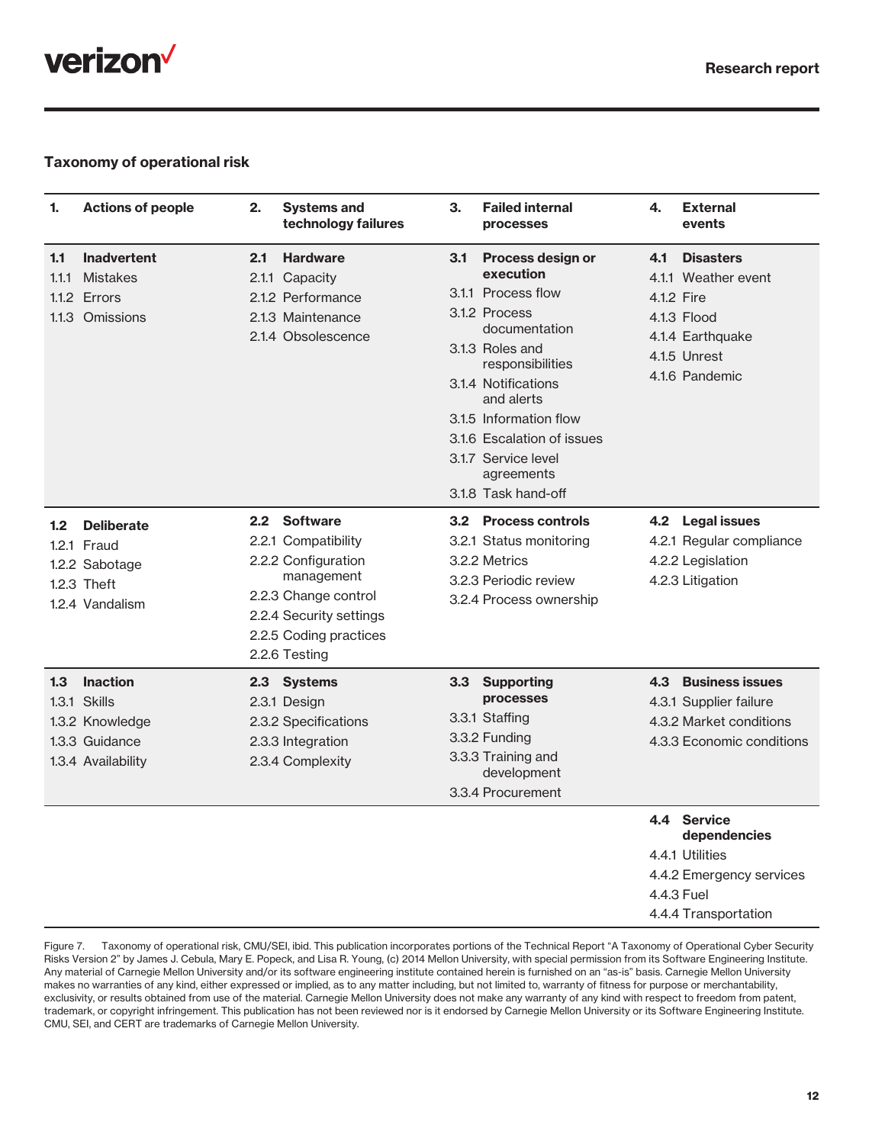

#### Taxonomy of operational risk

| 1.                    | <b>Actions of people</b>                                                                   | 2.  | <b>Systems and</b><br>technology failures                                                                                                                              | 3.               | <b>Failed internal</b><br>processes                                                                                                                                                                                                                                                    | 4.                | <b>External</b><br>events                                                                                        |
|-----------------------|--------------------------------------------------------------------------------------------|-----|------------------------------------------------------------------------------------------------------------------------------------------------------------------------|------------------|----------------------------------------------------------------------------------------------------------------------------------------------------------------------------------------------------------------------------------------------------------------------------------------|-------------------|------------------------------------------------------------------------------------------------------------------|
| 1.1<br>1.1.1<br>1.1.3 | <b>Inadvertent</b><br><b>Mistakes</b><br>1.1.2 Errors<br>Omissions                         | 2.1 | <b>Hardware</b><br>2.1.1 Capacity<br>2.1.2 Performance<br>2.1.3 Maintenance<br>2.1.4 Obsolescence                                                                      | 3.1              | Process design or<br>execution<br>3.1.1 Process flow<br>3.1.2 Process<br>documentation<br>3.1.3 Roles and<br>responsibilities<br>3.1.4 Notifications<br>and alerts<br>3.1.5 Information flow<br>3.1.6 Escalation of issues<br>3.1.7 Service level<br>agreements<br>3.1.8 Task hand-off | 4.1<br>4.1.2 Fire | <b>Disasters</b><br>4.1.1 Weather event<br>4.1.3 Flood<br>4.1.4 Earthquake<br>4.1.5 Unrest<br>4.1.6 Pandemic     |
| 1.2                   | <b>Deliberate</b><br>1.2.1 Fraud<br>1.2.2 Sabotage<br>1.2.3 Theft<br>1.2.4 Vandalism       |     | 2.2 Software<br>2.2.1 Compatibility<br>2.2.2 Configuration<br>management<br>2.2.3 Change control<br>2.2.4 Security settings<br>2.2.5 Coding practices<br>2.2.6 Testing |                  | 3.2 Process controls<br>3.2.1 Status monitoring<br>3.2.2 Metrics<br>3.2.3 Periodic review<br>3.2.4 Process ownership                                                                                                                                                                   |                   | 4.2 Legal issues<br>4.2.1 Regular compliance<br>4.2.2 Legislation<br>4.2.3 Litigation                            |
| 1.3                   | <b>Inaction</b><br>1.3.1 Skills<br>1.3.2 Knowledge<br>1.3.3 Guidance<br>1.3.4 Availability |     | 2.3 Systems<br>2.3.1 Design<br>2.3.2 Specifications<br>2.3.3 Integration<br>2.3.4 Complexity                                                                           | 3.3 <sub>1</sub> | <b>Supporting</b><br>processes<br>3.3.1 Staffing<br>3.3.2 Funding<br>3.3.3 Training and<br>development<br>3.3.4 Procurement                                                                                                                                                            | 4.3               | <b>Business issues</b><br>4.3.1 Supplier failure<br>4.3.2 Market conditions<br>4.3.3 Economic conditions         |
|                       |                                                                                            |     |                                                                                                                                                                        |                  |                                                                                                                                                                                                                                                                                        |                   | 4.4 Service<br>dependencies<br>4.4.1 Utilities<br>4.4.2 Emergency services<br>4.4.3 Fuel<br>4.4.4 Transportation |

Figure 7. Taxonomy of operational risk, CMU/SEI, ibid. This publication incorporates portions of the Technical Report "A Taxonomy of Operational Cyber Security Risks Version 2" by James J. Cebula, Mary E. Popeck, and Lisa R. Young, (c) 2014 Mellon University, with special permission from its Software Engineering Institute. Any material of Carnegie Mellon University and/or its software engineering institute contained herein is furnished on an "as-is" basis. Carnegie Mellon University makes no warranties of any kind, either expressed or implied, as to any matter including, but not limited to, warranty of fitness for purpose or merchantability, exclusivity, or results obtained from use of the material. Carnegie Mellon University does not make any warranty of any kind with respect to freedom from patent, trademark, or copyright infringement. This publication has not been reviewed nor is it endorsed by Carnegie Mellon University or its Software Engineering Institute. CMU, SEI, and CERT are trademarks of Carnegie Mellon University.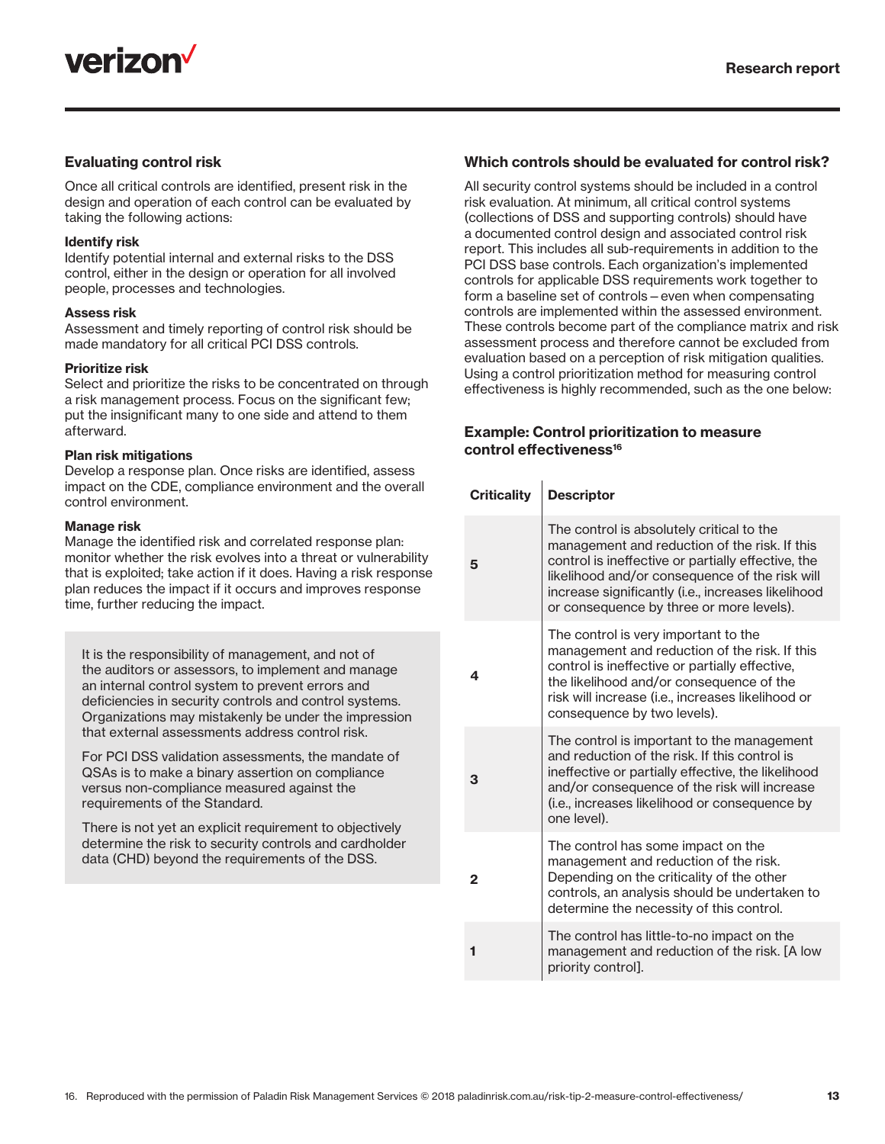

#### Evaluating control risk

Once all critical controls are identified, present risk in the design and operation of each control can be evaluated by taking the following actions:

#### Identify risk

Identify potential internal and external risks to the DSS control, either in the design or operation for all involved people, processes and technologies.

#### Assess risk

Assessment and timely reporting of control risk should be made mandatory for all critical PCI DSS controls.

#### Prioritize risk

Select and prioritize the risks to be concentrated on through a risk management process. Focus on the significant few; put the insignificant many to one side and attend to them afterward.

#### Plan risk mitigations

Develop a response plan. Once risks are identified, assess impact on the CDE, compliance environment and the overall control environment.

#### Manage risk

Manage the identified risk and correlated response plan: monitor whether the risk evolves into a threat or vulnerability that is exploited; take action if it does. Having a risk response plan reduces the impact if it occurs and improves response time, further reducing the impact.

It is the responsibility of management, and not of the auditors or assessors, to implement and manage an internal control system to prevent errors and deficiencies in security controls and control systems. Organizations may mistakenly be under the impression that external assessments address control risk.

For PCI DSS validation assessments, the mandate of QSAs is to make a binary assertion on compliance versus non-compliance measured against the requirements of the Standard.

There is not yet an explicit requirement to objectively determine the risk to security controls and cardholder data (CHD) beyond the requirements of the DSS.

#### Which controls should be evaluated for control risk?

All security control systems should be included in a control risk evaluation. At minimum, all critical control systems (collections of DSS and supporting controls) should have a documented control design and associated control risk report. This includes all sub-requirements in addition to the PCI DSS base controls. Each organization's implemented controls for applicable DSS requirements work together to form a baseline set of controls—even when compensating controls are implemented within the assessed environment. These controls become part of the compliance matrix and risk assessment process and therefore cannot be excluded from evaluation based on a perception of risk mitigation qualities. Using a control prioritization method for measuring control effectiveness is highly recommended, such as the one below:

#### Example: Control prioritization to measure control effectiveness<sup>16</sup>

| <b>Criticality</b> | <b>Descriptor</b>                                                                                                                                                                                                                                                                                    |
|--------------------|------------------------------------------------------------------------------------------------------------------------------------------------------------------------------------------------------------------------------------------------------------------------------------------------------|
| 5                  | The control is absolutely critical to the<br>management and reduction of the risk. If this<br>control is ineffective or partially effective, the<br>likelihood and/or consequence of the risk will<br>increase significantly (i.e., increases likelihood<br>or consequence by three or more levels). |
| 4                  | The control is very important to the<br>management and reduction of the risk. If this<br>control is ineffective or partially effective,<br>the likelihood and/or consequence of the<br>risk will increase (i.e., increases likelihood or<br>consequence by two levels).                              |
| 3                  | The control is important to the management<br>and reduction of the risk. If this control is<br>ineffective or partially effective, the likelihood<br>and/or consequence of the risk will increase<br>(i.e., increases likelihood or consequence by<br>one level).                                    |
| 2                  | The control has some impact on the<br>management and reduction of the risk.<br>Depending on the criticality of the other<br>controls, an analysis should be undertaken to<br>determine the necessity of this control.                                                                                |
|                    | The control has little-to-no impact on the<br>management and reduction of the risk. [A low<br>priority control].                                                                                                                                                                                     |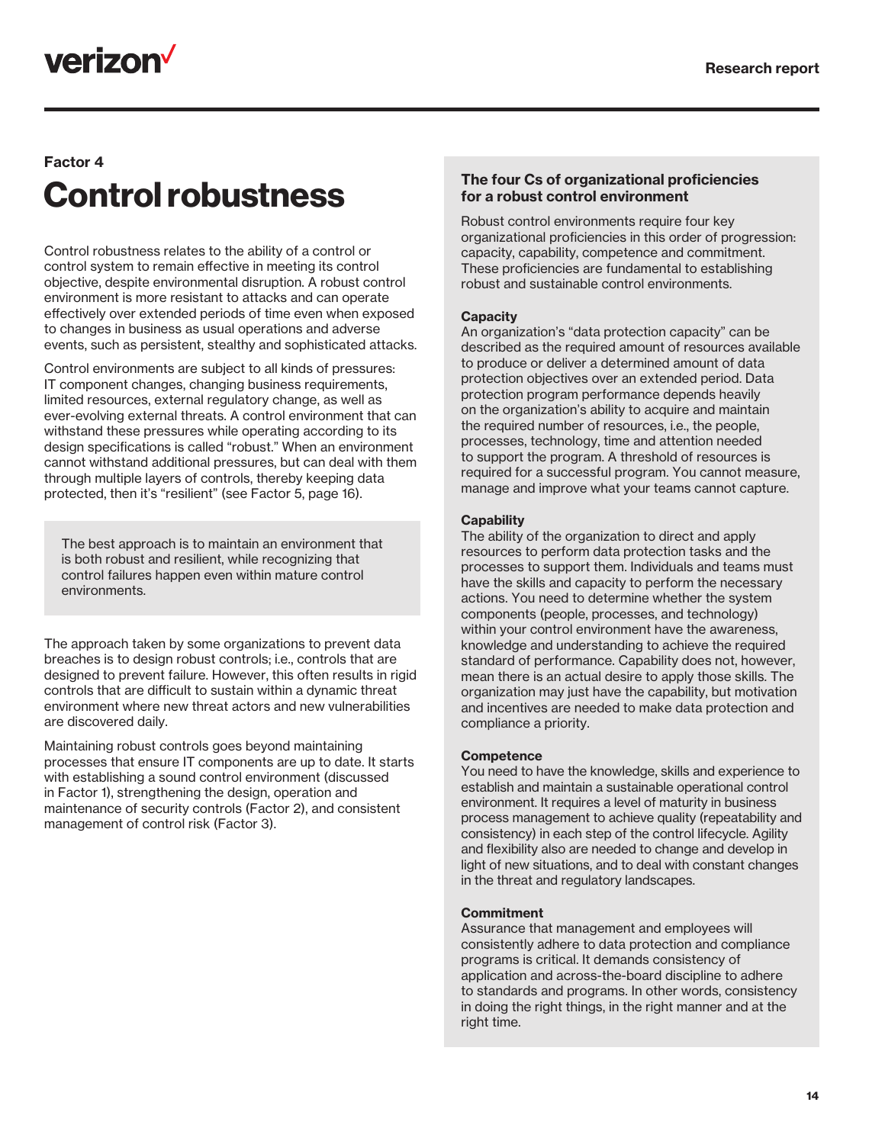## verizon<sup>V</sup>

### Factor 4 Control robustness

Control robustness relates to the ability of a control or control system to remain effective in meeting its control objective, despite environmental disruption. A robust control environment is more resistant to attacks and can operate effectively over extended periods of time even when exposed to changes in business as usual operations and adverse events, such as persistent, stealthy and sophisticated attacks.

Control environments are subject to all kinds of pressures: IT component changes, changing business requirements, limited resources, external regulatory change, as well as ever-evolving external threats. A control environment that can withstand these pressures while operating according to its design specifications is called "robust." When an environment cannot withstand additional pressures, but can deal with them through multiple layers of controls, thereby keeping data protected, then it's "resilient" (see Factor 5, page 16).

The best approach is to maintain an environment that is both robust and resilient, while recognizing that control failures happen even within mature control environments.

The approach taken by some organizations to prevent data breaches is to design robust controls; i.e., controls that are designed to prevent failure. However, this often results in rigid controls that are difficult to sustain within a dynamic threat environment where new threat actors and new vulnerabilities are discovered daily.

Maintaining robust controls goes beyond maintaining processes that ensure IT components are up to date. It starts with establishing a sound control environment (discussed in Factor 1), strengthening the design, operation and maintenance of security controls (Factor 2), and consistent management of control risk (Factor 3).

#### The four Cs of organizational proficiencies for a robust control environment

Robust control environments require four key organizational proficiencies in this order of progression: capacity, capability, competence and commitment. These proficiencies are fundamental to establishing robust and sustainable control environments.

#### **Capacity**

An organization's "data protection capacity" can be described as the required amount of resources available to produce or deliver a determined amount of data protection objectives over an extended period. Data protection program performance depends heavily on the organization's ability to acquire and maintain the required number of resources, i.e., the people, processes, technology, time and attention needed to support the program. A threshold of resources is required for a successful program. You cannot measure, manage and improve what your teams cannot capture.

#### **Capability**

The ability of the organization to direct and apply resources to perform data protection tasks and the processes to support them. Individuals and teams must have the skills and capacity to perform the necessary actions. You need to determine whether the system components (people, processes, and technology) within your control environment have the awareness, knowledge and understanding to achieve the required standard of performance. Capability does not, however, mean there is an actual desire to apply those skills. The organization may just have the capability, but motivation and incentives are needed to make data protection and compliance a priority.

#### **Competence**

You need to have the knowledge, skills and experience to establish and maintain a sustainable operational control environment. It requires a level of maturity in business process management to achieve quality (repeatability and consistency) in each step of the control lifecycle. Agility and flexibility also are needed to change and develop in light of new situations, and to deal with constant changes in the threat and regulatory landscapes.

#### **Commitment**

Assurance that management and employees will consistently adhere to data protection and compliance programs is critical. It demands consistency of application and across-the-board discipline to adhere to standards and programs. In other words, consistency in doing the right things, in the right manner and at the right time.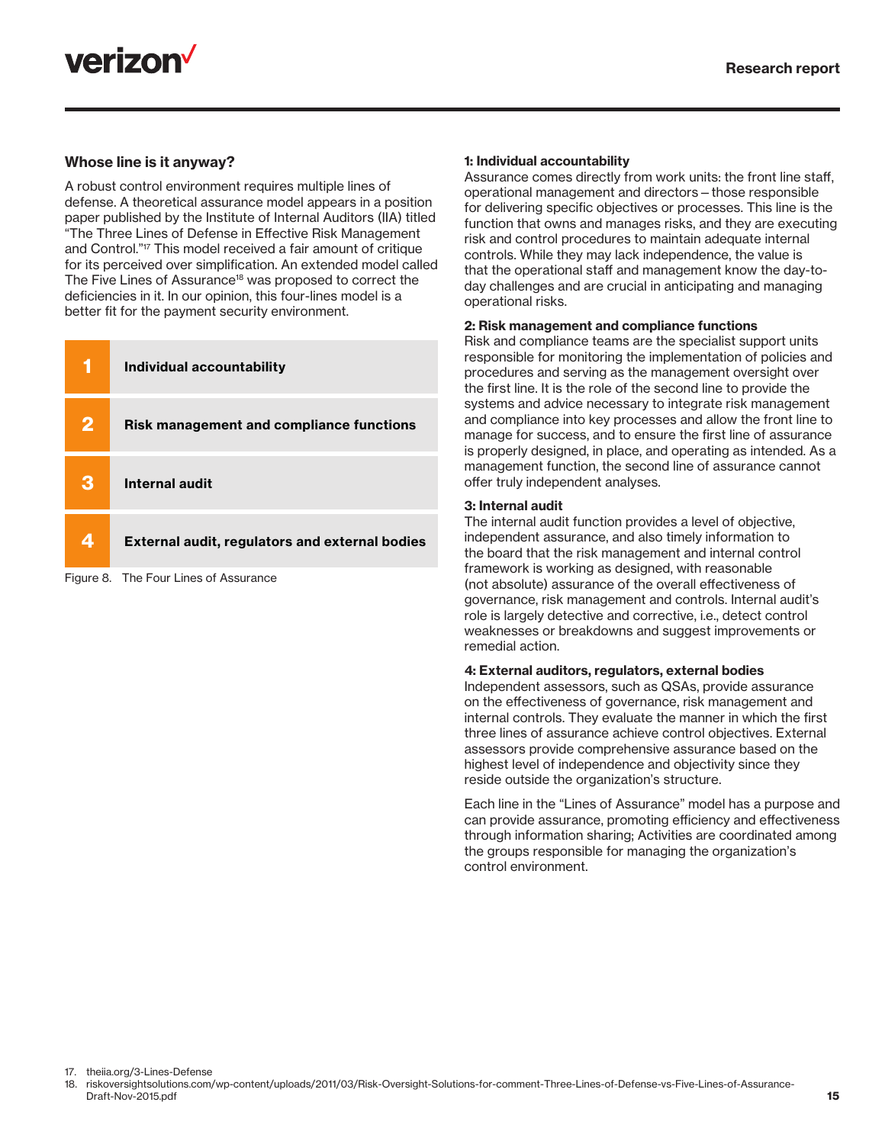



#### Whose line is it anyway?

A robust control environment requires multiple lines of defense. A theoretical assurance model appears in a position paper published by the Institute of Internal Auditors (IIA) titled "The Three Lines of Defense in Effective Risk Management and Control."17 This model received a fair amount of critique for its perceived over simplification. An extended model called The Five Lines of Assurance<sup>18</sup> was proposed to correct the deficiencies in it. In our opinion, this four-lines model is a better fit for the payment security environment.

|              | <b>Individual accountability</b>                      |
|--------------|-------------------------------------------------------|
| $\mathbf{2}$ | <b>Risk management and compliance functions</b>       |
| З            | Internal audit                                        |
|              | <b>External audit, regulators and external bodies</b> |

Figure 8. The Four Lines of Assurance

#### 1: Individual accountability

Assurance comes directly from work units: the front line staff, operational management and directors—those responsible for delivering specific objectives or processes. This line is the function that owns and manages risks, and they are executing risk and control procedures to maintain adequate internal controls. While they may lack independence, the value is that the operational staff and management know the day-today challenges and are crucial in anticipating and managing operational risks.

#### 2: Risk management and compliance functions

Risk and compliance teams are the specialist support units responsible for monitoring the implementation of policies and procedures and serving as the management oversight over the first line. It is the role of the second line to provide the systems and advice necessary to integrate risk management and compliance into key processes and allow the front line to manage for success, and to ensure the first line of assurance is properly designed, in place, and operating as intended. As a management function, the second line of assurance cannot offer truly independent analyses.

#### 3: Internal audit

The internal audit function provides a level of objective, independent assurance, and also timely information to the board that the risk management and internal control framework is working as designed, with reasonable (not absolute) assurance of the overall effectiveness of governance, risk management and controls. Internal audit's role is largely detective and corrective, i.e., detect control weaknesses or breakdowns and suggest improvements or remedial action.

#### 4: External auditors, regulators, external bodies

Independent assessors, such as QSAs, provide assurance on the effectiveness of governance, risk management and internal controls. They evaluate the manner in which the first three lines of assurance achieve control objectives. External assessors provide comprehensive assurance based on the highest level of independence and objectivity since they reside outside the organization's structure.

Each line in the "Lines of Assurance" model has a purpose and can provide assurance, promoting efficiency and effectiveness through information sharing; Activities are coordinated among the groups responsible for managing the organization's control environment.

17. theiia.org/3-Lines-Defense

18. riskoversightsolutions.com/wp-content/uploads/2011/03/Risk-Oversight-Solutions-for-comment-Three-Lines-of-Defense-vs-Five-Lines-of-Assurance-Draft-Nov-2015.pdf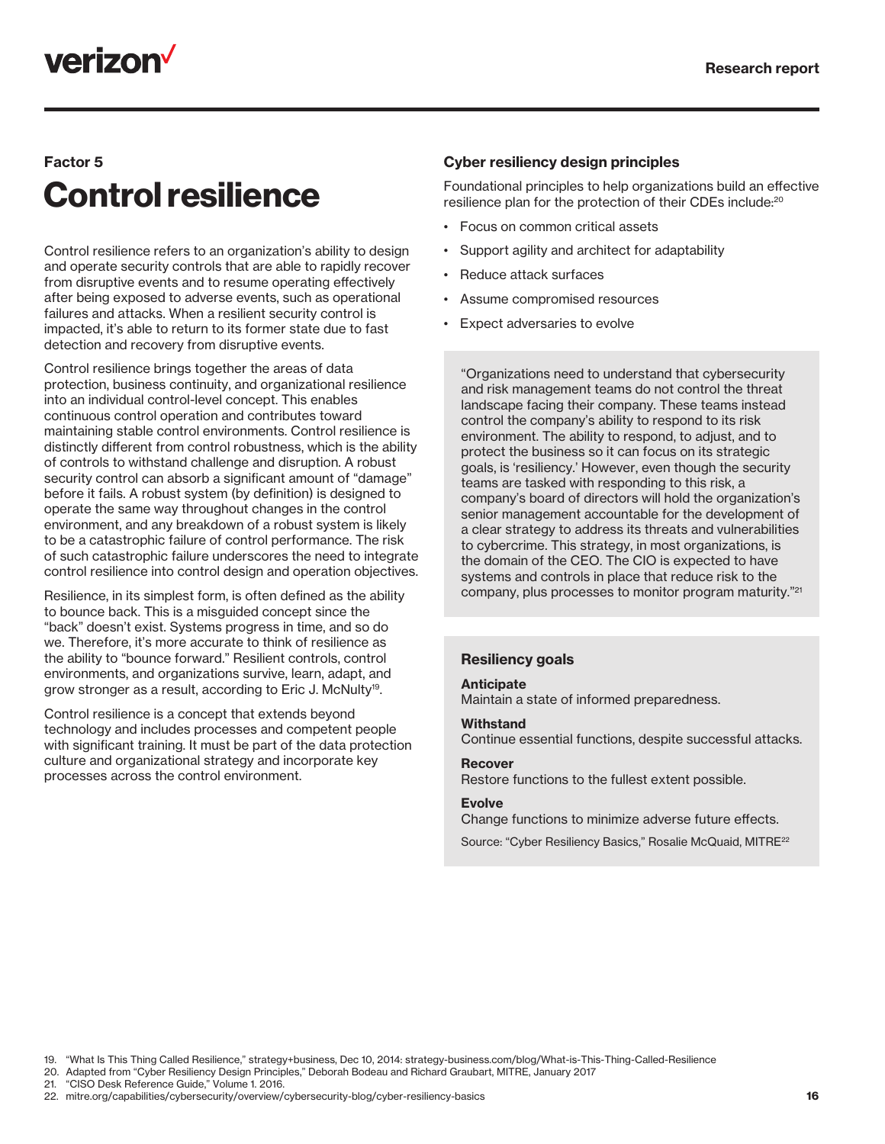## **verizon**

### Factor 5

# Control resilience

Control resilience refers to an organization's ability to design and operate security controls that are able to rapidly recover from disruptive events and to resume operating effectively after being exposed to adverse events, such as operational failures and attacks. When a resilient security control is impacted, it's able to return to its former state due to fast detection and recovery from disruptive events.

Control resilience brings together the areas of data protection, business continuity, and organizational resilience into an individual control-level concept. This enables continuous control operation and contributes toward maintaining stable control environments. Control resilience is distinctly different from control robustness, which is the ability of controls to withstand challenge and disruption. A robust security control can absorb a significant amount of "damage" before it fails. A robust system (by definition) is designed to operate the same way throughout changes in the control environment, and any breakdown of a robust system is likely to be a catastrophic failure of control performance. The risk of such catastrophic failure underscores the need to integrate control resilience into control design and operation objectives.

Resilience, in its simplest form, is often defined as the ability to bounce back. This is a misguided concept since the "back" doesn't exist. Systems progress in time, and so do we. Therefore, it's more accurate to think of resilience as the ability to "bounce forward." Resilient controls, control environments, and organizations survive, learn, adapt, and grow stronger as a result, according to Eric J. McNulty<sup>19</sup>.

Control resilience is a concept that extends beyond technology and includes processes and competent people with significant training. It must be part of the data protection culture and organizational strategy and incorporate key processes across the control environment.

#### Cyber resiliency design principles

Foundational principles to help organizations build an effective resilience plan for the protection of their CDEs include:20

- Focus on common critical assets
- Support agility and architect for adaptability
- Reduce attack surfaces
- Assume compromised resources
- Expect adversaries to evolve

"Organizations need to understand that cybersecurity and risk management teams do not control the threat landscape facing their company. These teams instead control the company's ability to respond to its risk environment. The ability to respond, to adjust, and to protect the business so it can focus on its strategic goals, is 'resiliency.' However, even though the security teams are tasked with responding to this risk, a company's board of directors will hold the organization's senior management accountable for the development of a clear strategy to address its threats and vulnerabilities to cybercrime. This strategy, in most organizations, is the domain of the CEO. The CIO is expected to have systems and controls in place that reduce risk to the company, plus processes to monitor program maturity."21

#### Resiliency goals

#### Anticipate

Maintain a state of informed preparedness.

#### **Withstand**

Continue essential functions, despite successful attacks.

### Recover

Restore functions to the fullest extent possible.

#### Evolve

Change functions to minimize adverse future effects.

Source: "Cyber Resiliency Basics," Rosalie McQuaid, MITRE22

20. Adapted from "Cyber Resiliency Design Principles," Deborah Bodeau and Richard Graubart, MITRE, January 2017

21. "CISO Desk Reference Guide," Volume 1. 2016.

22. mitre.org/capabilities/cybersecurity/overview/cybersecurity-blog/cyber-resiliency-basics

<sup>19.</sup> "What Is This Thing Called Resilience," strategy+business, Dec 10, 2014: strategy-business.com/blog/What-is-This-Thing-Called-Resilience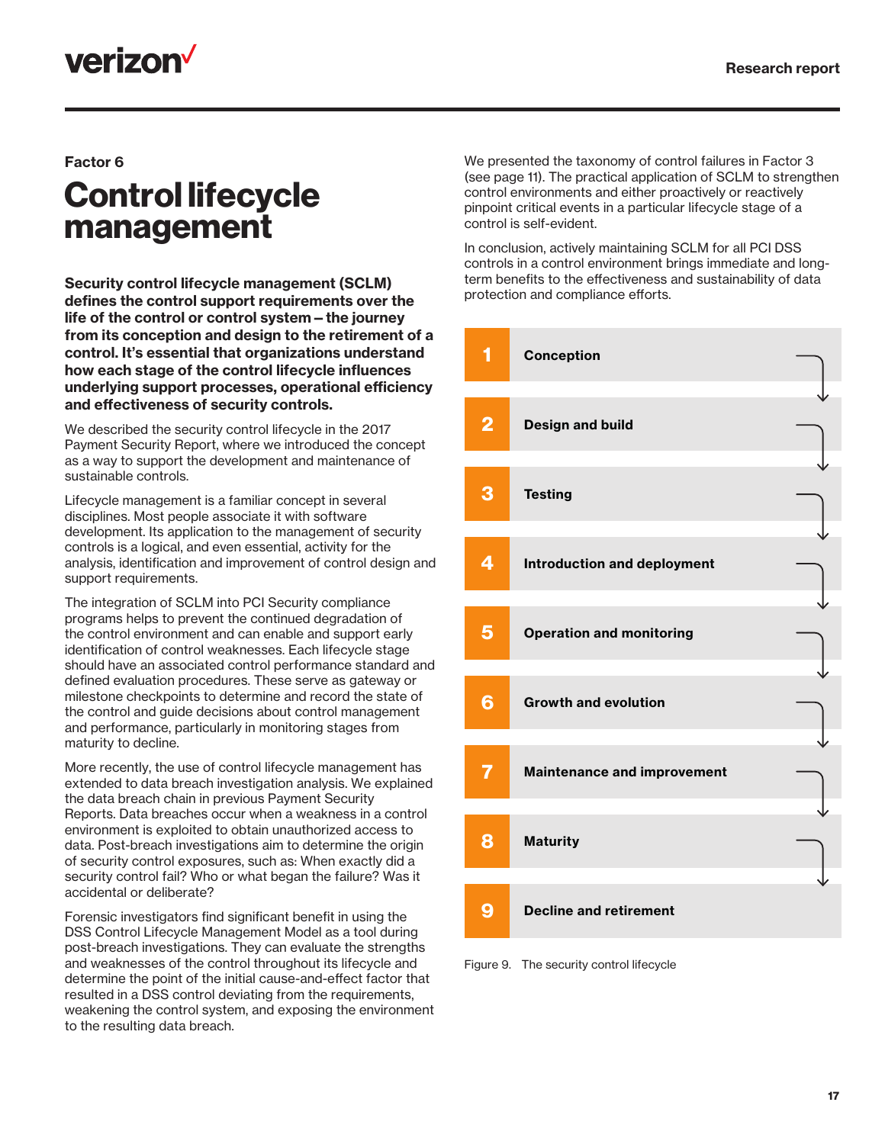## **verizon**

#### Factor 6

## Control lifecycle management

Security control lifecycle management (SCLM) defines the control support requirements over the life of the control or control system—the journey from its conception and design to the retirement of a control. It's essential that organizations understand how each stage of the control lifecycle influences underlying support processes, operational efficiency and effectiveness of security controls.

We described the security control lifecycle in the 2017 Payment Security Report, where we introduced the concept as a way to support the development and maintenance of sustainable controls.

Lifecycle management is a familiar concept in several disciplines. Most people associate it with software development. Its application to the management of security controls is a logical, and even essential, activity for the analysis, identification and improvement of control design and support requirements.

The integration of SCLM into PCI Security compliance programs helps to prevent the continued degradation of the control environment and can enable and support early identification of control weaknesses. Each lifecycle stage should have an associated control performance standard and defined evaluation procedures. These serve as gateway or milestone checkpoints to determine and record the state of the control and guide decisions about control management and performance, particularly in monitoring stages from maturity to decline.

More recently, the use of control lifecycle management has extended to data breach investigation analysis. We explained the data breach chain in previous Payment Security Reports. Data breaches occur when a weakness in a control environment is exploited to obtain unauthorized access to data. Post-breach investigations aim to determine the origin of security control exposures, such as: When exactly did a security control fail? Who or what began the failure? Was it accidental or deliberate?

Forensic investigators find significant benefit in using the DSS Control Lifecycle Management Model as a tool during post-breach investigations. They can evaluate the strengths and weaknesses of the control throughout its lifecycle and determine the point of the initial cause-and-effect factor that resulted in a DSS control deviating from the requirements, weakening the control system, and exposing the environment to the resulting data breach.

We presented the taxonomy of control failures in Factor 3 (see page 11). The practical application of SCLM to strengthen control environments and either proactively or reactively pinpoint critical events in a particular lifecycle stage of a control is self-evident.

In conclusion, actively maintaining SCLM for all PCI DSS controls in a control environment brings immediate and longterm benefits to the effectiveness and sustainability of data protection and compliance efforts.



Figure 9. The security control lifecycle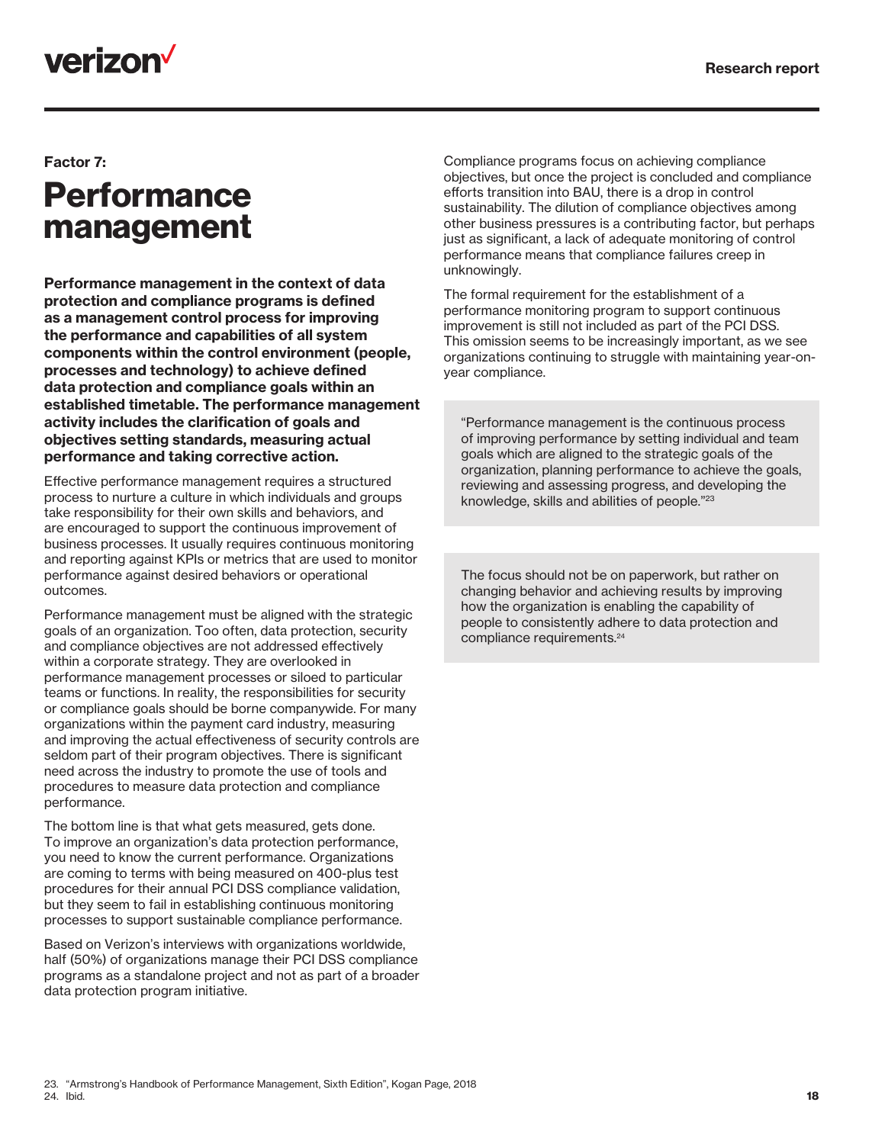## verizon<sup>V</sup>

#### Factor 7:

## **Performance** management

Performance management in the context of data protection and compliance programs is defined as a management control process for improving the performance and capabilities of all system components within the control environment (people, processes and technology) to achieve defined data protection and compliance goals within an established timetable. The performance management activity includes the clarification of goals and objectives setting standards, measuring actual performance and taking corrective action.

Effective performance management requires a structured process to nurture a culture in which individuals and groups take responsibility for their own skills and behaviors, and are encouraged to support the continuous improvement of business processes. It usually requires continuous monitoring and reporting against KPIs or metrics that are used to monitor performance against desired behaviors or operational outcomes.

Performance management must be aligned with the strategic goals of an organization. Too often, data protection, security and compliance objectives are not addressed effectively within a corporate strategy. They are overlooked in performance management processes or siloed to particular teams or functions. In reality, the responsibilities for security or compliance goals should be borne companywide. For many organizations within the payment card industry, measuring and improving the actual effectiveness of security controls are seldom part of their program objectives. There is significant need across the industry to promote the use of tools and procedures to measure data protection and compliance performance.

The bottom line is that what gets measured, gets done. To improve an organization's data protection performance, you need to know the current performance. Organizations are coming to terms with being measured on 400-plus test procedures for their annual PCI DSS compliance validation, but they seem to fail in establishing continuous monitoring processes to support sustainable compliance performance.

Based on Verizon's interviews with organizations worldwide, half (50%) of organizations manage their PCI DSS compliance programs as a standalone project and not as part of a broader data protection program initiative.

Compliance programs focus on achieving compliance objectives, but once the project is concluded and compliance efforts transition into BAU, there is a drop in control sustainability. The dilution of compliance objectives among other business pressures is a contributing factor, but perhaps just as significant, a lack of adequate monitoring of control performance means that compliance failures creep in unknowingly.

The formal requirement for the establishment of a performance monitoring program to support continuous improvement is still not included as part of the PCI DSS. This omission seems to be increasingly important, as we see organizations continuing to struggle with maintaining year-onyear compliance.

"Performance management is the continuous process of improving performance by setting individual and team goals which are aligned to the strategic goals of the organization, planning performance to achieve the goals, reviewing and assessing progress, and developing the knowledge, skills and abilities of people."23

The focus should not be on paperwork, but rather on changing behavior and achieving results by improving how the organization is enabling the capability of people to consistently adhere to data protection and compliance requirements.24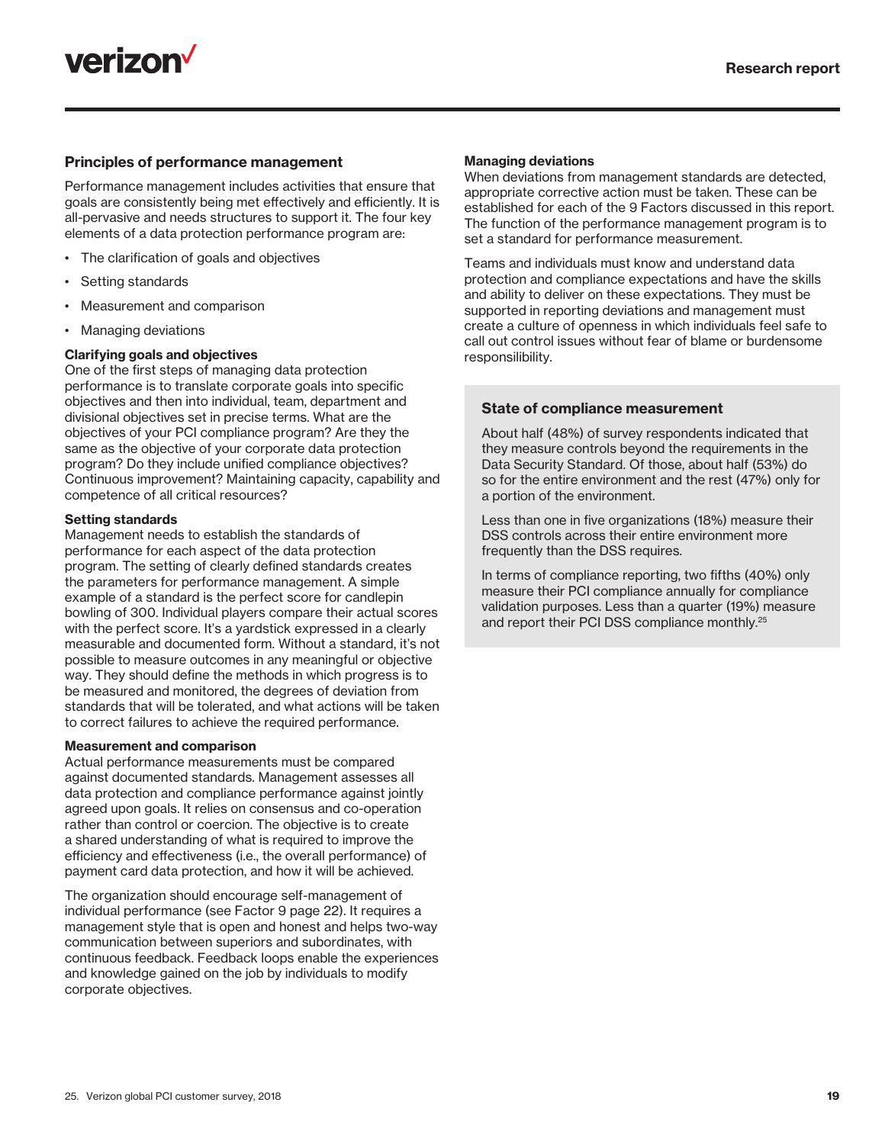

#### Principles of performance management

Performance management includes activities that ensure that goals are consistently being met effectively and efficiently. It is all-pervasive and needs structures to support it. The four key elements of a data protection performance program are:

- The clarification of goals and objectives
- Setting standards
- Measurement and comparison
- Managing deviations

#### Clarifying goals and objectives

One of the first steps of managing data protection performance is to translate corporate goals into specific objectives and then into individual, team, department and divisional objectives set in precise terms. What are the objectives of your PCI compliance program? Are they the same as the objective of your corporate data protection program? Do they include unified compliance objectives? Continuous improvement? Maintaining capacity, capability and competence of all critical resources?

#### Setting standards

Management needs to establish the standards of performance for each aspect of the data protection program. The setting of clearly defined standards creates the parameters for performance management. A simple example of a standard is the perfect score for candlepin bowling of 300. Individual players compare their actual scores with the perfect score. It's a yardstick expressed in a clearly measurable and documented form. Without a standard, it's not possible to measure outcomes in any meaningful or objective way. They should define the methods in which progress is to be measured and monitored, the degrees of deviation from standards that will be tolerated, and what actions will be taken to correct failures to achieve the required performance.

#### Measurement and comparison

Actual performance measurements must be compared against documented standards. Management assesses all data protection and compliance performance against jointly agreed upon goals. It relies on consensus and co-operation rather than control or coercion. The objective is to create a shared understanding of what is required to improve the efficiency and effectiveness (i.e., the overall performance) of payment card data protection, and how it will be achieved.

The organization should encourage self-management of individual performance (see Factor 9 page 22). It requires a management style that is open and honest and helps two-way communication between superiors and subordinates, with continuous feedback. Feedback loops enable the experiences and knowledge gained on the job by individuals to modify corporate objectives.

#### Managing deviations

When deviations from management standards are detected, appropriate corrective action must be taken. These can be established for each of the 9 Factors discussed in this report. The function of the performance management program is to set a standard for performance measurement.

Teams and individuals must know and understand data protection and compliance expectations and have the skills and ability to deliver on these expectations. They must be supported in reporting deviations and management must create a culture of openness in which individuals feel safe to call out control issues without fear of blame or burdensome responsilibility.

#### State of compliance measurement

About half (48%) of survey respondents indicated that they measure controls beyond the requirements in the Data Security Standard. Of those, about half (53%) do so for the entire environment and the rest (47%) only for a portion of the environment.

Less than one in five organizations (18%) measure their DSS controls across their entire environment more frequently than the DSS requires.

In terms of compliance reporting, two fifths (40%) only measure their PCI compliance annually for compliance validation purposes. Less than a quarter (19%) measure and report their PCI DSS compliance monthly.25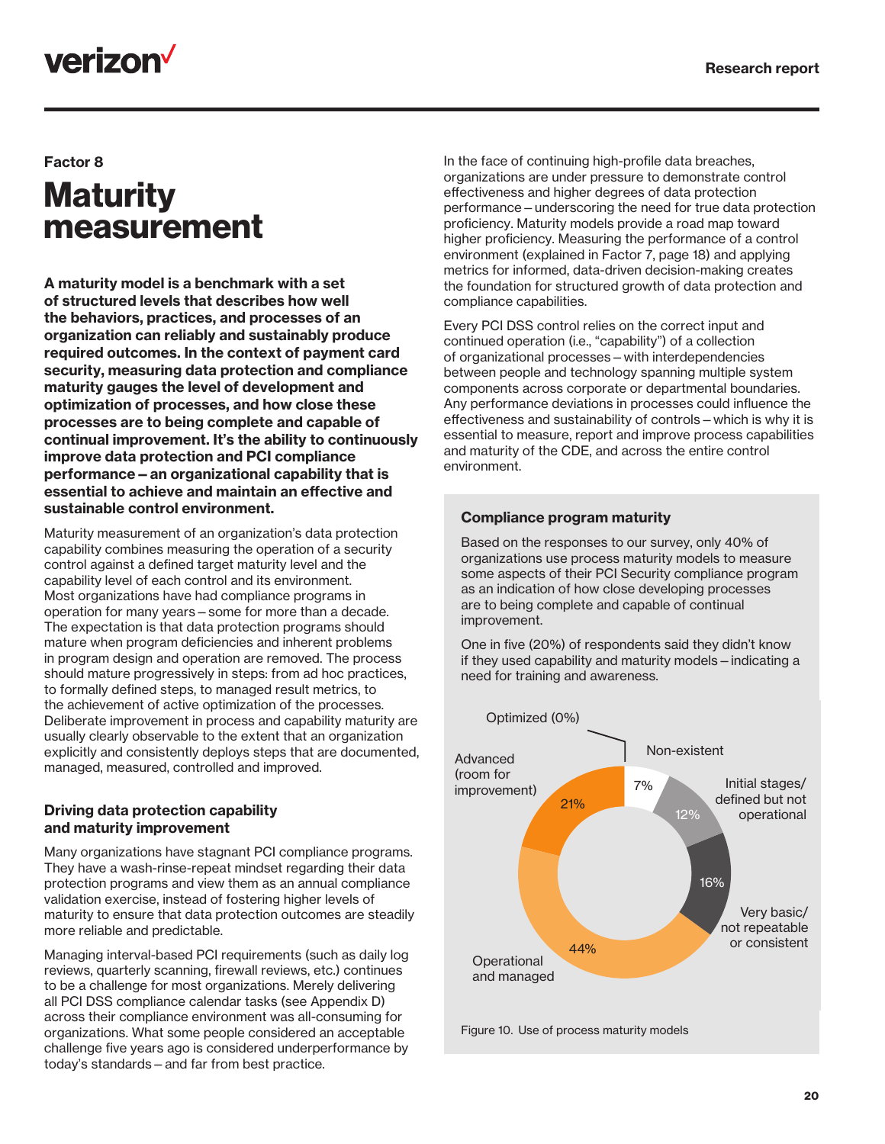## verizon<sup>V</sup>

#### Factor 8

## **Maturity** measurement

A maturity model is a benchmark with a set of structured levels that describes how well the behaviors, practices, and processes of an organization can reliably and sustainably produce required outcomes. In the context of payment card security, measuring data protection and compliance maturity gauges the level of development and optimization of processes, and how close these processes are to being complete and capable of continual improvement. It's the ability to continuously improve data protection and PCI compliance performance—an organizational capability that is essential to achieve and maintain an effective and sustainable control environment.

Maturity measurement of an organization's data protection capability combines measuring the operation of a security control against a defined target maturity level and the capability level of each control and its environment. Most organizations have had compliance programs in operation for many years—some for more than a decade. The expectation is that data protection programs should mature when program deficiencies and inherent problems in program design and operation are removed. The process should mature progressively in steps: from ad hoc practices, to formally defined steps, to managed result metrics, to the achievement of active optimization of the processes. Deliberate improvement in process and capability maturity are usually clearly observable to the extent that an organization explicitly and consistently deploys steps that are documented, managed, measured, controlled and improved.

#### Driving data protection capability and maturity improvement

Many organizations have stagnant PCI compliance programs. They have a wash-rinse-repeat mindset regarding their data protection programs and view them as an annual compliance validation exercise, instead of fostering higher levels of maturity to ensure that data protection outcomes are steadily more reliable and predictable.

Managing interval-based PCI requirements (such as daily log reviews, quarterly scanning, firewall reviews, etc.) continues to be a challenge for most organizations. Merely delivering all PCI DSS compliance calendar tasks (see Appendix D) across their compliance environment was all-consuming for organizations. What some people considered an acceptable challenge five years ago is considered underperformance by today's standards—and far from best practice.

In the face of continuing high-profile data breaches, organizations are under pressure to demonstrate control effectiveness and higher degrees of data protection performance—underscoring the need for true data protection proficiency. Maturity models provide a road map toward higher proficiency. Measuring the performance of a control environment (explained in Factor 7, page 18) and applying metrics for informed, data-driven decision-making creates the foundation for structured growth of data protection and compliance capabilities.

Every PCI DSS control relies on the correct input and continued operation (i.e., "capability") of a collection of organizational processes—with interdependencies between people and technology spanning multiple system components across corporate or departmental boundaries. Any performance deviations in processes could influence the effectiveness and sustainability of controls—which is why it is essential to measure, report and improve process capabilities and maturity of the CDE, and across the entire control environment.

#### Compliance program maturity

Based on the responses to our survey, only 40% of organizations use process maturity models to measure some aspects of their PCI Security compliance program as an indication of how close developing processes are to being complete and capable of continual improvement.

One in five (20%) of respondents said they didn't know if they used capability and maturity models—indicating a need for training and awareness.

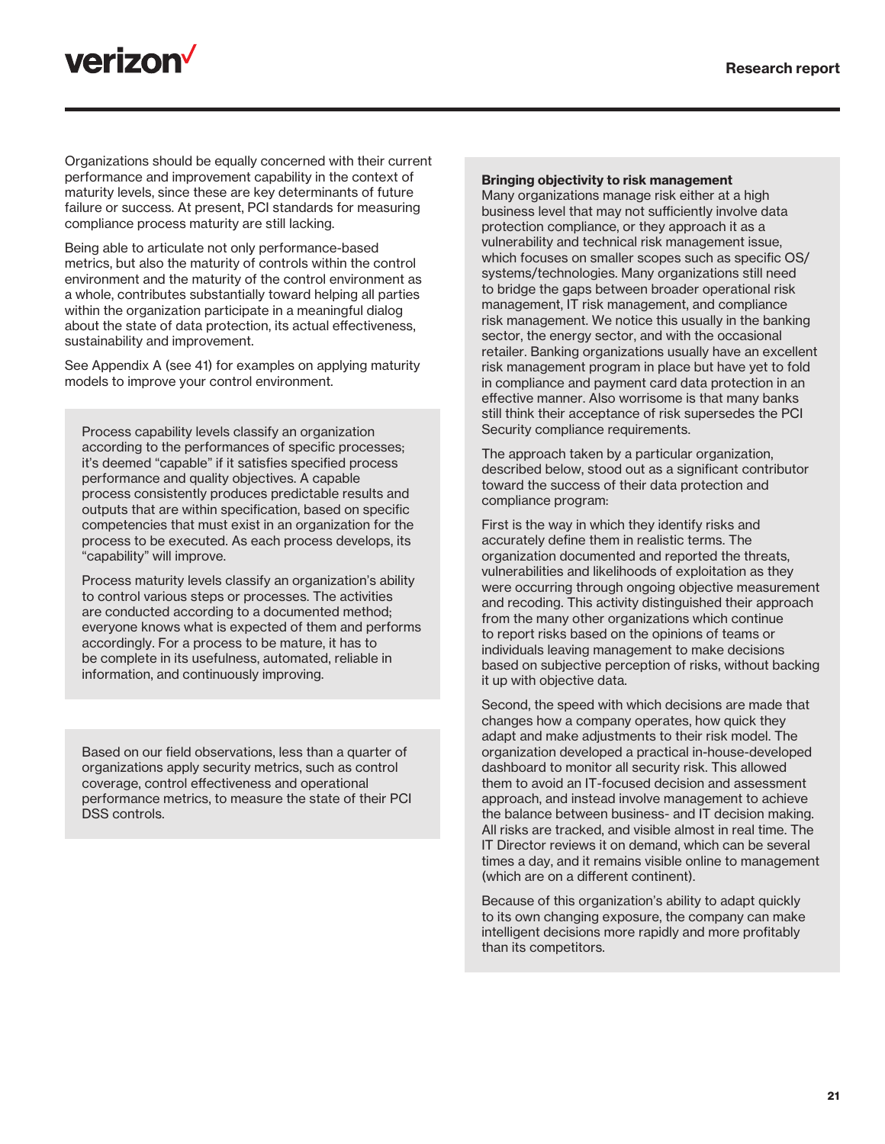

Organizations should be equally concerned with their current performance and improvement capability in the context of maturity levels, since these are key determinants of future failure or success. At present, PCI standards for measuring compliance process maturity are still lacking.

Being able to articulate not only performance-based metrics, but also the maturity of controls within the control environment and the maturity of the control environment as a whole, contributes substantially toward helping all parties within the organization participate in a meaningful dialog about the state of data protection, its actual effectiveness, sustainability and improvement.

See Appendix A (see 41) for examples on applying maturity models to improve your control environment.

Process capability levels classify an organization according to the performances of specific processes; it's deemed "capable" if it satisfies specified process performance and quality objectives. A capable process consistently produces predictable results and outputs that are within specification, based on specific competencies that must exist in an organization for the process to be executed. As each process develops, its "capability" will improve.

Process maturity levels classify an organization's ability to control various steps or processes. The activities are conducted according to a documented method; everyone knows what is expected of them and performs accordingly. For a process to be mature, it has to be complete in its usefulness, automated, reliable in information, and continuously improving.

Based on our field observations, less than a quarter of organizations apply security metrics, such as control coverage, control effectiveness and operational performance metrics, to measure the state of their PCI DSS controls.

#### Bringing objectivity to risk management

Many organizations manage risk either at a high business level that may not sufficiently involve data protection compliance, or they approach it as a vulnerability and technical risk management issue, which focuses on smaller scopes such as specific OS/ systems/technologies. Many organizations still need to bridge the gaps between broader operational risk management, IT risk management, and compliance risk management. We notice this usually in the banking sector, the energy sector, and with the occasional retailer. Banking organizations usually have an excellent risk management program in place but have yet to fold in compliance and payment card data protection in an effective manner. Also worrisome is that many banks still think their acceptance of risk supersedes the PCI Security compliance requirements.

The approach taken by a particular organization, described below, stood out as a significant contributor toward the success of their data protection and compliance program:

First is the way in which they identify risks and accurately define them in realistic terms. The organization documented and reported the threats, vulnerabilities and likelihoods of exploitation as they were occurring through ongoing objective measurement and recoding. This activity distinguished their approach from the many other organizations which continue to report risks based on the opinions of teams or individuals leaving management to make decisions based on subjective perception of risks, without backing it up with objective data.

Second, the speed with which decisions are made that changes how a company operates, how quick they adapt and make adjustments to their risk model. The organization developed a practical in-house-developed dashboard to monitor all security risk. This allowed them to avoid an IT-focused decision and assessment approach, and instead involve management to achieve the balance between business- and IT decision making. All risks are tracked, and visible almost in real time. The IT Director reviews it on demand, which can be several times a day, and it remains visible online to management (which are on a different continent).

Because of this organization's ability to adapt quickly to its own changing exposure, the company can make intelligent decisions more rapidly and more profitably than its competitors.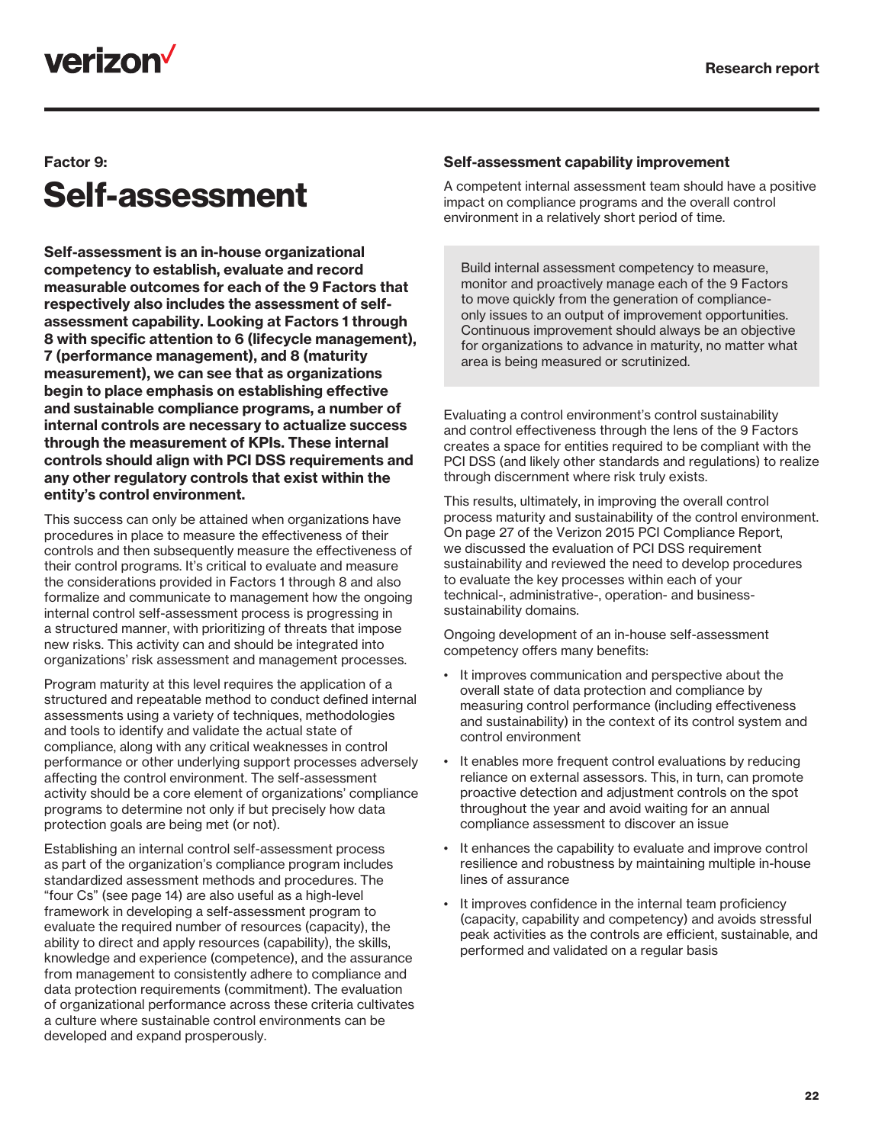

### Factor 9:

## Self-assessment

Self-assessment is an in-house organizational competency to establish, evaluate and record measurable outcomes for each of the 9 Factors that respectively also includes the assessment of selfassessment capability. Looking at Factors 1 through 8 with specific attention to 6 (lifecycle management), 7 (performance management), and 8 (maturity measurement), we can see that as organizations begin to place emphasis on establishing effective and sustainable compliance programs, a number of internal controls are necessary to actualize success through the measurement of KPIs. These internal controls should align with PCI DSS requirements and any other regulatory controls that exist within the entity's control environment.

This success can only be attained when organizations have procedures in place to measure the effectiveness of their controls and then subsequently measure the effectiveness of their control programs. It's critical to evaluate and measure the considerations provided in Factors 1 through 8 and also formalize and communicate to management how the ongoing internal control self-assessment process is progressing in a structured manner, with prioritizing of threats that impose new risks. This activity can and should be integrated into organizations' risk assessment and management processes.

Program maturity at this level requires the application of a structured and repeatable method to conduct defined internal assessments using a variety of techniques, methodologies and tools to identify and validate the actual state of compliance, along with any critical weaknesses in control performance or other underlying support processes adversely affecting the control environment. The self-assessment activity should be a core element of organizations' compliance programs to determine not only if but precisely how data protection goals are being met (or not).

Establishing an internal control self-assessment process as part of the organization's compliance program includes standardized assessment methods and procedures. The "four Cs" (see page 14) are also useful as a high-level framework in developing a self-assessment program to evaluate the required number of resources (capacity), the ability to direct and apply resources (capability), the skills, knowledge and experience (competence), and the assurance from management to consistently adhere to compliance and data protection requirements (commitment). The evaluation of organizational performance across these criteria cultivates a culture where sustainable control environments can be developed and expand prosperously.

#### Self-assessment capability improvement

A competent internal assessment team should have a positive impact on compliance programs and the overall control environment in a relatively short period of time.

Build internal assessment competency to measure, monitor and proactively manage each of the 9 Factors to move quickly from the generation of complianceonly issues to an output of improvement opportunities. Continuous improvement should always be an objective for organizations to advance in maturity, no matter what area is being measured or scrutinized.

Evaluating a control environment's control sustainability and control effectiveness through the lens of the 9 Factors creates a space for entities required to be compliant with the PCI DSS (and likely other standards and regulations) to realize through discernment where risk truly exists.

This results, ultimately, in improving the overall control process maturity and sustainability of the control environment. On page 27 of the Verizon 2015 PCI Compliance Report, we discussed the evaluation of PCI DSS requirement sustainability and reviewed the need to develop procedures to evaluate the key processes within each of your technical-, administrative-, operation- and businesssustainability domains.

Ongoing development of an in-house self-assessment competency offers many benefits:

- It improves communication and perspective about the overall state of data protection and compliance by measuring control performance (including effectiveness and sustainability) in the context of its control system and control environment
- It enables more frequent control evaluations by reducing reliance on external assessors. This, in turn, can promote proactive detection and adjustment controls on the spot throughout the year and avoid waiting for an annual compliance assessment to discover an issue
- It enhances the capability to evaluate and improve control resilience and robustness by maintaining multiple in-house lines of assurance
- It improves confidence in the internal team proficiency (capacity, capability and competency) and avoids stressful peak activities as the controls are efficient, sustainable, and performed and validated on a regular basis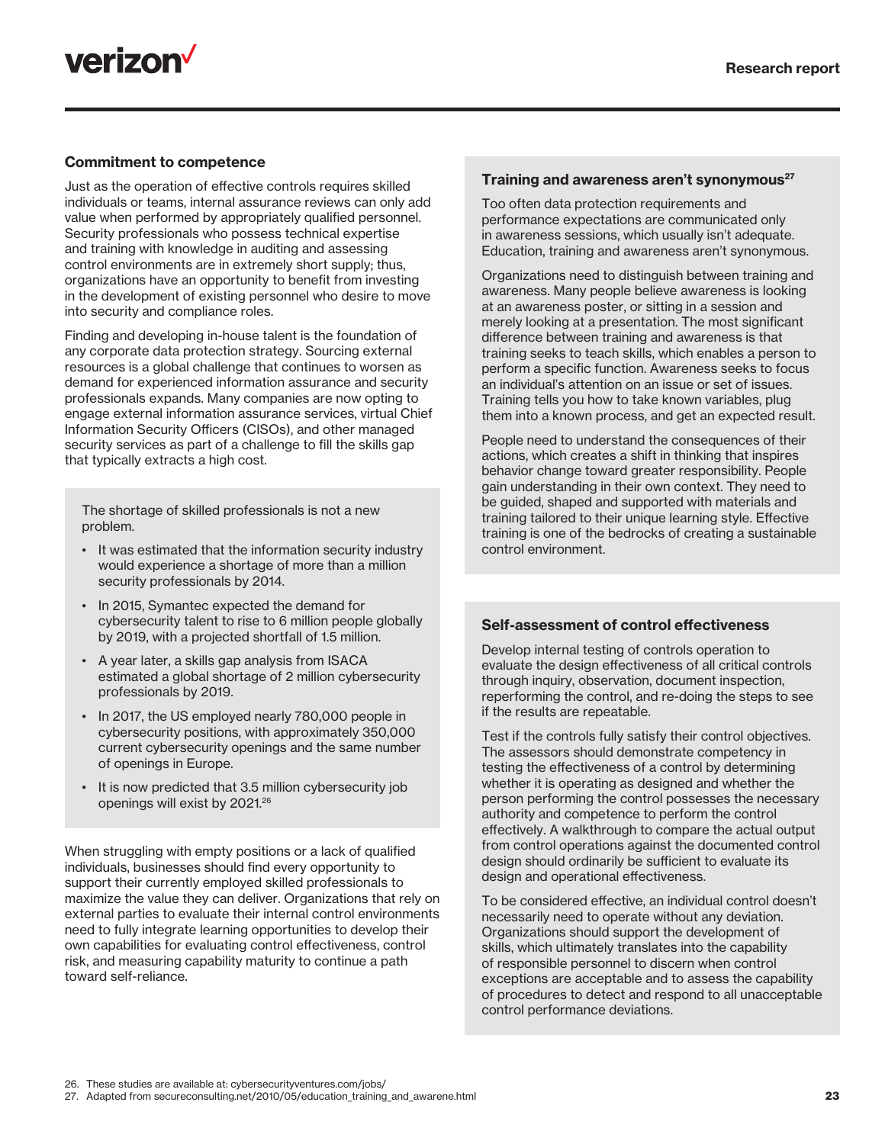

#### Commitment to competence

Just as the operation of effective controls requires skilled individuals or teams, internal assurance reviews can only add value when performed by appropriately qualified personnel. Security professionals who possess technical expertise and training with knowledge in auditing and assessing control environments are in extremely short supply; thus, organizations have an opportunity to benefit from investing in the development of existing personnel who desire to move into security and compliance roles.

Finding and developing in-house talent is the foundation of any corporate data protection strategy. Sourcing external resources is a global challenge that continues to worsen as demand for experienced information assurance and security professionals expands. Many companies are now opting to engage external information assurance services, virtual Chief Information Security Officers (CISOs), and other managed security services as part of a challenge to fill the skills gap that typically extracts a high cost.

The shortage of skilled professionals is not a new problem.

- It was estimated that the information security industry would experience a shortage of more than a million security professionals by 2014.
- In 2015, Symantec expected the demand for cybersecurity talent to rise to 6 million people globally by 2019, with a projected shortfall of 1.5 million.
- A year later, a skills gap analysis from ISACA estimated a global shortage of 2 million cybersecurity professionals by 2019.
- In 2017, the US employed nearly 780,000 people in cybersecurity positions, with approximately 350,000 current cybersecurity openings and the same number of openings in Europe.
- It is now predicted that 3.5 million cybersecurity job openings will exist by 2021.<sup>26</sup>

When struggling with empty positions or a lack of qualified individuals, businesses should find every opportunity to support their currently employed skilled professionals to maximize the value they can deliver. Organizations that rely on external parties to evaluate their internal control environments need to fully integrate learning opportunities to develop their own capabilities for evaluating control effectiveness, control risk, and measuring capability maturity to continue a path toward self-reliance.

#### Training and awareness aren't synonymous<sup>27</sup>

Too often data protection requirements and performance expectations are communicated only in awareness sessions, which usually isn't adequate. Education, training and awareness aren't synonymous.

Organizations need to distinguish between training and awareness. Many people believe awareness is looking at an awareness poster, or sitting in a session and merely looking at a presentation. The most significant difference between training and awareness is that training seeks to teach skills, which enables a person to perform a specific function. Awareness seeks to focus an individual's attention on an issue or set of issues. Training tells you how to take known variables, plug them into a known process, and get an expected result.

People need to understand the consequences of their actions, which creates a shift in thinking that inspires behavior change toward greater responsibility. People gain understanding in their own context. They need to be guided, shaped and supported with materials and training tailored to their unique learning style. Effective training is one of the bedrocks of creating a sustainable control environment.

#### Self-assessment of control effectiveness

Develop internal testing of controls operation to evaluate the design effectiveness of all critical controls through inquiry, observation, document inspection, reperforming the control, and re-doing the steps to see if the results are repeatable.

Test if the controls fully satisfy their control objectives. The assessors should demonstrate competency in testing the effectiveness of a control by determining whether it is operating as designed and whether the person performing the control possesses the necessary authority and competence to perform the control effectively. A walkthrough to compare the actual output from control operations against the documented control design should ordinarily be sufficient to evaluate its design and operational effectiveness.

To be considered effective, an individual control doesn't necessarily need to operate without any deviation. Organizations should support the development of skills, which ultimately translates into the capability of responsible personnel to discern when control exceptions are acceptable and to assess the capability of procedures to detect and respond to all unacceptable control performance deviations.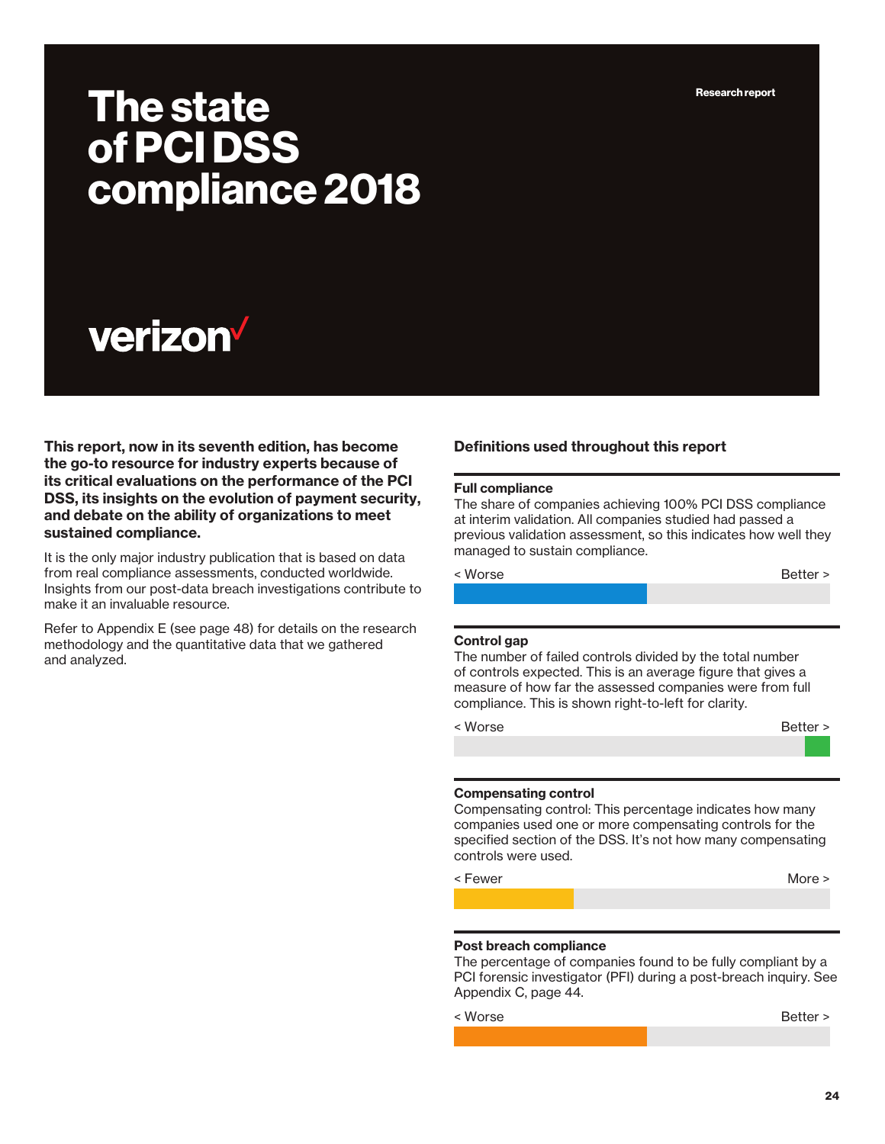Research report

# The state of PCI DSS compliance 2018

# **verizon**

This report, now in its seventh edition, has become the go-to resource for industry experts because of its critical evaluations on the performance of the PCI DSS, its insights on the evolution of payment security, and debate on the ability of organizations to meet sustained compliance.

It is the only major industry publication that is based on data from real compliance assessments, conducted worldwide. Insights from our post-data breach investigations contribute to make it an invaluable resource.

Refer to Appendix E (see page 48) for details on the research methodology and the quantitative data that we gathered and analyzed.

#### Definitions used throughout this report

#### Full compliance

The share of companies achieving 100% PCI DSS compliance at interim validation. All companies studied had passed a previous validation assessment, so this indicates how well they managed to sustain compliance.

< Worse Better >

#### Control gap

The number of failed controls divided by the total number of controls expected. This is an average figure that gives a measure of how far the assessed companies were from full compliance. This is shown right-to-left for clarity.

< Worse Better >

#### Compensating control

Compensating control: This percentage indicates how many companies used one or more compensating controls for the specified section of the DSS. It's not how many compensating controls were used.

< Fewer More > North More > North More > North More >  $\blacksquare$ 

#### Post breach compliance

The percentage of companies found to be fully compliant by a PCI forensic investigator (PFI) during a post-breach inquiry. See Appendix C, page 44.

< Worse Better >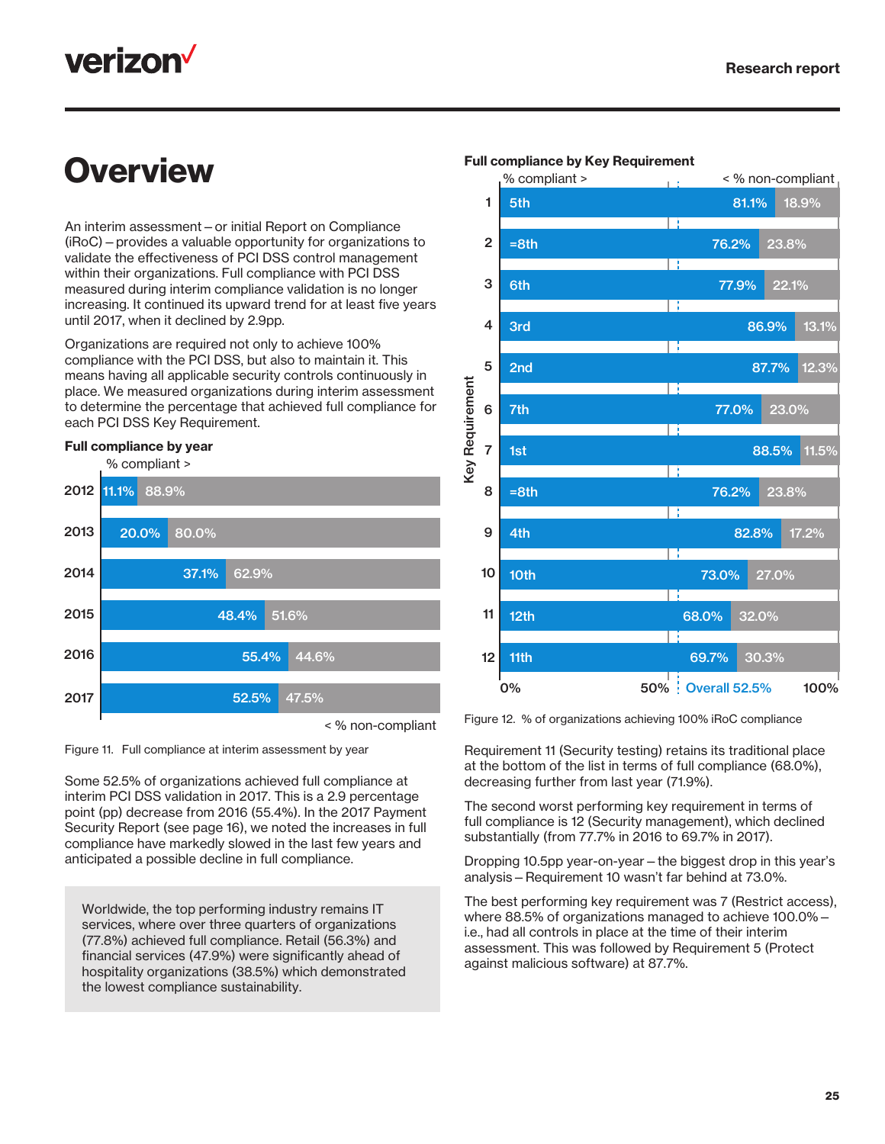## **verizon**

## **Overview**

An interim assessment—or initial Report on Compliance (iRoC)—provides a valuable opportunity for organizations to validate the effectiveness of PCI DSS control management within their organizations. Full compliance with PCI DSS measured during interim compliance validation is no longer increasing. It continued its upward trend for at least five years until 2017, when it declined by 2.9pp.

Organizations are required not only to achieve 100% compliance with the PCI DSS, but also to maintain it. This means having all applicable security controls continuously in place. We measured organizations during interim assessment to determine the percentage that achieved full compliance for each PCI DSS Key Requirement.

#### Full compliance by year Full compliance by year



Figure 11. Full compliance at interim assessment by year

Some 52.5% of organizations achieved full compliance at interim PCI DSS validation in 2017. This is a 2.9 percentage point (pp) decrease from 2016 (55.4%). In the 2017 Payment Security Report (see page 16), we noted the increases in full compliance have markedly slowed in the last few years and anticipated a possible decline in full compliance.

Worldwide, the top performing industry remains IT services, where over three quarters of organizations (77.8%) achieved full compliance. Retail (56.3%) and financial services (47.9%) were significantly ahead of hospitality organizations (38.5%) which demonstrated the lowest compliance sustainability.



#### Full compliance by Key Requirement Full compliance by Key Requirement

Figure 12. % of organizations achieving 100% iRoC compliance

Requirement 11 (Security testing) retains its traditional place at the bottom of the list in terms of full compliance (68.0%), decreasing further from last year (71.9%).

The second worst performing key requirement in terms of full compliance is 12 (Security management), which declined substantially (from 77.7% in 2016 to 69.7% in 2017).

Dropping 10.5pp year-on-year—the biggest drop in this year's analysis—Requirement 10 wasn't far behind at 73.0%.

The best performing key requirement was 7 (Restrict access), where 88.5% of organizations managed to achieve 100.0% i.e., had all controls in place at the time of their interim assessment. This was followed by Requirement 5 (Protect against malicious software) at 87.7%.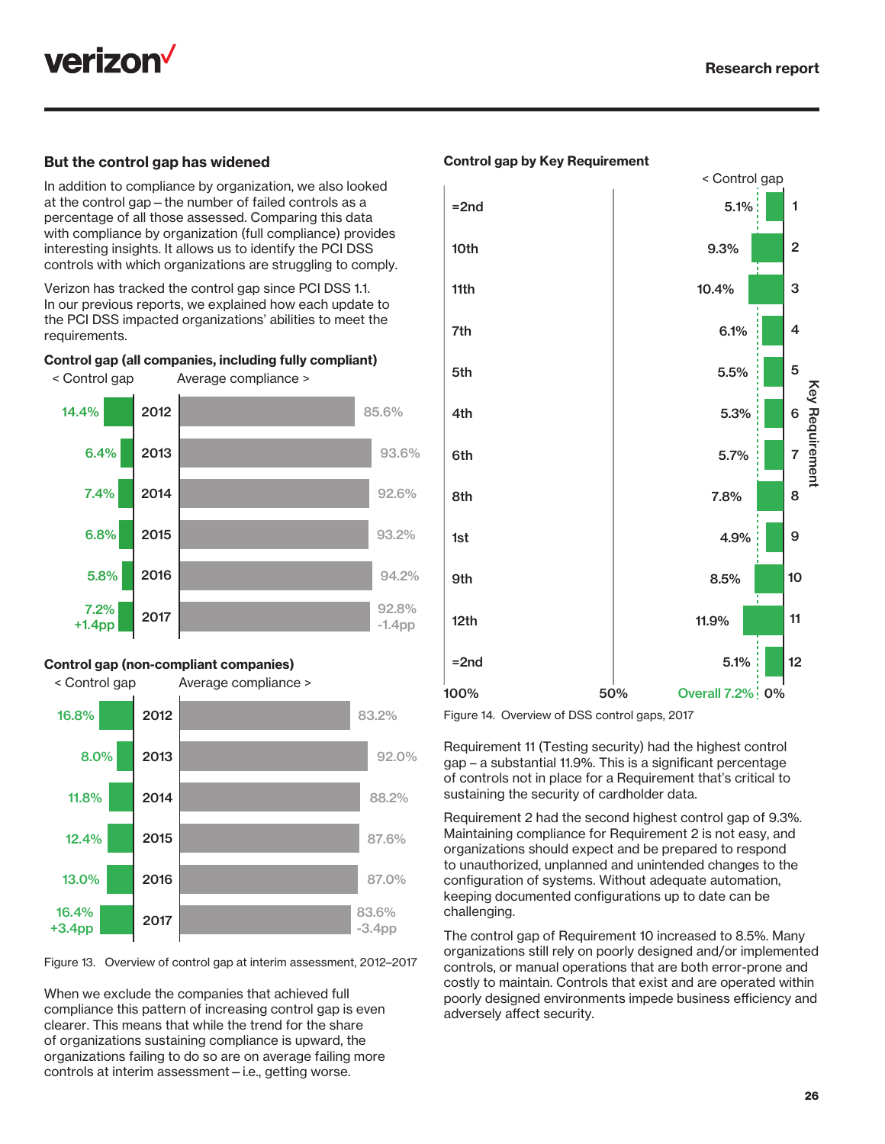

#### But the control gap has widened

In addition to compliance by organization, we also looked at the control gap—the number of failed controls as a percentage of all those assessed. Comparing this data with compliance by organization (full compliance) provides interesting insights. It allows us to identify the PCI DSS controls with which organizations are struggling to comply.

Verizon has tracked the control gap since PCI DSS 1.1. In our previous reports, we explained how each update to the PCI DSS impacted organizations' abilities to meet the requirements. The compliant of the compliant of the compliant of the compliant of the compliant of the compliant of the compliant of the compliant of the compliant of the compliant of the compliant of the compliant of the

#### Control gap (all companies, including fully compliant) Control gap (all companies, including fully compliant) ontrol gap (all companies, including fully





#### Control gap (non-compliant companies) Control gap (non-compliant companies) Control gap (non-compliant companies)

< Control gap Average compliance >



Figure 13. Overview of control gap at interim assessment, 2012–2017

When we exclude the companies that achieved full compliance this pattern of increasing control gap is even clearer. This means that while the trend for the share of organizations sustaining compliance is upward, the organizations failing to do so are on average failing more controls at interim assessment—i.e., getting worse.



Figure 14. Overview of DSS control gaps, 2017

Requirement 11 (Testing security) had the highest control gap – a substantial 11.9%. This is a significant percentage of controls not in place for a Requirement that's critical to sustaining the security of cardholder data.

Requirement 2 had the second highest control gap of 9.3%. Maintaining compliance for Requirement 2 is not easy, and organizations should expect and be prepared to respond to unauthorized, unplanned and unintended changes to the configuration of systems. Without adequate automation, keeping documented configurations up to date can be challenging.

The control gap of Requirement 10 increased to 8.5%. Many organizations still rely on poorly designed and/or implemented controls, or manual operations that are both error-prone and costly to maintain. Controls that exist and are operated within poorly designed environments impede business efficiency and adversely affect security.

#### Control gap by Key Requirement Control gap by Key Requirement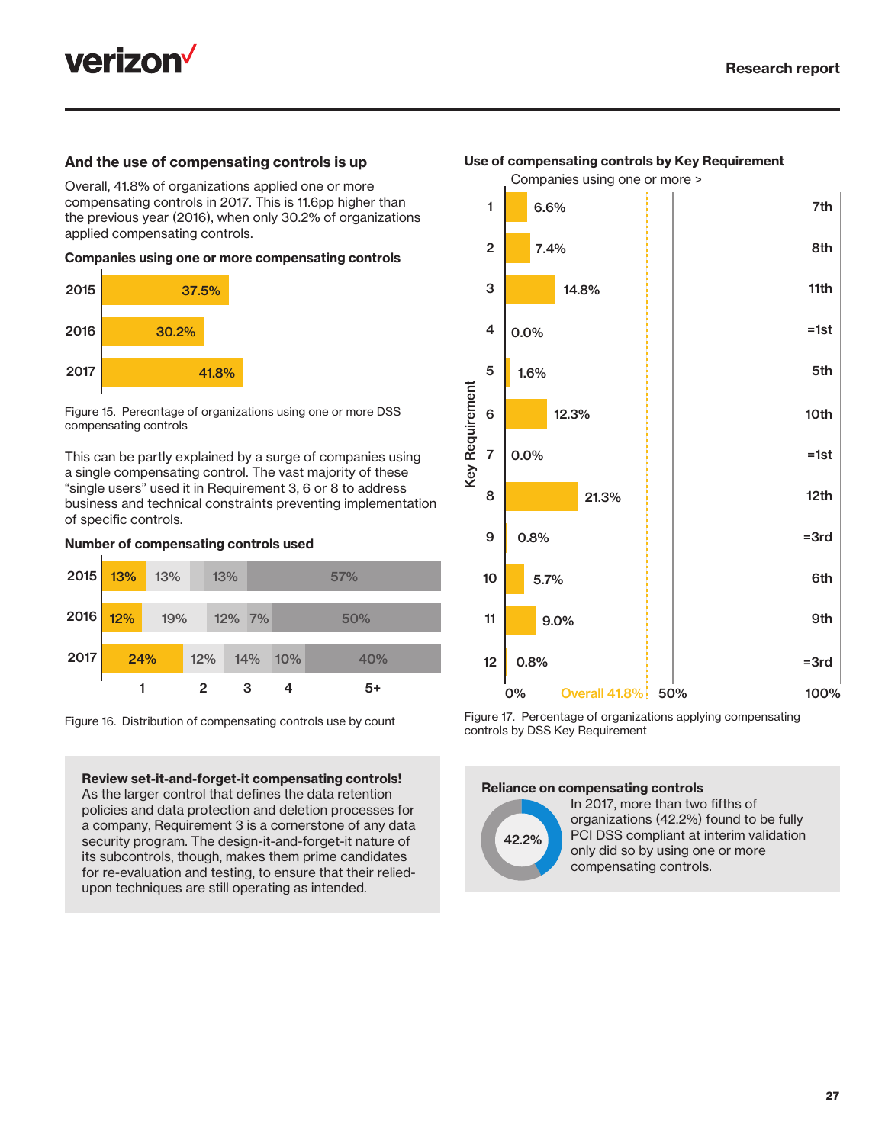

#### And the use of compensating controls is up

Overall, 41.8% of organizations applied one or more compensating controls in 2017. This is 11.6pp higher than the previous year (2016), when only 30.2% of organizations applied compensating controls.

#### Companies using one or more compensating controls



Figure 15. Perecntage of organizations using one or more DSS compensating controls

This can be partly explained by a surge of companies using a single compensating control. The vast majority of these "single users" used it in Requirement 3, 6 or 8 to address business and technical constraints preventing implementation of specific controls.

#### Number of compensating controls used



Figure 16. Distribution of compensating controls use by count

Review set-it-and-forget-it compensating controls! As the larger control that defines the data retention policies and data protection and deletion processes for a company, Requirement 3 is a cornerstone of any data security program. The design-it-and-forget-it nature of its subcontrols, though, makes them prime candidates for re-evaluation and testing, to ensure that their reliedupon techniques are still operating as intended.

#### Use of compensating controls by Key Requirement Use of compensating controls by Key Requirement

Companies using one or more >



Figure 17. Percentage of organizations applying compensating controls by DSS Key Requirement

#### Reliance on compensating controls



In 2017, more than two fifths of organizations (42.2%) found to be fully PCI DSS compliant at interim validation only did so by using one or more compensating controls.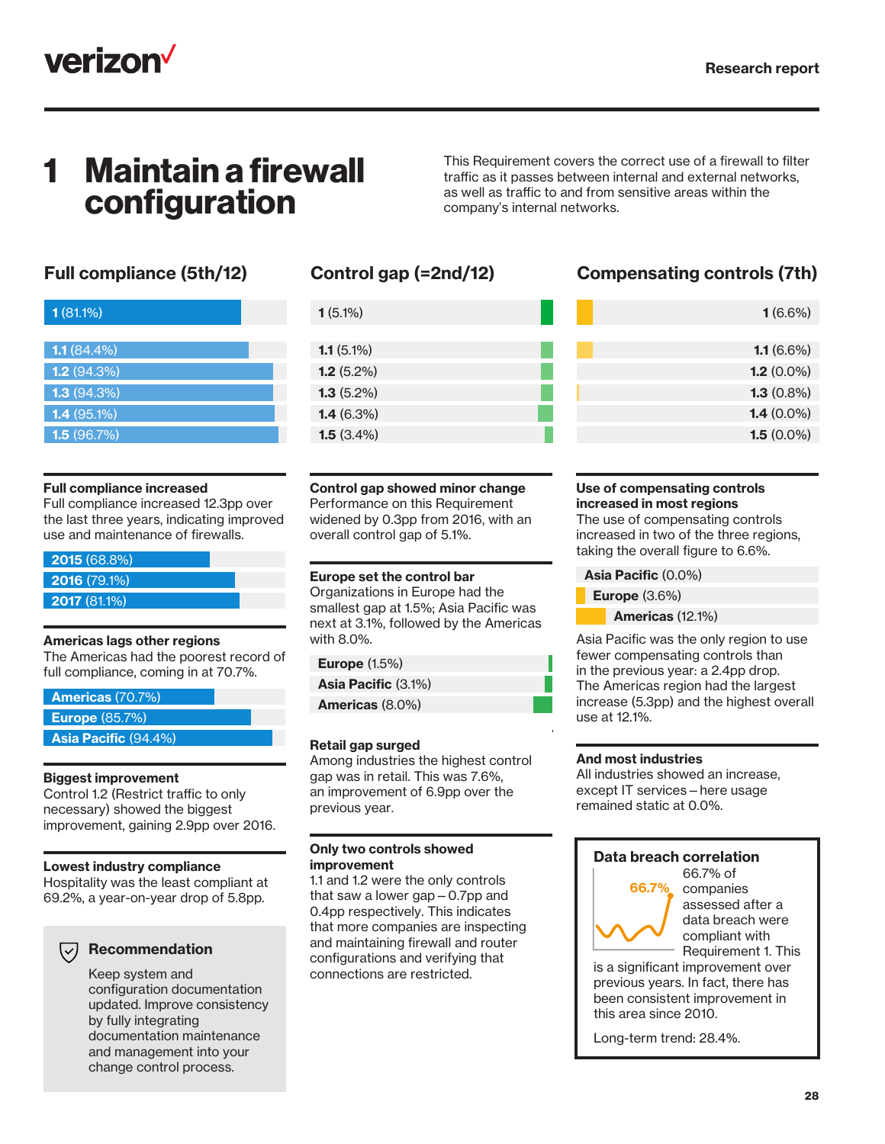

## **Maintain a firewall** configuration

This Requirement covers the correct use of a firewall to filter traffic as it passes between internal and external networks, as well as traffic to and from sensitive areas within the company's internal networks.

| 1(81.1%)      |  |  |
|---------------|--|--|
|               |  |  |
| $1.1(84.4\%)$ |  |  |
| 1.2(94.3%)    |  |  |
| 1.3(94.3%)    |  |  |
| $1.4(95.1\%)$ |  |  |
| 1.5(96.7%)    |  |  |

#### Full compliance increased

Full compliance increased 12.3pp over the last three years, indicating improved use and maintenance of firewalls.

| 2015 (68.8%)   |  |
|----------------|--|
| $2016(79.1\%)$ |  |
| 2017(81.1%)    |  |

#### Americas lags other regions

The Americas had the poorest record of full compliance, coming in at 70.7%.

| <b>Americas (70.7%)</b>     |  |
|-----------------------------|--|
| Europe $(85.7%)$            |  |
| <b>Asia Pacific (94.4%)</b> |  |

#### Biggest improvement

Control 1.2 (Restrict traffic to only necessary) showed the biggest improvement, gaining 2.9pp over 2016.

#### Lowest industry compliance

Hospitality was the least compliant at 69.2%, a year-on-year drop of 5.8pp.

#### Recommendation

Keep system and configuration documentation updated. Improve consistency by fully integrating documentation maintenance and management into your change control process.

| $1(5.1\%)$   |  |
|--------------|--|
|              |  |
| $1.1(5.1\%)$ |  |
| 1.2(5.2%)    |  |
| $1.3(5.2\%)$ |  |
| 1.4(6.3%)    |  |
| 1.5(3.4%)    |  |

Control gap showed minor change Performance on this Requirement widened by 0.3pp from 2016, with an overall control gap of 5.1%.

#### Europe set the control bar

Organizations in Europe had the smallest gap at 1.5%; Asia Pacific was next at 3.1%, followed by the Americas with 8.0%.

| <b>Europe (1.5%)</b> |  |
|----------------------|--|
|                      |  |

Americas (8.0%) Asia Pacific (3.1%)

#### Retail gap surged

Among industries the highest control gap was in retail. This was 7.6%, an improvement of 6.9pp over the previous year.

#### Only two controls showed improvement

1.1 and 1.2 were the only controls that saw a lower gap—0.7pp and 0.4pp respectively. This indicates that more companies are inspecting and maintaining firewall and router configurations and verifying that connections are restricted.

### Full compliance (5th/12) Control gap (=2nd/12) Compensating controls (7th)

| $1(6.6\%)$    |
|---------------|
|               |
| $1.1(6.6\%)$  |
| 1.2 $(0.0\%)$ |
| $1.3(0.8\%)$  |
| 1.4 $(0.0\%)$ |
| 1.5 $(0.0\%)$ |

#### Use of compensating controls increased in most regions

The use of compensating controls increased in two of the three regions, taking the overall figure to 6.6%.

Asia Pacific (0.0%)

Europe (3.6%)

Americas (12.1%)

Asia Pacific was the only region to use fewer compensating controls than in the previous year: a 2.4pp drop. The Americas region had the largest increase (5.3pp) and the highest overall use at 12.1%.

#### And most industries

All industries showed an increase, except IT services—here usage remained static at 0.0%.

#### Data breach correlation



66.7% of companies assessed after a data breach were compliant with Requirement 1. This

is a significant improvement over previous years. In fact, there has been consistent improvement in this area since 2010.

Long-term trend: 28.4%.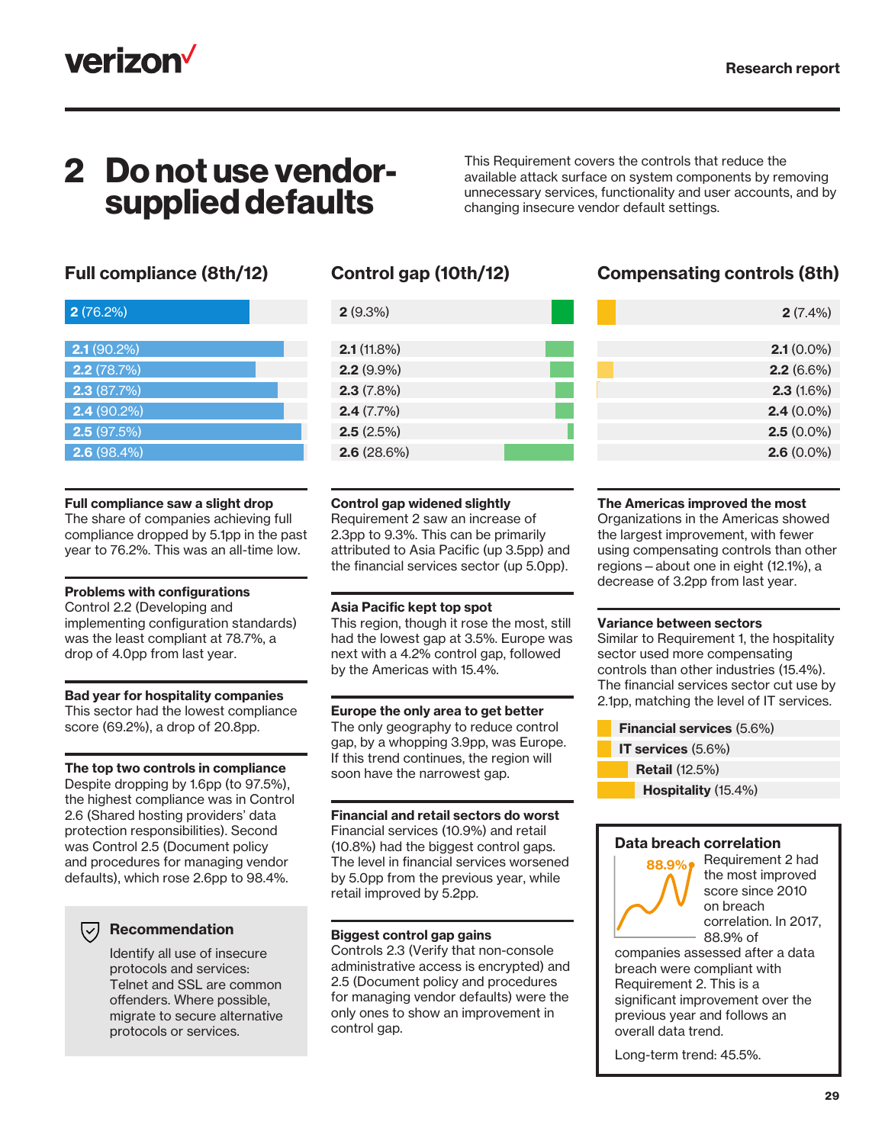

## 2 Do not use vendorsupplied defaults

This Requirement covers the controls that reduce the available attack surface on system components by removing unnecessary services, functionality and user accounts, and by changing insecure vendor default settings.

| 2(76.2%)      |
|---------------|
|               |
| $2.1(90.2\%)$ |
| 2.2(78.7%)    |
| 2.3(87.7%)    |
| $2.4(90.2\%)$ |
| 2.5(97.5%)    |
| 2.6(98.4%)    |

#### Full compliance saw a slight drop

The share of companies achieving full compliance dropped by 5.1pp in the past year to 76.2%. This was an all-time low.

#### Problems with configurations

Control 2.2 (Developing and implementing configuration standards) was the least compliant at 78.7%, a drop of 4.0pp from last year.

#### Bad year for hospitality companies

This sector had the lowest compliance score (69.2%), a drop of 20.8pp.

#### The top two controls in compliance

Despite dropping by 1.6pp (to 97.5%), the highest compliance was in Control 2.6 (Shared hosting providers' data protection responsibilities). Second was Control 2.5 (Document policy and procedures for managing vendor defaults), which rose 2.6pp to 98.4%.

#### $(\vee)$  Recommendation

Identify all use of insecure protocols and services: Telnet and SSL are common offenders. Where possible, migrate to secure alternative protocols or services.

| 2(9.3%)      |  |
|--------------|--|
|              |  |
| 2.1(11.8%)   |  |
| $2.2(9.9\%)$ |  |
| 2.3(7.8%)    |  |
| 2.4(7.7%)    |  |
| 2.5(2.5%)    |  |
| 2.6(28.6%)   |  |

### Full compliance (8th/12) Control gap (10th/12) Compensating controls (8th)

| $2(7.4\%)$   |  |
|--------------|--|
|              |  |
| $2.1(0.0\%)$ |  |
| $2.2(6.6\%)$ |  |
| 2.3(1.6%)    |  |
| $2.4(0.0\%)$ |  |
| $2.5(0.0\%)$ |  |
| $2.6(0.0\%)$ |  |
|              |  |

#### Control gap widened slightly

Requirement 2 saw an increase of 2.3pp to 9.3%. This can be primarily attributed to Asia Pacific (up 3.5pp) and the financial services sector (up 5.0pp).

#### Asia Pacific kept top spot

This region, though it rose the most, still had the lowest gap at 3.5%. Europe was next with a 4.2% control gap, followed by the Americas with 15.4%.

#### Europe the only area to get better

The only geography to reduce control gap, by a whopping 3.9pp, was Europe. If this trend continues, the region will soon have the narrowest gap.

Financial and retail sectors do worst Financial services (10.9%) and retail (10.8%) had the biggest control gaps. The level in financial services worsened by 5.0pp from the previous year, while retail improved by 5.2pp.

#### Biggest control gap gains

Controls 2.3 (Verify that non-console administrative access is encrypted) and 2.5 (Document policy and procedures for managing vendor defaults) were the only ones to show an improvement in control gap.

#### The Americas improved the most

Organizations in the Americas showed the largest improvement, with fewer using compensating controls than other regions—about one in eight (12.1%), a decrease of 3.2pp from last year.

#### Variance between sectors

Similar to Requirement 1, the hospitality sector used more compensating controls than other industries (15.4%). The financial services sector cut use by 2.1pp, matching the level of IT services.

- Financial services (5.6%)
- IT services (5.6%)
- Retail (12.5%)
	- Hospitality (15.4%)

#### Data breach correlation



Requirement 2 had the most improved score since 2010 on breach correlation. In 2017, 88.9% of

companies assessed after a data breach were compliant with Requirement 2. This is a significant improvement over the previous year and follows an overall data trend.

Long-term trend: 45.5%.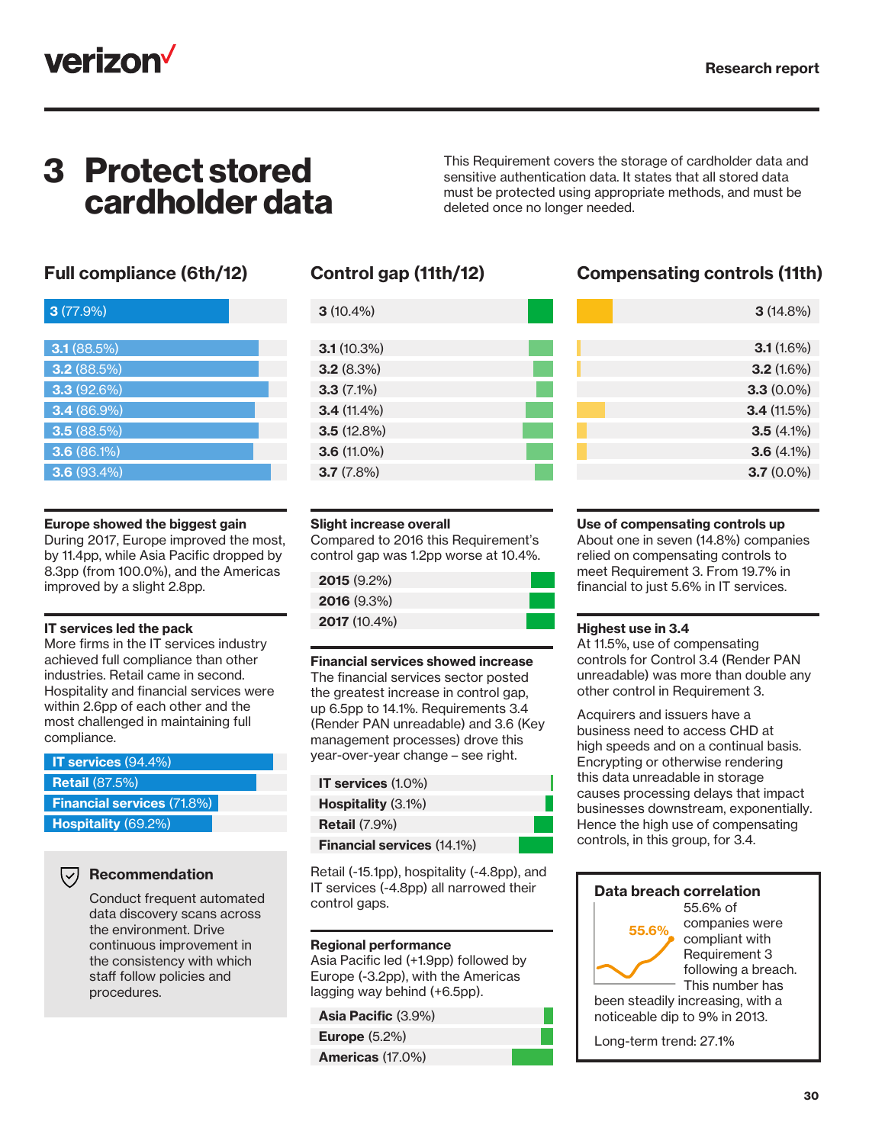

### 3 Protect stored cardholder data

This Requirement covers the storage of cardholder data and sensitive authentication data. It states that all stored data must be protected using appropriate methods, and must be deleted once no longer needed.

| 3(77.9%)      |  |
|---------------|--|
|               |  |
| 3.1(88.5%)    |  |
| 3.2(88.5%)    |  |
| 3.3(92.6%)    |  |
| 3.4 (86.9%)   |  |
| 3.5(88.5%)    |  |
| 3.6(86.1%)    |  |
| $3.6(93.4\%)$ |  |

#### Europe showed the biggest gain

During 2017, Europe improved the most, by 11.4pp, while Asia Pacific dropped by 8.3pp (from 100.0%), and the Americas improved by a slight 2.8pp.

#### IT services led the pack

More firms in the IT services industry achieved full compliance than other industries. Retail came in second. Hospitality and financial services were within 2.6pp of each other and the most challenged in maintaining full compliance.

| $\sqrt{17}$ services (94.4%)      |
|-----------------------------------|
| <b>Retail</b> (87.5%)             |
| <b>Financial services (71.8%)</b> |
| Hospitality (69.2%)               |

#### $(\vee)$  Recommendation

Conduct frequent automated data discovery scans across the environment. Drive continuous improvement in the consistency with which staff follow policies and procedures.

| $3(10.4\%)$   |  |
|---------------|--|
|               |  |
| 3.1(10.3%)    |  |
| 3.2(8.3%)     |  |
| $3.3(7.1\%)$  |  |
| $3.4(11.4\%)$ |  |
| 3.5(12.8%)    |  |
| $3.6(11.0\%)$ |  |
| 3.7(7.8%)     |  |
|               |  |

### Full compliance (6th/12) Control gap (11th/12) Compensating controls (11th)

| 3(14.8%)     |  |
|--------------|--|
|              |  |
| 3.1(1.6%)    |  |
| 3.2(1.6%)    |  |
| $3.3(0.0\%)$ |  |
| 3.4(11.5%)   |  |
| $3.5(4.1\%)$ |  |
| $3.6(4.1\%)$ |  |
| $3.7(0.0\%)$ |  |
|              |  |

#### Slight increase overall

Compared to 2016 this Requirement's control gap was 1.2pp worse at 10.4%.

#### Financial services showed increase

The financial services sector posted the greatest increase in control gap, up 6.5pp to 14.1%. Requirements 3.4 (Render PAN unreadable) and 3.6 (Key management processes) drove this year-over-year change – see right.

| IT services $(1.0\%)$             |  |
|-----------------------------------|--|
| <b>Hospitality</b> (3.1%)         |  |
| <b>Retail (7.9%)</b>              |  |
| <b>Financial services (14.1%)</b> |  |
|                                   |  |

Retail (-15.1pp), hospitality (-4.8pp), and IT services (-4.8pp) all narrowed their control gaps.

#### Regional performance

Asia Pacific led (+1.9pp) followed by Europe (-3.2pp), with the Americas lagging way behind (+6.5pp).

#### Asia Pacific (3.9%)

Europe (5.2%)

Americas (17.0%)

#### Use of compensating controls up

About one in seven (14.8%) companies relied on compensating controls to meet Requirement 3. From 19.7% in financial to just 5.6% in IT services.

#### Highest use in 3.4

At 11.5%, use of compensating controls for Control 3.4 (Render PAN unreadable) was more than double any other control in Requirement 3.

Acquirers and issuers have a business need to access CHD at high speeds and on a continual basis. Encrypting or otherwise rendering this data unreadable in storage causes processing delays that impact businesses downstream, exponentially. Hence the high use of compensating controls, in this group, for 3.4.

#### Data breach correlation



55.6% of companies were compliant with Requirement 3 following a breach. This number has

been steadily increasing, with a noticeable dip to 9% in 2013.

Long-term trend: 27.1%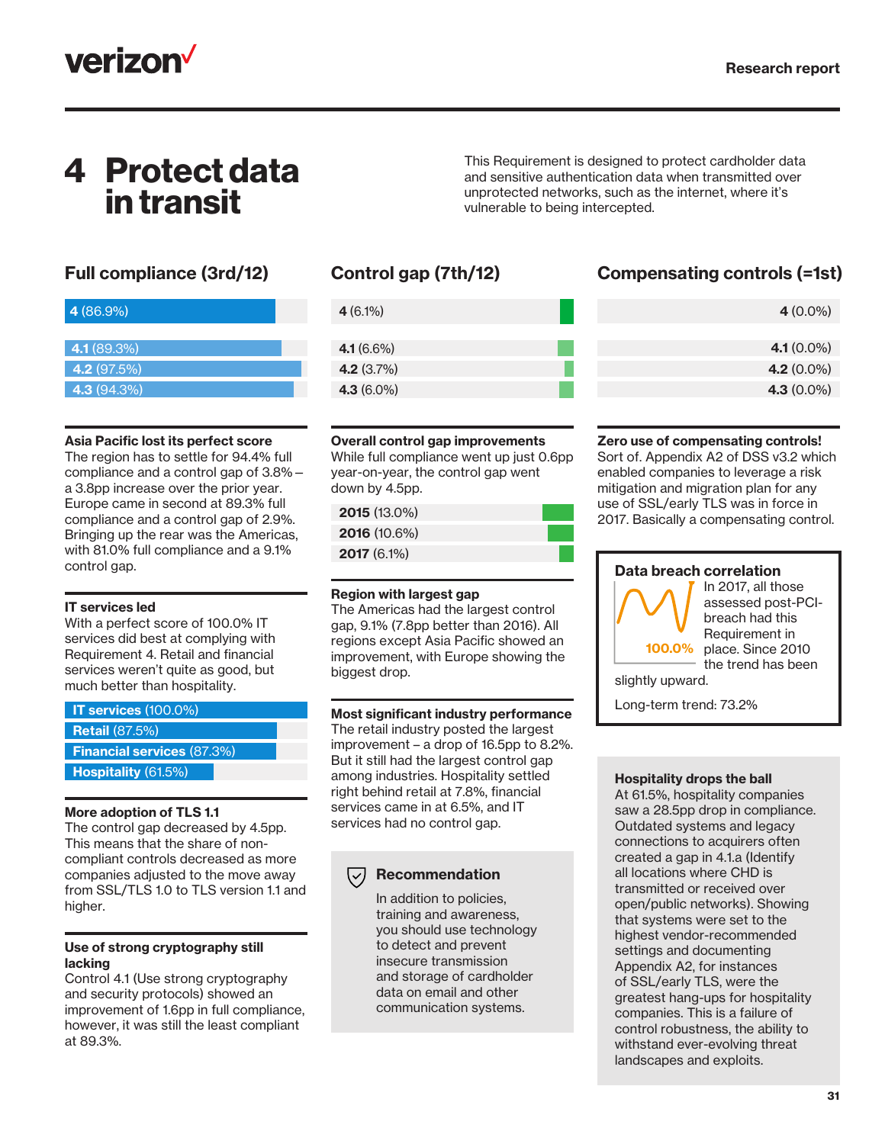

## 4 Protect data in transit

| 4 (86.9%)          |  |
|--------------------|--|
|                    |  |
| 4.1 (89.3%)        |  |
| <b>4.2</b> (97.5%) |  |
| 4.3(94.3%)         |  |

#### Asia Pacific lost its perfect score

The region has to settle for 94.4% full compliance and a control gap of 3.8% a 3.8pp increase over the prior year. Europe came in second at 89.3% full compliance and a control gap of 2.9%. Bringing up the rear was the Americas, with 81.0% full compliance and a 9.1% control gap.

#### IT services led

With a perfect score of 100.0% IT services did best at complying with Requirement 4. Retail and financial services weren't quite as good, but much better than hospitality.

| IT services $(100.0\%)$           |  |
|-----------------------------------|--|
| <b>Retail</b> (87.5%)             |  |
| <b>Financial services (87.3%)</b> |  |
| Hospitality (61.5%)               |  |

#### More adoption of TLS 1.1

The control gap decreased by 4.5pp. This means that the share of noncompliant controls decreased as more companies adjusted to the move away from SSL/TLS 1.0 to TLS version 1.1 and higher.

#### Use of strong cryptography still lacking

Control 4.1 (Use strong cryptography and security protocols) showed an improvement of 1.6pp in full compliance, however, it was still the least compliant at 89.3%.

| $4(6.1\%)$    |  |
|---------------|--|
|               |  |
| 4.1 $(6.6\%)$ |  |
| 4.2 $(3.7%)$  |  |
| $4.3(6.0\%)$  |  |
|               |  |

#### Overall control gap improvements

While full compliance went up just 0.6pp year-on-year, the control gap went down by 4.5pp.

| $2015(13.0\%)$ |  |  |
|----------------|--|--|
| 2016(10.6%)    |  |  |
| $2017(6.1\%)$  |  |  |

#### Region with largest gap

The Americas had the largest control gap, 9.1% (7.8pp better than 2016). All regions except Asia Pacific showed an improvement, with Europe showing the biggest drop.

#### Most significant industry performance

The retail industry posted the largest improvement – a drop of 16.5pp to 8.2%. But it still had the largest control gap among industries. Hospitality settled right behind retail at 7.8%, financial services came in at 6.5%, and IT services had no control gap.

#### Recommendation  $\bigtriangledown$

In addition to policies, training and awareness, you should use technology to detect and prevent insecure transmission and storage of cardholder data on email and other communication systems.

### Full compliance (3rd/12) Control gap (7th/12) Compensating controls (=1st)

This Requirement is designed to protect cardholder data and sensitive authentication data when transmitted over unprotected networks, such as the internet, where it's

vulnerable to being intercepted.

| $4(0.0\%)$    |
|---------------|
|               |
| 4.1 $(0.0\%)$ |
| 4.2 $(0.0\%)$ |
| 4.3 $(0.0\%)$ |

#### Zero use of compensating controls!

Sort of. Appendix A2 of DSS v3.2 which enabled companies to leverage a risk mitigation and migration plan for any use of SSL/early TLS was in force in 2017. Basically a compensating control.

#### Data breach correlation



In 2017, all those assessed post-PCIbreach had this Requirement in place. Since 2010 the trend has been

slightly upward.

Long-term trend: 73.2%

#### Hospitality drops the ball

At 61.5%, hospitality companies saw a 28.5pp drop in compliance. Outdated systems and legacy connections to acquirers often created a gap in 4.1.a (Identify all locations where CHD is transmitted or received over open/public networks). Showing that systems were set to the highest vendor-recommended settings and documenting Appendix A2, for instances of SSL/early TLS, were the greatest hang-ups for hospitality companies. This is a failure of control robustness, the ability to withstand ever-evolving threat landscapes and exploits.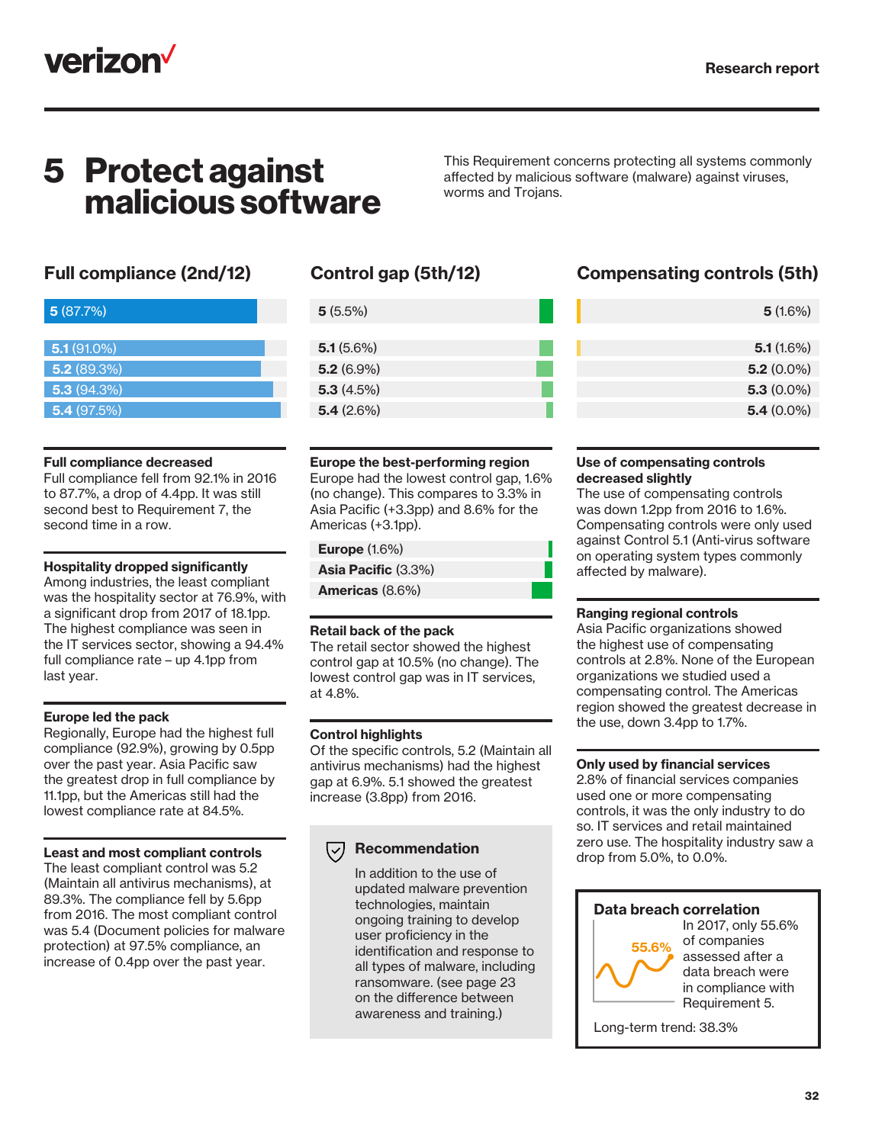

### 5 Protect against malicious software

This Requirement concerns protecting all systems commonly affected by malicious software (malware) against viruses, worms and Trojans.

| 5(87.7%)      |  |  |
|---------------|--|--|
| $5.1(91.0\%)$ |  |  |
| 5.2(89.3%)    |  |  |
| 5.3(94.3%)    |  |  |
| 5.4(97.5%)    |  |  |

#### Full compliance decreased

Full compliance fell from 92.1% in 2016 to 87.7%, a drop of 4.4pp. It was still second best to Requirement 7, the second time in a row.

#### Hospitality dropped significantly

Among industries, the least compliant was the hospitality sector at 76.9%, with a significant drop from 2017 of 18.1pp. The highest compliance was seen in the IT services sector, showing a 94.4% full compliance rate – up 4.1pp from last year.

#### Europe led the pack

Regionally, Europe had the highest full compliance (92.9%), growing by 0.5pp over the past year. Asia Pacific saw the greatest drop in full compliance by 11.1pp, but the Americas still had the lowest compliance rate at 84.5%.

#### Least and most compliant controls

The least compliant control was 5.2 (Maintain all antivirus mechanisms), at 89.3%. The compliance fell by 5.6pp from 2016. The most compliant control was 5.4 (Document policies for malware protection) at 97.5% compliance, an increase of 0.4pp over the past year.

| $5(5.5\%)$   |  |
|--------------|--|
|              |  |
| 5.1(5.6%)    |  |
| $5.2(6.9\%)$ |  |
| 5.3(4.5%)    |  |
| 5.4(2.6%)    |  |

#### Europe the best-performing region

Europe had the lowest control gap, 1.6% (no change). This compares to 3.3% in Asia Pacific (+3.3pp) and 8.6% for the Americas (+3.1pp).

#### Europe (1.6%)

Asia Pacific (3.3%)

Americas (8.6%)

#### Retail back of the pack

The retail sector showed the highest control gap at 10.5% (no change). The lowest control gap was in IT services, at 4.8%.

#### Control highlights

Of the specific controls, 5.2 (Maintain all antivirus mechanisms) had the highest gap at 6.9%. 5.1 showed the greatest increase (3.8pp) from 2016.

#### Recommendation

In addition to the use of updated malware prevention technologies, maintain ongoing training to develop user proficiency in the identification and response to all types of malware, including ransomware. (see page 23 on the difference between awareness and training.)

### Full compliance (2nd/12) Control gap (5th/12) Compensating controls (5th)

| 5(1.6%)      |
|--------------|
|              |
| 5.1(1.6%)    |
| $5.2(0.0\%)$ |
| $5.3(0.0\%)$ |
| $5.4(0.0\%)$ |
|              |

#### Use of compensating controls decreased slightly

The use of compensating controls was down 1.2pp from 2016 to 1.6%. Compensating controls were only used against Control 5.1 (Anti-virus software on operating system types commonly affected by malware).

#### Ranging regional controls

Asia Pacific organizations showed the highest use of compensating controls at 2.8%. None of the European organizations we studied used a compensating control. The Americas region showed the greatest decrease in the use, down 3.4pp to 1.7%.

#### Only used by financial services

2.8% of financial services companies used one or more compensating controls, it was the only industry to do so. IT services and retail maintained zero use. The hospitality industry saw a drop from 5.0%, to 0.0%.

#### Data breach correlation



In 2017, only 55.6% of companies assessed after a data breach were in compliance with Requirement 5.

Long-term trend: 38.3%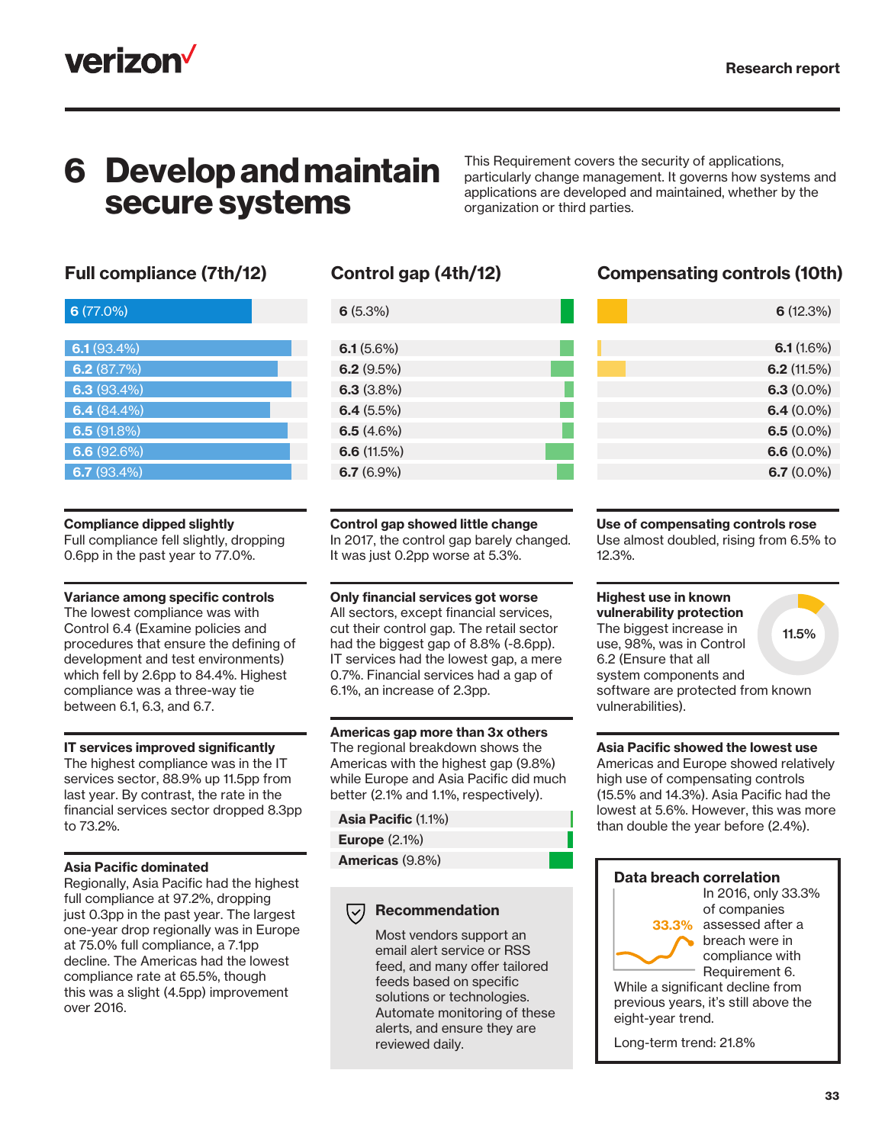

### 6 Develop and maintain secure systems

This Requirement covers the security of applications, particularly change management. It governs how systems and applications are developed and maintained, whether by the organization or third parties.

| $6(77.0\%)$ |
|-------------|
|             |
| 6.1(93.4%)  |
| 6.2(87.7%)  |
| 6.3(93.4%)  |
| 6.4(84.4%)  |
| 6.5(91.8%)  |
| 6.6(92.6%)  |
| 6.7(93.4%)  |

#### Compliance dipped slightly

Full compliance fell slightly, dropping 0.6pp in the past year to 77.0%.

#### Variance among specific controls

The lowest compliance was with Control 6.4 (Examine policies and procedures that ensure the defining of development and test environments) which fell by 2.6pp to 84.4%. Highest compliance was a three-way tie between 6.1, 6.3, and 6.7.

#### IT services improved significantly

The highest compliance was in the IT services sector, 88.9% up 11.5pp from last year. By contrast, the rate in the financial services sector dropped 8.3pp to 73.2%.

#### Asia Pacific dominated

Regionally, Asia Pacific had the highest full compliance at 97.2%, dropping just 0.3pp in the past year. The largest one-year drop regionally was in Europe at 75.0% full compliance, a 7.1pp decline. The Americas had the lowest compliance rate at 65.5%, though this was a slight (4.5pp) improvement over 2016.

| $6(5.3\%)$    |  |
|---------------|--|
|               |  |
| 6.1 $(5.6\%)$ |  |
| 6.2(9.5%)     |  |
| 6.3(3.8%)     |  |
| 6.4(5.5%)     |  |
| 6.5 $(4.6\%)$ |  |
| 6.6(11.5%)    |  |
| 6.7(6.9%)     |  |

### Full compliance (7th/12) Control gap (4th/12) Compensating controls (10th)

| 6(12.3%)      |
|---------------|
|               |
| 6.1(1.6%)     |
| 6.2(11.5%)    |
| $6.3(0.0\%)$  |
| 6.4 $(0.0\%)$ |
| 6.5 $(0.0\%)$ |
| 6.6 $(0.0\%)$ |
| 6.7 $(0.0\%)$ |
|               |

#### Control gap showed little change

In 2017, the control gap barely changed. It was just 0.2pp worse at 5.3%.

#### Only financial services got worse

All sectors, except financial services, cut their control gap. The retail sector had the biggest gap of 8.8% (-8.6pp). IT services had the lowest gap, a mere 0.7%. Financial services had a gap of 6.1%, an increase of 2.3pp.

#### Americas gap more than 3x others

The regional breakdown shows the Americas with the highest gap (9.8%) while Europe and Asia Pacific did much better (2.1% and 1.1%, respectively).

#### Asia Pacific (1.1%)

Europe (2.1%)

Americas (9.8%)

#### $(\vee)$ Recommendation

Most vendors support an email alert service or RSS feed, and many offer tailored feeds based on specific solutions or technologies. Automate monitoring of these alerts, and ensure they are reviewed daily.

#### Use of compensating controls rose

Use almost doubled, rising from 6.5% to 12.3%.

### Highest use in known

vulnerability protection The biggest increase in use, 98%, was in Control 6.2 (Ensure that all system components and software are protected from known vulnerabilities). 11.5%

#### Asia Pacific showed the lowest use

Americas and Europe showed relatively high use of compensating controls (15.5% and 14.3%). Asia Pacific had the lowest at 5.6%. However, this was more than double the year before (2.4%).

#### Data breach correlation



In 2016, only 33.3% of companies 33.3% assessed after a breach were in compliance with Requirement 6.

While a significant decline from previous years, it's still above the eight-year trend.

Long-term trend: 21.8%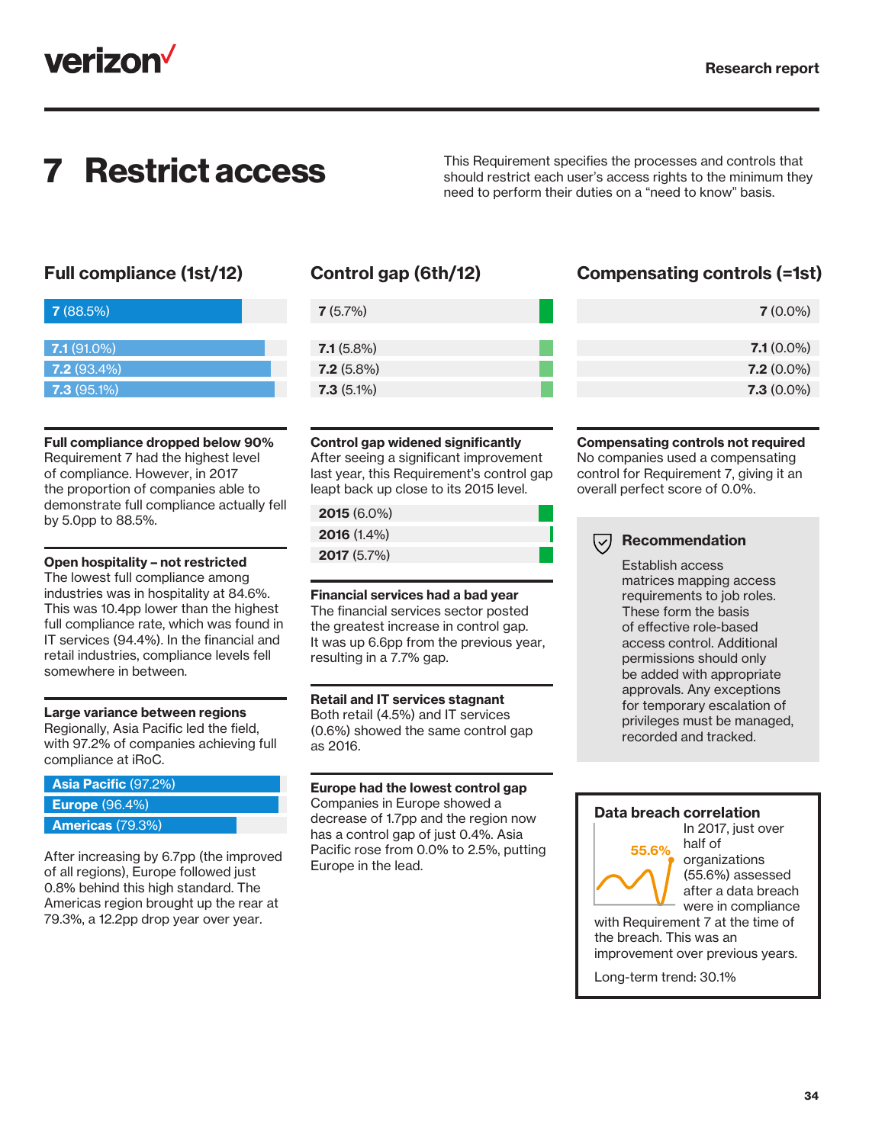

**7 Restrict access** This Requirement specifies the processes and controls that should restrict each user's access rights to the minimum there should restrict each user's access rights to the minimum they need to perform their duties on a "need to know" basis.

| 7(88.5%)      |  |  |
|---------------|--|--|
|               |  |  |
| $7.1(91.0\%)$ |  |  |
| $7.2(93.4\%)$ |  |  |
| $7.3(95.1\%)$ |  |  |

#### Full compliance dropped below 90%

Requirement 7 had the highest level of compliance. However, in 2017 the proportion of companies able to demonstrate full compliance actually fell by 5.0pp to 88.5%.

#### Open hospitality – not restricted

The lowest full compliance among industries was in hospitality at 84.6%. This was 10.4pp lower than the highest full compliance rate, which was found in IT services (94.4%). In the financial and retail industries, compliance levels fell somewhere in between.

#### Large variance between regions

Regionally, Asia Pacific led the field, with 97.2% of companies achieving full compliance at iRoC.

#### Asia Pacific (97.2%)

Europe (96.4%)

#### Americas (79.3%)

After increasing by 6.7pp (the improved of all regions), Europe followed just 0.8% behind this high standard. The Americas region brought up the rear at 79.3%, a 12.2pp drop year over year.

| $7.1(5.8\%)$ |
|--------------|
| $7.2(5.8\%)$ |
| $7.3(5.1\%)$ |

#### Control gap widened significantly

After seeing a significant improvement last year, this Requirement's control gap leapt back up close to its 2015 level.

### 2015 (6.0%)

| <b>2016</b> (1.4%) |  |
|--------------------|--|
| <b>2017</b> (5.7%) |  |
|                    |  |

Financial services had a bad year The financial services sector posted the greatest increase in control gap. It was up 6.6pp from the previous year, resulting in a 7.7% gap.

#### Retail and IT services stagnant

Both retail (4.5%) and IT services (0.6%) showed the same control gap as 2016.

#### Europe had the lowest control gap

Companies in Europe showed a decrease of 1.7pp and the region now has a control gap of just 0.4%. Asia Pacific rose from 0.0% to 2.5%, putting Europe in the lead.

### Full compliance (1st/12) Control gap (6th/12) Compensating controls (=1st)

| $7(0.0\%)$   |
|--------------|
|              |
| $7.1(0.0\%)$ |
| $7.2(0.0\%)$ |
| $7.3(0.0\%)$ |

#### Compensating controls not required

No companies used a compensating control for Requirement 7, giving it an overall perfect score of 0.0%.

#### $(\vee)$ Recommendation

Establish access matrices mapping access requirements to job roles. These form the basis of effective role-based access control. Additional permissions should only be added with appropriate approvals. Any exceptions for temporary escalation of privileges must be managed, recorded and tracked.

#### Data breach correlation



In 2017, just over half of organizations (55.6%) assessed after a data breach were in compliance

with Requirement 7 at the time of the breach. This was an improvement over previous years.

Long-term trend: 30.1%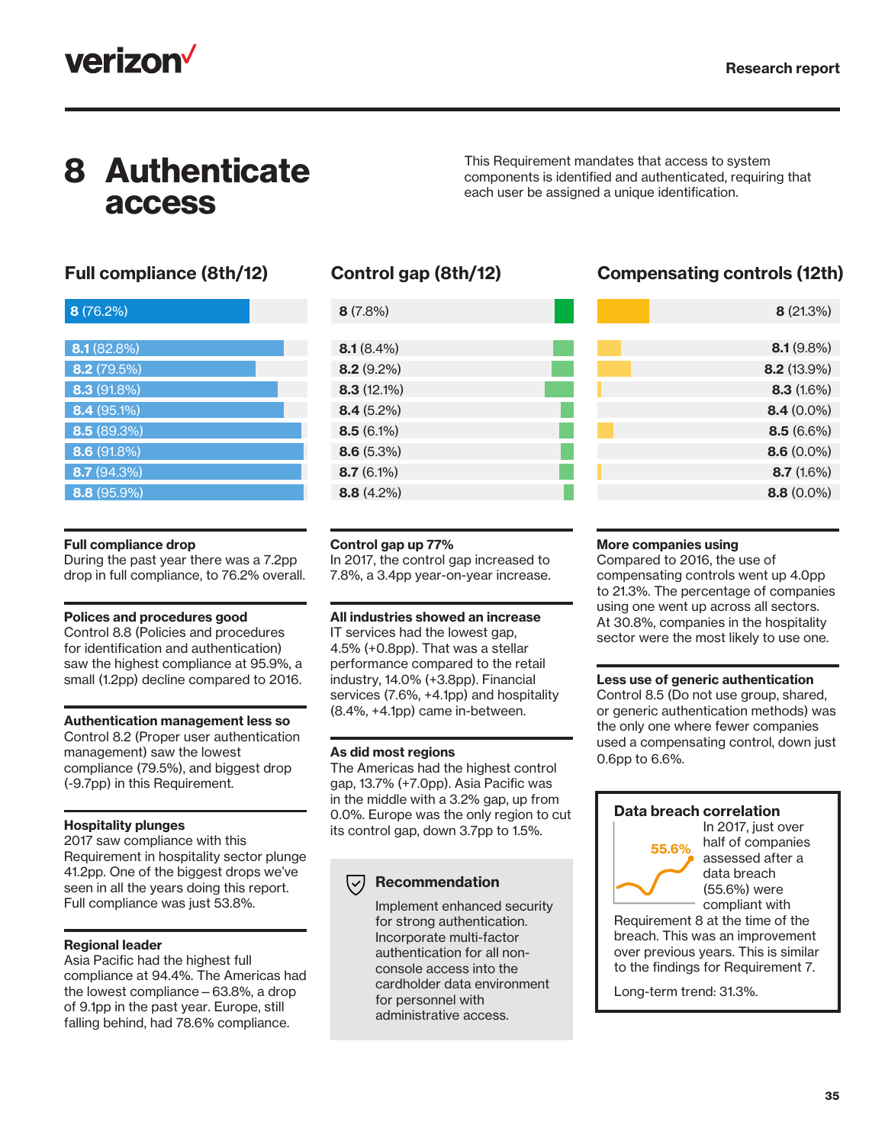

## 8 Authenticate access

This Requirement mandates that access to system components is identified and authenticated, requiring that each user be assigned a unique identification.

| 8(76.2%)      |
|---------------|
|               |
| 8.1(82.8%)    |
| 8.2 (79.5%)   |
| 8.3(91.8%)    |
| 8.4 (95.1%)   |
| 8.5(89.3%)    |
| 8.6(91.8%)    |
| 8.7(94.3%)    |
| $8.8(95.9\%)$ |

| 8(7.8%)       |  |
|---------------|--|
|               |  |
| $8.1(8.4\%)$  |  |
| $8.2(9.2\%)$  |  |
| $8.3(12.1\%)$ |  |
| $8.4(5.2\%)$  |  |
| $8.5(6.1\%)$  |  |
| $8.6(5.3\%)$  |  |
| $8.7(6.1\%)$  |  |
| $8.8(4.2\%)$  |  |
|               |  |

### Full compliance (8th/12) Control gap (8th/12) Compensating controls (12th)

| 8(21.3%)      |
|---------------|
|               |
| 8.1(9.8%)     |
| $8.2(13.9\%)$ |
| 8.3(1.6%)     |
| $8.4(0.0\%)$  |
| 8.5(6.6%)     |
| $8.6(0.0\%)$  |
| 8.7(1.6%)     |
| $8.8(0.0\%)$  |
|               |

#### Full compliance drop

During the past year there was a 7.2pp drop in full compliance, to 76.2% overall.

#### Polices and procedures good

Control 8.8 (Policies and procedures for identification and authentication) saw the highest compliance at 95.9%, a small (1.2pp) decline compared to 2016.

#### Authentication management less so

Control 8.2 (Proper user authentication management) saw the lowest compliance (79.5%), and biggest drop (-9.7pp) in this Requirement.

#### Hospitality plunges

2017 saw compliance with this Requirement in hospitality sector plunge 41.2pp. One of the biggest drops we've seen in all the years doing this report. Full compliance was just 53.8%.

#### Regional leader

Asia Pacific had the highest full compliance at 94.4%. The Americas had the lowest compliance—63.8%, a drop of 9.1pp in the past year. Europe, still falling behind, had 78.6% compliance.

#### Control gap up 77%

In 2017, the control gap increased to 7.8%, a 3.4pp year-on-year increase.

All industries showed an increase

IT services had the lowest gap, 4.5% (+0.8pp). That was a stellar performance compared to the retail industry, 14.0% (+3.8pp). Financial services (7.6%, +4.1pp) and hospitality (8.4%, +4.1pp) came in-between.

#### As did most regions

The Americas had the highest control gap, 13.7% (+7.0pp). Asia Pacific was in the middle with a 3.2% gap, up from 0.0%. Europe was the only region to cut its control gap, down 3.7pp to 1.5%.

### $(\triangledown)$  Recommendation

Implement enhanced security for strong authentication. Incorporate multi-factor authentication for all nonconsole access into the cardholder data environment for personnel with administrative access.

#### More companies using

Compared to 2016, the use of compensating controls went up 4.0pp to 21.3%. The percentage of companies using one went up across all sectors. At 30.8%, companies in the hospitality sector were the most likely to use one.

#### Less use of generic authentication

Control 8.5 (Do not use group, shared, or generic authentication methods) was the only one where fewer companies used a compensating control, down just 0.6pp to 6.6%.

#### Data breach correlation



In 2017, just over half of companies assessed after a data breach (55.6%) were compliant with

Requirement 8 at the time of the breach. This was an improvement over previous years. This is similar to the findings for Requirement 7.

Long-term trend: 31.3%.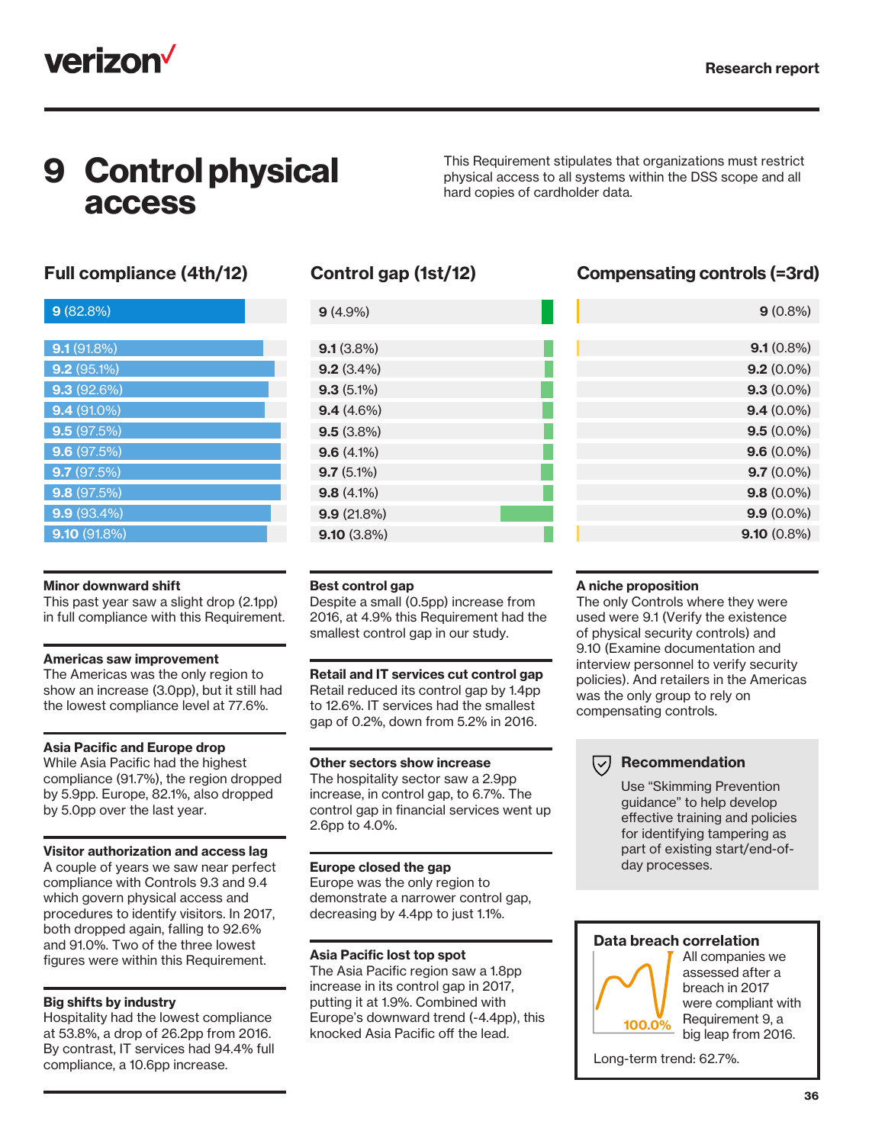

## 9 Control physical access

This Requirement stipulates that organizations must restrict physical access to all systems within the DSS scope and all hard copies of cardholder data.

| 9(82.8%)      |
|---------------|
|               |
| 9.1(91.8%)    |
| $9.2(95.1\%)$ |
| 9.3(92.6%)    |
| $9.4(91.0\%)$ |
| 9.5(97.5%)    |
| 9.6(97.5%)    |
| 9.7(97.5%)    |
| 9.8(97.5%)    |
| $9.9(93.4\%)$ |
| 9.10(91.8%)   |
|               |

#### Minor downward shift

This past year saw a slight drop (2.1pp) in full compliance with this Requirement.

#### Americas saw improvement

The Americas was the only region to show an increase (3.0pp), but it still had the lowest compliance level at 77.6%.

#### Asia Pacific and Europe drop

While Asia Pacific had the highest compliance (91.7%), the region dropped by 5.9pp. Europe, 82.1%, also dropped by 5.0pp over the last year.

#### Visitor authorization and access lag

A couple of years we saw near perfect compliance with Controls 9.3 and 9.4 which govern physical access and procedures to identify visitors. In 2017, both dropped again, falling to 92.6% and 91.0%. Two of the three lowest figures were within this Requirement.

#### Big shifts by industry

Hospitality had the lowest compliance at 53.8%, a drop of 26.2pp from 2016. By contrast, IT services had 94.4% full compliance, a 10.6pp increase.

| $9(4.9\%)$    |  |
|---------------|--|
|               |  |
| $9.1(3.8\%)$  |  |
| 9.2(3.4%)     |  |
| $9.3(5.1\%)$  |  |
| 9.4(4.6%)     |  |
| $9.5(3.8\%)$  |  |
| $9.6(4.1\%)$  |  |
| $9.7(5.1\%)$  |  |
| $9.8(4.1\%)$  |  |
| 9.9(21.8%)    |  |
| $9.10(3.8\%)$ |  |
|               |  |

### Full compliance (4th/12) Control gap (1st/12) Compensating controls (=3rd)

| $9(0.8\%)$    |
|---------------|
|               |
| $9.1(0.8\%)$  |
| $9.2(0.0\%)$  |
| $9.3(0.0\%)$  |
| $9.4(0.0\%)$  |
| $9.5(0.0\%)$  |
| $9.6(0.0\%)$  |
| $9.7(0.0\%)$  |
| $9.8(0.0\%)$  |
| $9.9(0.0\%)$  |
| $9.10(0.8\%)$ |
|               |

#### Best control gap

Despite a small (0.5pp) increase from 2016, at 4.9% this Requirement had the smallest control gap in our study.

#### Retail and IT services cut control gap

Retail reduced its control gap by 1.4pp to 12.6%. IT services had the smallest gap of 0.2%, down from 5.2% in 2016.

#### Other sectors show increase

The hospitality sector saw a 2.9pp increase, in control gap, to 6.7%. The control gap in financial services went up 2.6pp to 4.0%.

#### Europe closed the gap

Europe was the only region to demonstrate a narrower control gap, decreasing by 4.4pp to just 1.1%.

#### Asia Pacific lost top spot

The Asia Pacific region saw a 1.8pp increase in its control gap in 2017, putting it at 1.9%. Combined with Europe's downward trend (-4.4pp), this knocked Asia Pacific off the lead.

#### A niche proposition

The only Controls where they were used were 9.1 (Verify the existence of physical security controls) and 9.10 (Examine documentation and interview personnel to verify security policies). And retailers in the Americas was the only group to rely on compensating controls.

#### $(\overline{\smile})$  Recommendation

Use "Skimming Prevention guidance" to help develop effective training and policies for identifying tampering as part of existing start/end-ofday processes.

#### Data breach correlation



All companies we assessed after a breach in 2017 were compliant with Requirement 9, a big leap from 2016.

Long-term trend: 62.7%.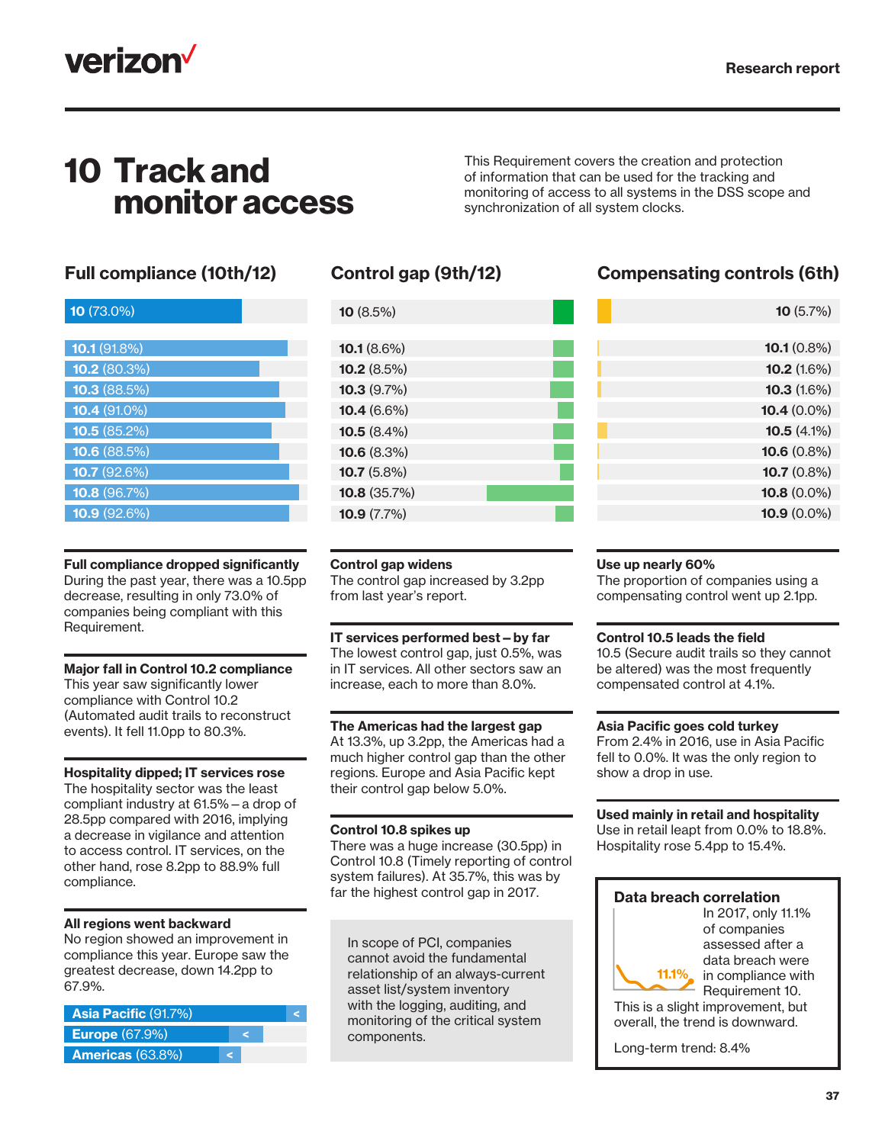

## 10 Track and monitor access

This Requirement covers the creation and protection of information that can be used for the tracking and monitoring of access to all systems in the DSS scope and synchronization of all system clocks.

### Full compliance (10th/12) Control gap (9th/12) Compensating controls (6th)

| 10 (73.0%)            |
|-----------------------|
|                       |
| 10.1(91.8%)           |
| 10.2(80.3%)           |
| 10.3(88.5%)           |
| $10.4(91.0\%)$        |
| 10.5(85.2%)           |
| <b>10.6</b> $(88.5%)$ |
| 10.7 (92.6%)          |
| 10.8(96.7%)           |
| 10.9 (92.6%)          |

### Full compliance dropped significantly

During the past year, there was a 10.5pp decrease, resulting in only 73.0% of companies being compliant with this Requirement.

#### Major fall in Control 10.2 compliance

This year saw significantly lower compliance with Control 10.2 (Automated audit trails to reconstruct events). It fell 11.0pp to 80.3%.

#### Hospitality dipped; IT services rose

The hospitality sector was the least compliant industry at 61.5%—a drop of 28.5pp compared with 2016, implying a decrease in vigilance and attention to access control. IT services, on the other hand, rose 8.2pp to 88.9% full compliance.

#### All regions went backward

No region showed an improvement in compliance this year. Europe saw the greatest decrease, down 14.2pp to 67.9%.

| Asia Pacific (91.7%)       |  |
|----------------------------|--|
| <b>Europe</b> (67.9%)      |  |
| <b>Americas</b> $(63.8\%)$ |  |

| <b>10</b> $(8.5\%)$   |  |
|-----------------------|--|
|                       |  |
| 10.1(8.6%)            |  |
| <b>10.2</b> $(8.5\%)$ |  |
| 10.3(9.7%)            |  |
| 10.4 $(6.6\%)$        |  |
| 10.5 $(8.4\%)$        |  |
| <b>10.6</b> $(8.3\%)$ |  |
| 10.7 $(5.8\%)$        |  |
| 10.8(35.7%)           |  |
| 10.9 $(7.7\%)$        |  |

| 10(5.7%)              |  |
|-----------------------|--|
|                       |  |
| <b>10.1</b> $(0.8\%)$ |  |
| 10.2(1.6%)            |  |
| <b>10.3</b> $(1.6\%)$ |  |
| <b>10.4</b> $(0.0\%)$ |  |
| 10.5 $(4.1\%)$        |  |
| $10.6(0.8\%)$         |  |
| $10.7(0.8\%)$         |  |
|                       |  |

10.9 (0.0%) 10.8 (0.0%)

#### Control gap widens

The control gap increased by 3.2pp from last year's report.

IT services performed best—by far The lowest control gap, just 0.5%, was in IT services. All other sectors saw an increase, each to more than 8.0%.

#### The Americas had the largest gap

At 13.3%, up 3.2pp, the Americas had a much higher control gap than the other regions. Europe and Asia Pacific kept their control gap below 5.0%.

#### Control 10.8 spikes up

There was a huge increase (30.5pp) in Control 10.8 (Timely reporting of control system failures). At 35.7%, this was by far the highest control gap in 2017.

In scope of PCI, companies cannot avoid the fundamental relationship of an always-current asset list/system inventory with the logging, auditing, and monitoring of the critical system components.

#### Use up nearly 60%

The proportion of companies using a compensating control went up 2.1pp.

#### Control 10.5 leads the field

10.5 (Secure audit trails so they cannot be altered) was the most frequently compensated control at 4.1%.

#### Asia Pacific goes cold turkey

From 2.4% in 2016, use in Asia Pacific fell to 0.0%. It was the only region to show a drop in use.

#### Used mainly in retail and hospitality

Use in retail leapt from 0.0% to 18.8%. Hospitality rose 5.4pp to 15.4%.

#### Data breach correlation

In 2017, only 11.1% of companies assessed after a data breach were in compliance with Requirement 10. 11.1%

This is a slight improvement, but overall, the trend is downward.

Long-term trend: 8.4%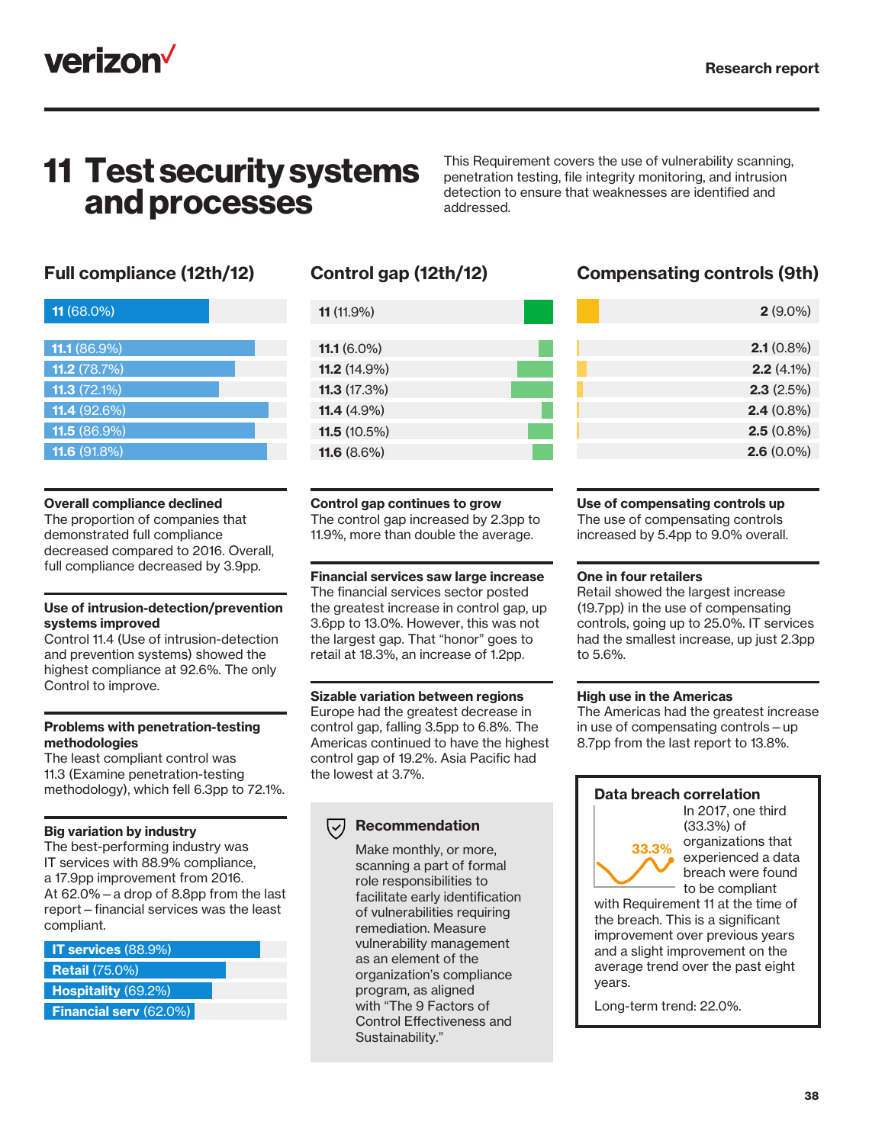

### 11 Test security systems and processes

This Requirement covers the use of vulnerability scanning, penetration testing, file integrity monitoring, and intrusion detection to ensure that weaknesses are identified and addressed.

| 11 (68.0%)             |  |
|------------------------|--|
|                        |  |
| 11.1 $(86.9\%)$        |  |
| 11.2(78.7%)            |  |
| <b>11.3</b> $(72.1\%)$ |  |
| <b>11.4</b> $(92.6%)$  |  |
| <b>11.5</b> $(86.9\%)$ |  |
| <b>11.6 (91.8%)</b>    |  |
|                        |  |

#### Overall compliance declined

The proportion of companies that demonstrated full compliance decreased compared to 2016. Overall, full compliance decreased by 3.9pp.

#### Use of intrusion-detection/prevention systems improved

Control 11.4 (Use of intrusion-detection and prevention systems) showed the highest compliance at 92.6%. The only Control to improve.

#### Problems with penetration-testing methodologies

The least compliant control was 11.3 (Examine penetration-testing methodology), which fell 6.3pp to 72.1%.

#### Big variation by industry

The best-performing industry was IT services with 88.9% compliance, a 17.9pp improvement from 2016. At 62.0%—a drop of 8.8pp from the last report—financial services was the least compliant.

| <b>IT services</b> $(88.9%)$  |  |
|-------------------------------|--|
| <b>Retail (75.0%)</b>         |  |
| <b>Hospitality (69.2%)</b>    |  |
| <b>Financial serv (62.0%)</b> |  |

| <b>11.1</b> $(6.0\%)$  |
|------------------------|
|                        |
|                        |
| <b>11.2</b> $(14.9\%)$ |
| 11.3(17.3%)            |
| <b>11.4</b> $(4.9\%)$  |
| 11.5 $(10.5\%)$        |
| 11.6 $(8.6\%)$         |

#### Control gap continues to grow

The control gap increased by 2.3pp to 11.9%, more than double the average.

#### Financial services saw large increase The financial services sector posted the greatest increase in control gap, up 3.6pp to 13.0%. However, this was not the largest gap. That "honor" goes to retail at 18.3%, an increase of 1.2pp.

#### Sizable variation between regions

Europe had the greatest decrease in control gap, falling 3.5pp to 6.8%. The Americas continued to have the highest control gap of 19.2%. Asia Pacific had the lowest at 3.7%.

#### Recommendation  $(\vee)$

Make monthly, or more, scanning a part of formal role responsibilities to facilitate early identification of vulnerabilities requiring remediation. Measure vulnerability management as an element of the organization's compliance program, as aligned with "The 9 Factors of Control Effectiveness and Sustainability."

### Full compliance (12th/12) Control gap (12th/12) Compensating controls (9th)

| $2(9.0\%)$   |
|--------------|
|              |
| $2.1(0.8\%)$ |
| $2.2(4.1\%)$ |
| 2.3(2.5%)    |
| $2.4(0.8\%)$ |
| $2.5(0.8\%)$ |
| $2.6(0.0\%)$ |
|              |

#### Use of compensating controls up

The use of compensating controls increased by 5.4pp to 9.0% overall.

#### One in four retailers

Retail showed the largest increase (19.7pp) in the use of compensating controls, going up to 25.0%. IT services had the smallest increase, up just 2.3pp to 5.6%.

#### High use in the Americas

The Americas had the greatest increase in use of compensating controls—up 8.7pp from the last report to 13.8%.

#### Data breach correlation

In 2017, one third (33.3%) of organizations that experienced a data breach were found to be compliant 33.3%

with Requirement 11 at the time of the breach. This is a significant improvement over previous years and a slight improvement on the average trend over the past eight years.

Long-term trend: 22.0%.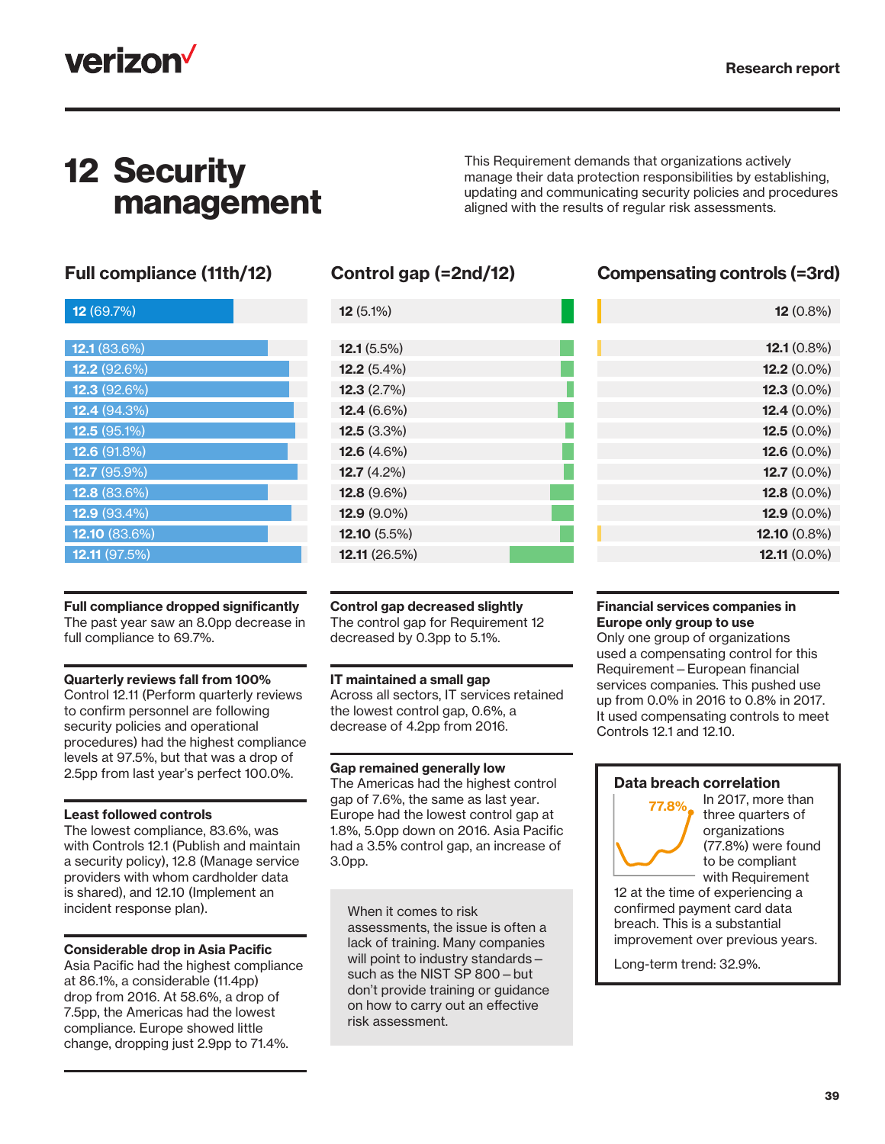12.1 (0.8%)

12 (0.8%)

## verizon<sup>V</sup>

## 12 Security management

This Requirement demands that organizations actively manage their data protection responsibilities by establishing, updating and communicating security policies and procedures aligned with the results of regular risk assessments.

### Full compliance (11th/12) Control gap (=2nd/12) Compensating controls (=3rd)

| 12(69.7%)              |
|------------------------|
|                        |
| 12.1 (83.6%)           |
| <b>12.2</b> (92.6%)    |
| 12.3(92.6%)            |
| 12.4 (94.3%)           |
| 12.5 (95.1%)           |
| 12.6 (91.8%)           |
| 12.7 (95.9%)           |
| <b>12.8</b> $(83.6\%)$ |
| <b>12.9</b> (93.4%)    |
| 12.10 (83.6%)          |
| 12.11 (97.5%)          |
|                        |

|  | <b>Control gap decreased slightly</b> |  |
|--|---------------------------------------|--|

The control gap for Requirement 12 decreased by 0.3pp to 5.1%.

12.5 (3.3%) 12.6 (4.6%)

12.10 (5.5%) 12.11 (26.5%)

12.9 (9.0%) 12.8 (9.6%) 12.7 (4.2%)

12.4 (6.6%) 12.3 (2.7%) 12.2 (5.4%) 12.1 (5.5%)

12 (5.1%)

#### IT maintained a small gap

Across all sectors, IT services retained the lowest control gap, 0.6%, a decrease of 4.2pp from 2016.

#### Gap remained generally low

The Americas had the highest control gap of 7.6%, the same as last year. Europe had the lowest control gap at 1.8%, 5.0pp down on 2016. Asia Pacific had a 3.5% control gap, an increase of 3.0pp.

When it comes to risk assessments, the issue is often a lack of training. Many companies will point to industry standards such as the NIST SP 800—but don't provide training or guidance on how to carry out an effective risk assessment.

#### $12.3$  (0.0%) 12.2 (0.0%)

| <b>12.3</b> (0.0%) |
|--------------------|
| 12.4 $(0.0\%)$     |
| 12.5 $(0.0\%)$     |
| 12.6 (0.0%)        |
| 12.7 $(0.0\%)$     |
| 12.8 $(0.0\%)$     |
| 12.9 $(0.0\%)$     |
| 12.10 $(0.8\%)$    |
| $12.11(0.0\%)$     |

#### Financial services companies in Europe only group to use

Only one group of organizations used a compensating control for this Requirement—European financial services companies. This pushed use up from 0.0% in 2016 to 0.8% in 2017. It used compensating controls to meet Controls 12.1 and 12.10.

### Data breach correlation



In 2017, more than three quarters of organizations (77.8%) were found to be compliant with Requirement

12 at the time of experiencing a confirmed payment card data breach. This is a substantial improvement over previous years.

Long-term trend: 32.9%.

Full compliance dropped significantly The past year saw an 8.0pp decrease in

full compliance to 69.7%.

#### Quarterly reviews fall from 100%

Control 12.11 (Perform quarterly reviews to confirm personnel are following security policies and operational procedures) had the highest compliance levels at 97.5%, but that was a drop of 2.5pp from last year's perfect 100.0%.

### Least followed controls

The lowest compliance, 83.6%, was with Controls 12.1 (Publish and maintain a security policy), 12.8 (Manage service providers with whom cardholder data is shared), and 12.10 (Implement an incident response plan).

#### Considerable drop in Asia Pacific

Asia Pacific had the highest compliance at 86.1%, a considerable (11.4pp) drop from 2016. At 58.6%, a drop of 7.5pp, the Americas had the lowest compliance. Europe showed little change, dropping just 2.9pp to 71.4%.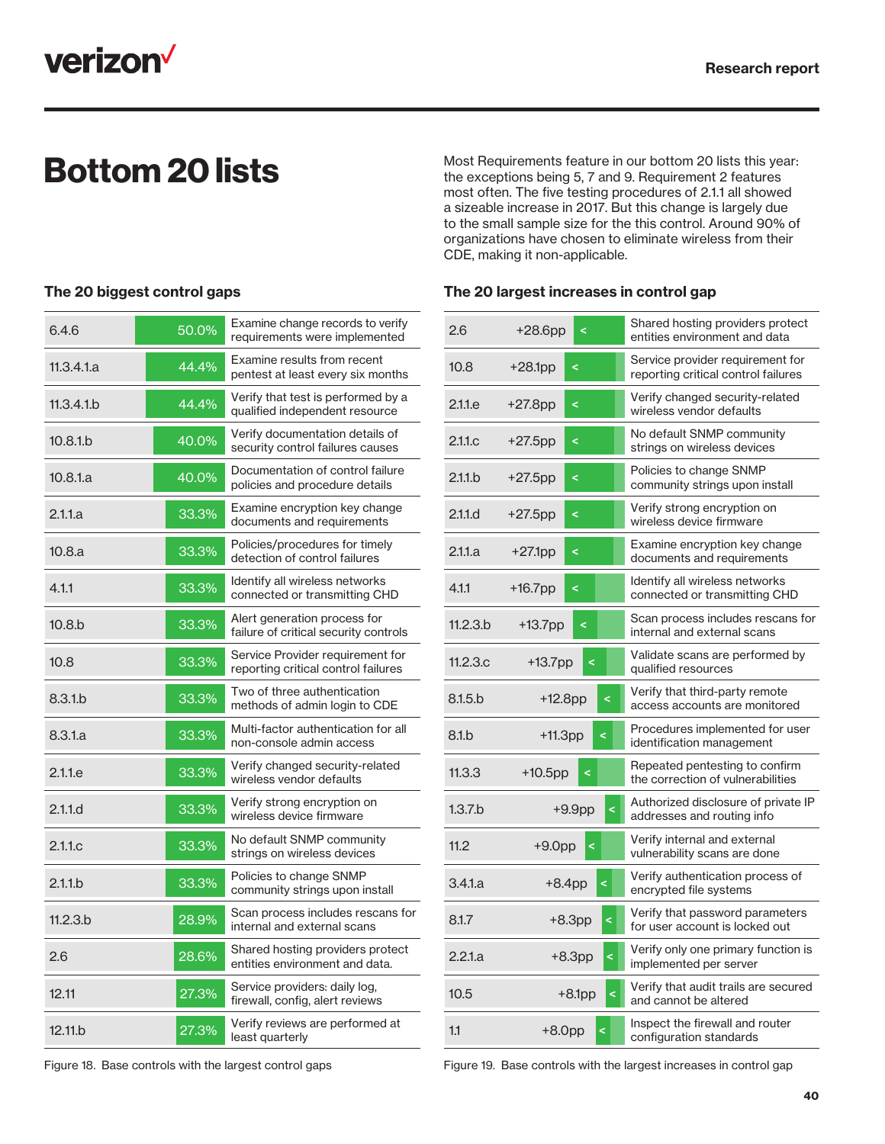

The 20 biggest control gaps

**Bottom 20 lists**<br>the exceptions being 5, 7 and 9. Requirement 2 features the exceptions being 5, 7 and 9. Requirement 2 features most often. The five testing procedures of 2.1.1 all showed a sizeable increase in 2017. But this change is largely due to the small sample size for the this control. Around 90% of organizations have chosen to eliminate wireless from their CDE, making it non-applicable.

#### The 20 largest increases in control gap

| 6.4.6               | 50.0% | Examine change records to verify<br>requirements were implemented       |
|---------------------|-------|-------------------------------------------------------------------------|
| 11.3.4.1a           | 44.4% | Examine results from recent<br>pentest at least every six months        |
| 11.3.4.1.b          | 44.4% | Verify that test is performed by a<br>qualified independent resource    |
| 10.8.1 <sub>b</sub> | 40.0% | Verify documentation details of<br>security control failures causes     |
| 10.8.1.a            | 40.0% | Documentation of control failure<br>policies and procedure details      |
| 2.1.1.a             | 33.3% | Examine encryption key change<br>documents and requirements             |
| 10.8.a              | 33.3% | Policies/procedures for timely<br>detection of control failures         |
| 4.1.1               | 33.3% | Identify all wireless networks<br>connected or transmitting CHD         |
| 10.8 <sub>b</sub>   | 33.3% | Alert generation process for<br>failure of critical security controls   |
| 10.8                | 33.3% | Service Provider requirement for<br>reporting critical control failures |
| 8.3.1.b             | 33.3% | Two of three authentication<br>methods of admin login to CDE            |
| 8.3.1a              | 33.3% | Multi-factor authentication for all<br>non-console admin access         |
| 2.1.1.e             | 33.3% | Verify changed security-related<br>wireless vendor defaults             |
| 2.1.1d              | 33.3% | Verify strong encryption on<br>wireless device firmware                 |
| 2.1.1 <sub>c</sub>  | 33.3% | No default SNMP community<br>strings on wireless devices                |
| 2.1.1 <sub>b</sub>  | 33.3% | Policies to change SNMP<br>community strings upon install               |
| 11.2.3.b            | 28.9% | Scan process includes rescans for<br>internal and external scans        |
| 2.6                 | 28.6% | Shared hosting providers protect<br>entities environment and data.      |
| 12.11               | 27.3% | Service providers: daily log,<br>firewall, config, alert reviews        |
| 12.11.b             | 27.3% | Verify reviews are performed at<br>least quarterly                      |

| 2.6                | $+28.6$ pp | ₹                    | Shared hosting providers protect<br>entities environment and data       |
|--------------------|------------|----------------------|-------------------------------------------------------------------------|
| 10.8               | $+28.1$ pp | k                    | Service provider requirement for<br>reporting critical control failures |
| 2.1.1.e            | +27.8pp    | ≺                    | Verify changed security-related<br>wireless vendor defaults             |
| 2.11 <sub>c</sub>  | $+27.5$ pp | k                    | No default SNMP community<br>strings on wireless devices                |
| 2.1.1 <sub>b</sub> | $+27.5$ pp | ₹                    | Policies to change SNMP<br>community strings upon install               |
| 2.11d              | $+27.5$ pp | k                    | Verify strong encryption on<br>wireless device firmware                 |
| 2.1.1.a            | $+27.1$ pp | ₹                    | Examine encryption key change<br>documents and requirements             |
| 4.1.1              | $+16.7$ pp | <                    | Identify all wireless networks<br>connected or transmitting CHD         |
| 11.2.3.b           | $+13.7$ pp | k                    | Scan process includes rescans for<br>internal and external scans        |
| 11.2.3c            | $+13.7$ pp | k                    | Validate scans are performed by<br>qualified resources                  |
| 8.1.5 b            | +12.8pp    | k                    | Verify that third-party remote<br>access accounts are monitored         |
| 8.1 <sub>b</sub>   | $+11.3$ pp | ₹                    | Procedures implemented for user<br>identification management            |
| 11.3.3             | $+10.5$ pp | k                    | Repeated pentesting to confirm<br>the correction of vulnerabilities     |
| 1.3.7.b            |            | $\prec$<br>$+9.9$ pp | Authorized disclosure of private IP<br>addresses and routing info       |
| 11.2               | $+9.0$ pp  | ₹                    | Verify internal and external<br>vulnerability scans are done            |
| 3.4.1a             |            | $+8.4$ pp<br>₹       | Verify authentication process of<br>encrypted file systems              |
| 8.1.7              |            | $+8.3$ pp<br>$\,<$   | Verify that password parameters<br>for user account is locked out       |
| 2.21a              |            | $+8.3pp$             | Verify only one primary function is<br>implemented per server           |
| 10.5               |            | $+8.1$ pp<br>₹       | Verify that audit trails are secured<br>and cannot be altered           |
| 1.1                | $+8.0pp$   | ₹                    | Inspect the firewall and router<br>configuration standards              |

Figure 18. Base controls with the largest control gaps

Figure 19. Base controls with the largest increases in control gap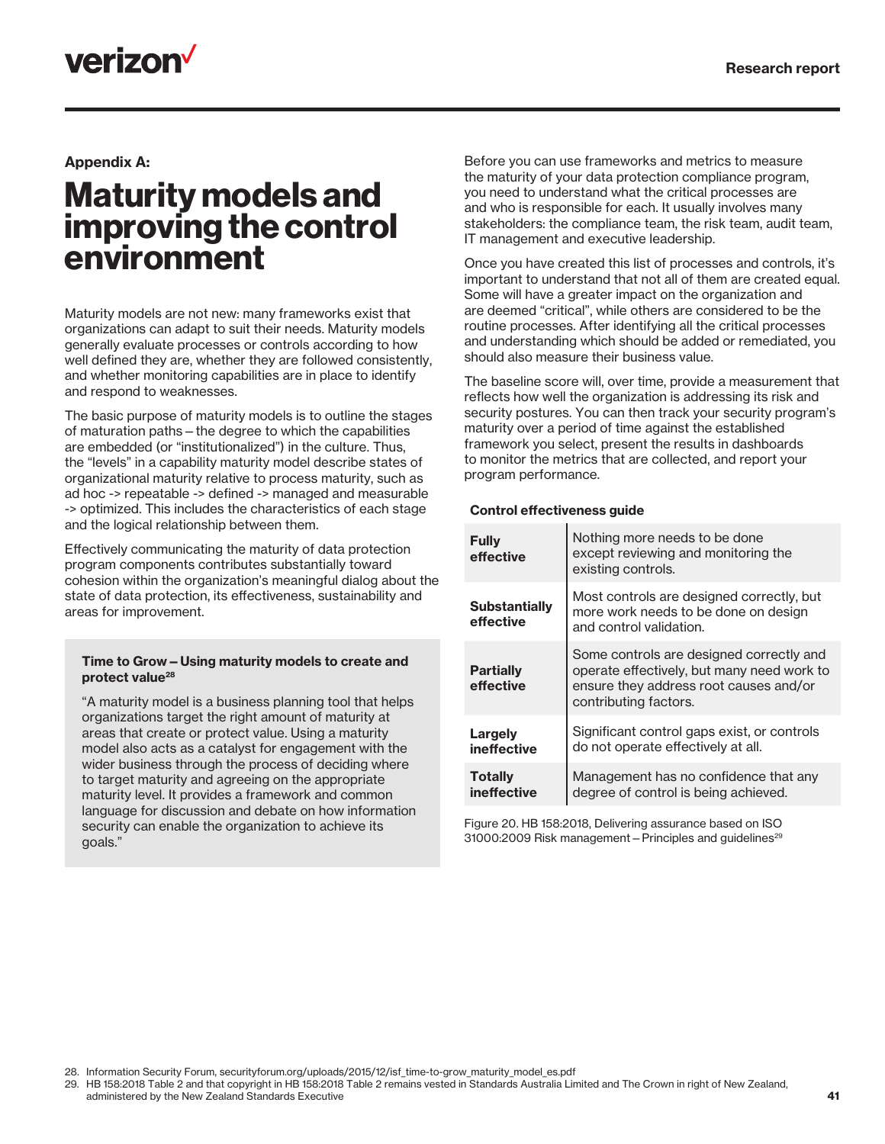## **verizon**

#### Appendix A:

### Maturity models and improving the control environment

Maturity models are not new: many frameworks exist that organizations can adapt to suit their needs. Maturity models generally evaluate processes or controls according to how well defined they are, whether they are followed consistently, and whether monitoring capabilities are in place to identify and respond to weaknesses.

The basic purpose of maturity models is to outline the stages of maturation paths—the degree to which the capabilities are embedded (or "institutionalized") in the culture. Thus, the "levels" in a capability maturity model describe states of organizational maturity relative to process maturity, such as ad hoc -> repeatable -> defined -> managed and measurable -> optimized. This includes the characteristics of each stage and the logical relationship between them.

Effectively communicating the maturity of data protection program components contributes substantially toward cohesion within the organization's meaningful dialog about the state of data protection, its effectiveness, sustainability and areas for improvement.

#### Time to Grow—Using maturity models to create and protect value<sup>28</sup>

"A maturity model is a business planning tool that helps organizations target the right amount of maturity at areas that create or protect value. Using a maturity model also acts as a catalyst for engagement with the wider business through the process of deciding where to target maturity and agreeing on the appropriate maturity level. It provides a framework and common language for discussion and debate on how information security can enable the organization to achieve its goals."

Before you can use frameworks and metrics to measure the maturity of your data protection compliance program, you need to understand what the critical processes are and who is responsible for each. It usually involves many stakeholders: the compliance team, the risk team, audit team, IT management and executive leadership.

Once you have created this list of processes and controls, it's important to understand that not all of them are created equal. Some will have a greater impact on the organization and are deemed "critical", while others are considered to be the routine processes. After identifying all the critical processes and understanding which should be added or remediated, you should also measure their business value.

The baseline score will, over time, provide a measurement that reflects how well the organization is addressing its risk and security postures. You can then track your security program's maturity over a period of time against the established framework you select, present the results in dashboards to monitor the metrics that are collected, and report your program performance.

#### Control effectiveness guide

| <b>Fully</b><br>effective         | Nothing more needs to be done<br>except reviewing and monitoring the<br>existing controls.                                                                |
|-----------------------------------|-----------------------------------------------------------------------------------------------------------------------------------------------------------|
| <b>Substantially</b><br>effective | Most controls are designed correctly, but<br>more work needs to be done on design<br>and control validation.                                              |
| <b>Partially</b><br>effective     | Some controls are designed correctly and<br>operate effectively, but many need work to<br>ensure they address root causes and/or<br>contributing factors. |
| Largely<br>ineffective            | Significant control gaps exist, or controls<br>do not operate effectively at all.                                                                         |
| <b>Totally</b><br>ineffective     | Management has no confidence that any<br>degree of control is being achieved.                                                                             |

Figure 20. HB 158:2018, Delivering assurance based on ISO 31000:2009 Risk management – Principles and guidelines<sup>29</sup>

28. Information Security Forum, securityforum.org/uploads/2015/12/isf\_time-to-grow\_maturity\_model\_es.pdf

29. HB 158:2018 Table 2 and that copyright in HB 158:2018 Table 2 remains vested in Standards Australia Limited and The Crown in right of New Zealand, administered by the New Zealand Standards Executive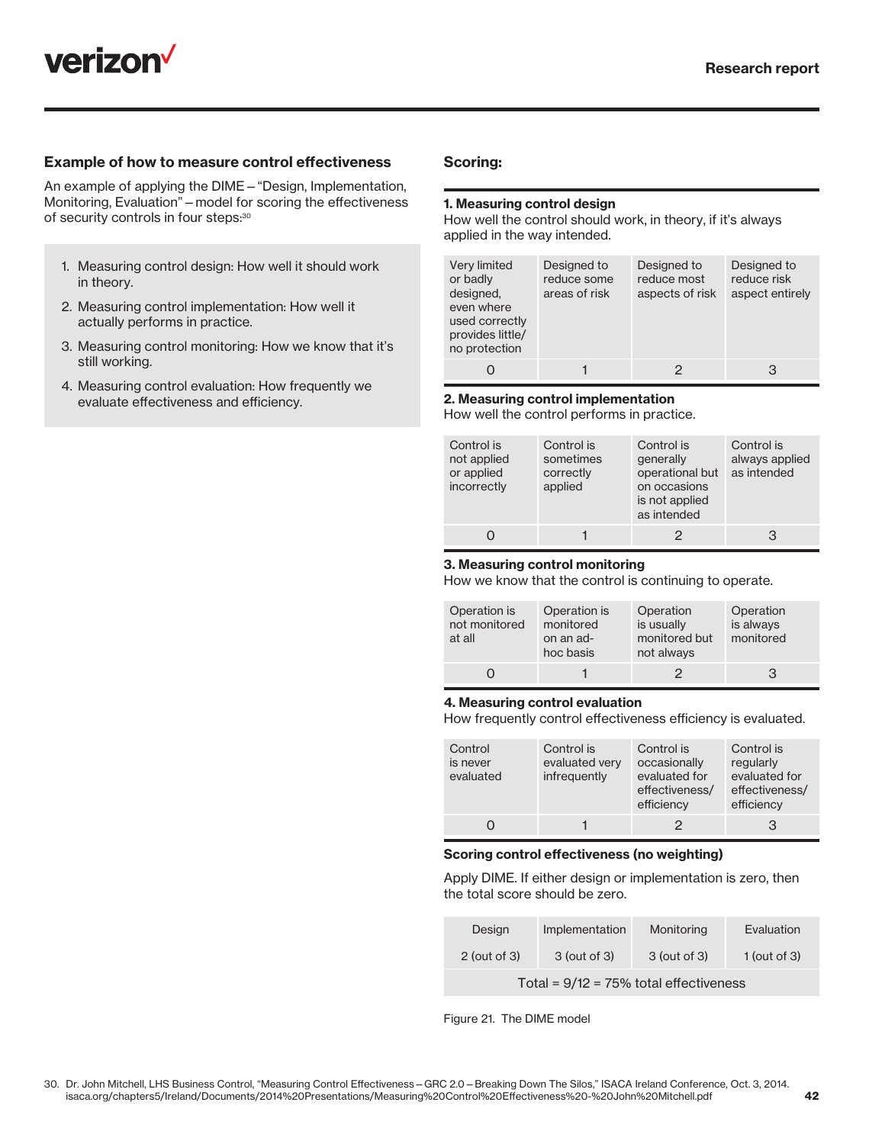

#### Example of how to measure control effectiveness

An example of applying the DIME—"Design, Implementation, Monitoring, Evaluation"—model for scoring the effectiveness of security controls in four steps:<sup>30</sup>

- 1. Measuring control design: How well it should work in theory.
- 2. Measuring control implementation: How well it actually performs in practice.
- 3. Measuring control monitoring: How we know that it's still working.
- 4. Measuring control evaluation: How frequently we evaluate effectiveness and efficiency.

#### Scoring:

#### 1. Measuring control design

How well the control should work, in theory, if it's always applied in the way intended.

| Very limited<br>or badly<br>designed,<br>even where<br>used correctly<br>provides little/<br>no protection | Designed to<br>reduce some<br>areas of risk | Designed to<br>reduce most<br>aspects of risk | Designed to<br>reduce risk<br>aspect entirely |
|------------------------------------------------------------------------------------------------------------|---------------------------------------------|-----------------------------------------------|-----------------------------------------------|
|                                                                                                            |                                             |                                               | З                                             |

#### 2. Measuring control implementation

How well the control performs in practice.

| Control is<br>not applied<br>or applied<br>incorrectly | Control is<br>sometimes<br>correctly<br>applied | Control is<br>generally<br>operational but<br>on occasions<br>is not applied<br>as intended | Control is<br>always applied<br>as intended |
|--------------------------------------------------------|-------------------------------------------------|---------------------------------------------------------------------------------------------|---------------------------------------------|
|                                                        |                                                 |                                                                                             | З                                           |

#### 3. Measuring control monitoring

How we know that the control is continuing to operate.

| Operation is<br>not monitored<br>at all | Operation is<br>monitored<br>on an ad-<br>hoc basis | Operation<br>is usually<br>monitored but<br>not always | Operation<br>is always<br>monitored |
|-----------------------------------------|-----------------------------------------------------|--------------------------------------------------------|-------------------------------------|
|                                         |                                                     |                                                        | З                                   |

#### 4. Measuring control evaluation

How frequently control effectiveness efficiency is evaluated.

| Control<br>is never<br>evaluated | Control is<br>evaluated very<br>infrequently | Control is<br>occasionally<br>evaluated for<br>effectiveness/<br>efficiency | Control is<br>regularly<br>evaluated for<br>effectiveness/<br>efficiency |
|----------------------------------|----------------------------------------------|-----------------------------------------------------------------------------|--------------------------------------------------------------------------|
|                                  |                                              | 2                                                                           | 3                                                                        |

#### Scoring control effectiveness (no weighting)

Apply DIME. If either design or implementation is zero, then the total score should be zero.

| Design                                    | Implementation | Monitoring   | Evaluation     |  |  |  |  |  |  |
|-------------------------------------------|----------------|--------------|----------------|--|--|--|--|--|--|
| $2$ (out of 3)                            | 3 (out of 3)   | 3 (out of 3) | $1$ (out of 3) |  |  |  |  |  |  |
| Total = $9/12 = 75\%$ total effectiveness |                |              |                |  |  |  |  |  |  |

Figure 21. The DIME model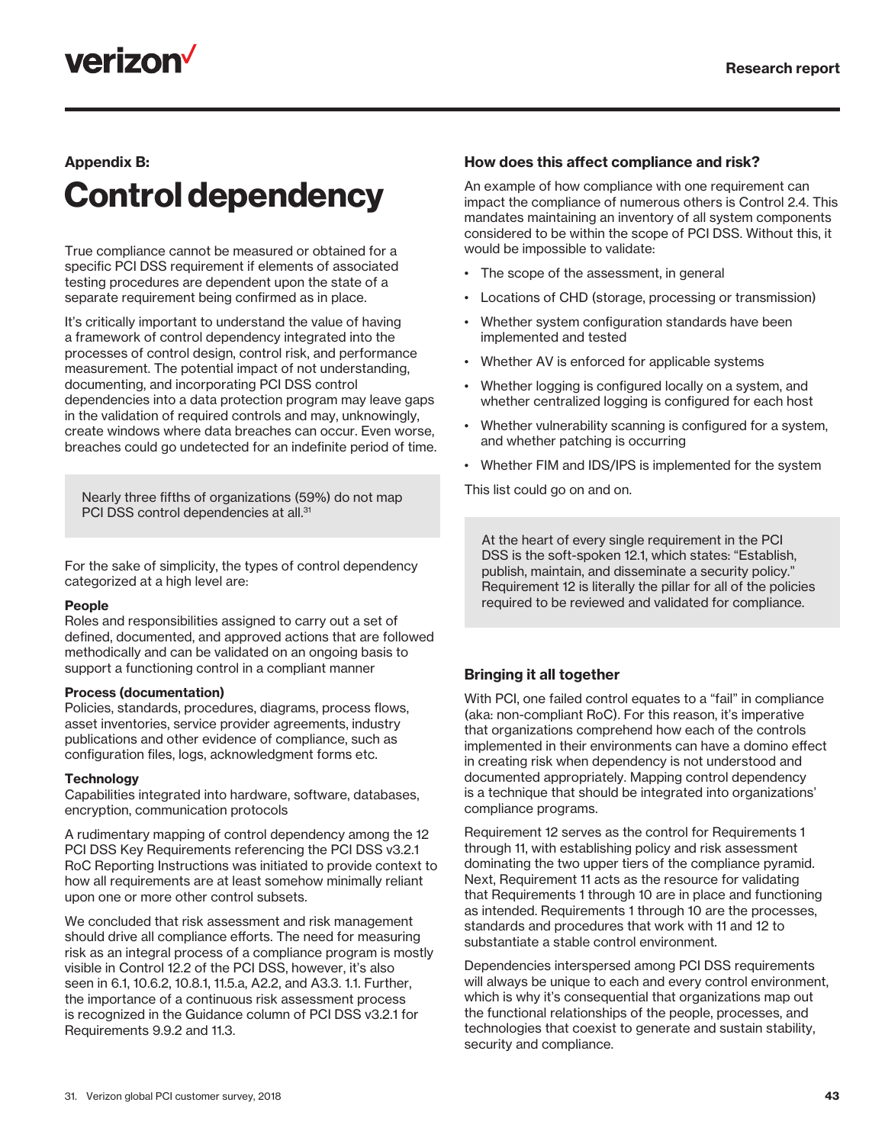

### Appendix B: Control dependency

True compliance cannot be measured or obtained for a specific PCI DSS requirement if elements of associated testing procedures are dependent upon the state of a separate requirement being confirmed as in place.

It's critically important to understand the value of having a framework of control dependency integrated into the processes of control design, control risk, and performance measurement. The potential impact of not understanding, documenting, and incorporating PCI DSS control dependencies into a data protection program may leave gaps in the validation of required controls and may, unknowingly, create windows where data breaches can occur. Even worse, breaches could go undetected for an indefinite period of time.

Nearly three fifths of organizations (59%) do not map PCI DSS control dependencies at all.<sup>31</sup>

For the sake of simplicity, the types of control dependency categorized at a high level are:

#### People

Roles and responsibilities assigned to carry out a set of defined, documented, and approved actions that are followed methodically and can be validated on an ongoing basis to support a functioning control in a compliant manner

#### Process (documentation)

Policies, standards, procedures, diagrams, process flows, asset inventories, service provider agreements, industry publications and other evidence of compliance, such as configuration files, logs, acknowledgment forms etc.

#### **Technology**

Capabilities integrated into hardware, software, databases, encryption, communication protocols

A rudimentary mapping of control dependency among the 12 PCI DSS Key Requirements referencing the PCI DSS v3.2.1 RoC Reporting Instructions was initiated to provide context to how all requirements are at least somehow minimally reliant upon one or more other control subsets.

We concluded that risk assessment and risk management should drive all compliance efforts. The need for measuring risk as an integral process of a compliance program is mostly visible in Control 12.2 of the PCI DSS, however, it's also seen in 6.1, 10.6.2, 10.8.1, 11.5.a, A2.2, and A3.3. 1.1. Further, the importance of a continuous risk assessment process is recognized in the Guidance column of PCI DSS v3.2.1 for Requirements 9.9.2 and 11.3.

#### How does this affect compliance and risk?

An example of how compliance with one requirement can impact the compliance of numerous others is Control 2.4. This mandates maintaining an inventory of all system components considered to be within the scope of PCI DSS. Without this, it would be impossible to validate:

- The scope of the assessment, in general
- Locations of CHD (storage, processing or transmission)
- Whether system configuration standards have been implemented and tested
- Whether AV is enforced for applicable systems
- Whether logging is configured locally on a system, and whether centralized logging is configured for each host
- Whether vulnerability scanning is configured for a system, and whether patching is occurring
- Whether FIM and IDS/IPS is implemented for the system

This list could go on and on.

At the heart of every single requirement in the PCI DSS is the soft-spoken 12.1, which states: "Establish, publish, maintain, and disseminate a security policy." Requirement 12 is literally the pillar for all of the policies required to be reviewed and validated for compliance.

#### Bringing it all together

With PCI, one failed control equates to a "fail" in compliance (aka: non-compliant RoC). For this reason, it's imperative that organizations comprehend how each of the controls implemented in their environments can have a domino effect in creating risk when dependency is not understood and documented appropriately. Mapping control dependency is a technique that should be integrated into organizations' compliance programs.

Requirement 12 serves as the control for Requirements 1 through 11, with establishing policy and risk assessment dominating the two upper tiers of the compliance pyramid. Next, Requirement 11 acts as the resource for validating that Requirements 1 through 10 are in place and functioning as intended. Requirements 1 through 10 are the processes, standards and procedures that work with 11 and 12 to substantiate a stable control environment.

Dependencies interspersed among PCI DSS requirements will always be unique to each and every control environment, which is why it's consequential that organizations map out the functional relationships of the people, processes, and technologies that coexist to generate and sustain stability, security and compliance.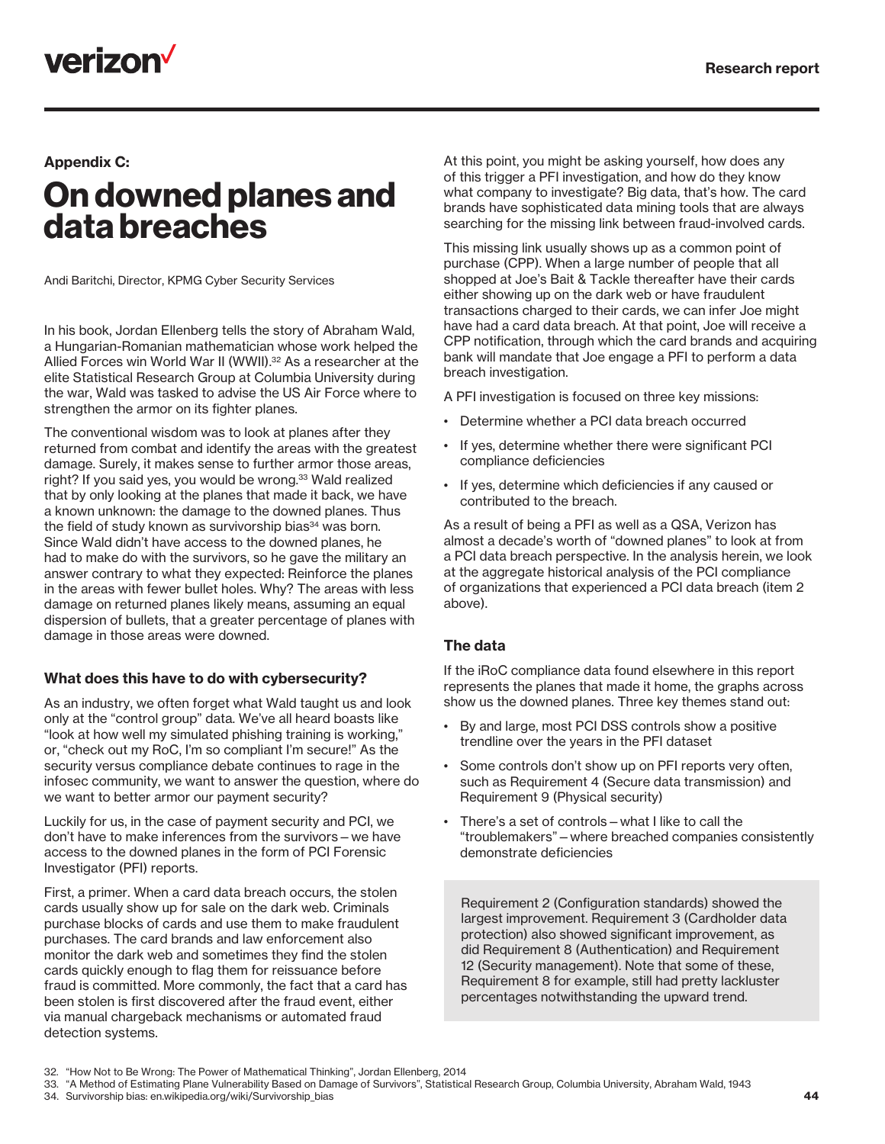

#### Appendix C:

### On downed planes and data breaches

Andi Baritchi, Director, KPMG Cyber Security Services

In his book, Jordan Ellenberg tells the story of Abraham Wald, a Hungarian-Romanian mathematician whose work helped the Allied Forces win World War II (WWII).<sup>32</sup> As a researcher at the elite Statistical Research Group at Columbia University during the war, Wald was tasked to advise the US Air Force where to strengthen the armor on its fighter planes.

The conventional wisdom was to look at planes after they returned from combat and identify the areas with the greatest damage. Surely, it makes sense to further armor those areas, right? If you said yes, you would be wrong.<sup>33</sup> Wald realized that by only looking at the planes that made it back, we have a known unknown: the damage to the downed planes. Thus the field of study known as survivorship bias<sup>34</sup> was born. Since Wald didn't have access to the downed planes, he had to make do with the survivors, so he gave the military an answer contrary to what they expected: Reinforce the planes in the areas with fewer bullet holes. Why? The areas with less damage on returned planes likely means, assuming an equal dispersion of bullets, that a greater percentage of planes with damage in those areas were downed.

#### What does this have to do with cybersecurity?

As an industry, we often forget what Wald taught us and look only at the "control group" data. We've all heard boasts like "look at how well my simulated phishing training is working," or, "check out my RoC, I'm so compliant I'm secure!" As the security versus compliance debate continues to rage in the infosec community, we want to answer the question, where do we want to better armor our payment security?

Luckily for us, in the case of payment security and PCI, we don't have to make inferences from the survivors—we have access to the downed planes in the form of PCI Forensic Investigator (PFI) reports.

First, a primer. When a card data breach occurs, the stolen cards usually show up for sale on the dark web. Criminals purchase blocks of cards and use them to make fraudulent purchases. The card brands and law enforcement also monitor the dark web and sometimes they find the stolen cards quickly enough to flag them for reissuance before fraud is committed. More commonly, the fact that a card has been stolen is first discovered after the fraud event, either via manual chargeback mechanisms or automated fraud detection systems.

At this point, you might be asking yourself, how does any of this trigger a PFI investigation, and how do they know what company to investigate? Big data, that's how. The card brands have sophisticated data mining tools that are always searching for the missing link between fraud-involved cards.

This missing link usually shows up as a common point of purchase (CPP). When a large number of people that all shopped at Joe's Bait & Tackle thereafter have their cards either showing up on the dark web or have fraudulent transactions charged to their cards, we can infer Joe might have had a card data breach. At that point, Joe will receive a CPP notification, through which the card brands and acquiring bank will mandate that Joe engage a PFI to perform a data breach investigation.

A PFI investigation is focused on three key missions:

- Determine whether a PCI data breach occurred
- If yes, determine whether there were significant PCI compliance deficiencies
- If yes, determine which deficiencies if any caused or contributed to the breach.

As a result of being a PFI as well as a QSA, Verizon has almost a decade's worth of "downed planes" to look at from a PCI data breach perspective. In the analysis herein, we look at the aggregate historical analysis of the PCI compliance of organizations that experienced a PCI data breach (item 2 above).

#### The data

If the iRoC compliance data found elsewhere in this report represents the planes that made it home, the graphs across show us the downed planes. Three key themes stand out:

- By and large, most PCI DSS controls show a positive trendline over the years in the PFI dataset
- Some controls don't show up on PFI reports very often, such as Requirement 4 (Secure data transmission) and Requirement 9 (Physical security)
- There's a set of controls what I like to call the "troublemakers"—where breached companies consistently demonstrate deficiencies

Requirement 2 (Configuration standards) showed the largest improvement. Requirement 3 (Cardholder data protection) also showed significant improvement, as did Requirement 8 (Authentication) and Requirement 12 (Security management). Note that some of these, Requirement 8 for example, still had pretty lackluster percentages notwithstanding the upward trend.

44

<sup>32.</sup> "How Not to Be Wrong: The Power of Mathematical Thinking", Jordan Ellenberg, 2014

<sup>33.</sup> "A Method of Estimating Plane Vulnerability Based on Damage of Survivors", Statistical Research Group, Columbia University, Abraham Wald, 1943 34. Survivorship bias: en.wikipedia.org/wiki/Survivorship\_bias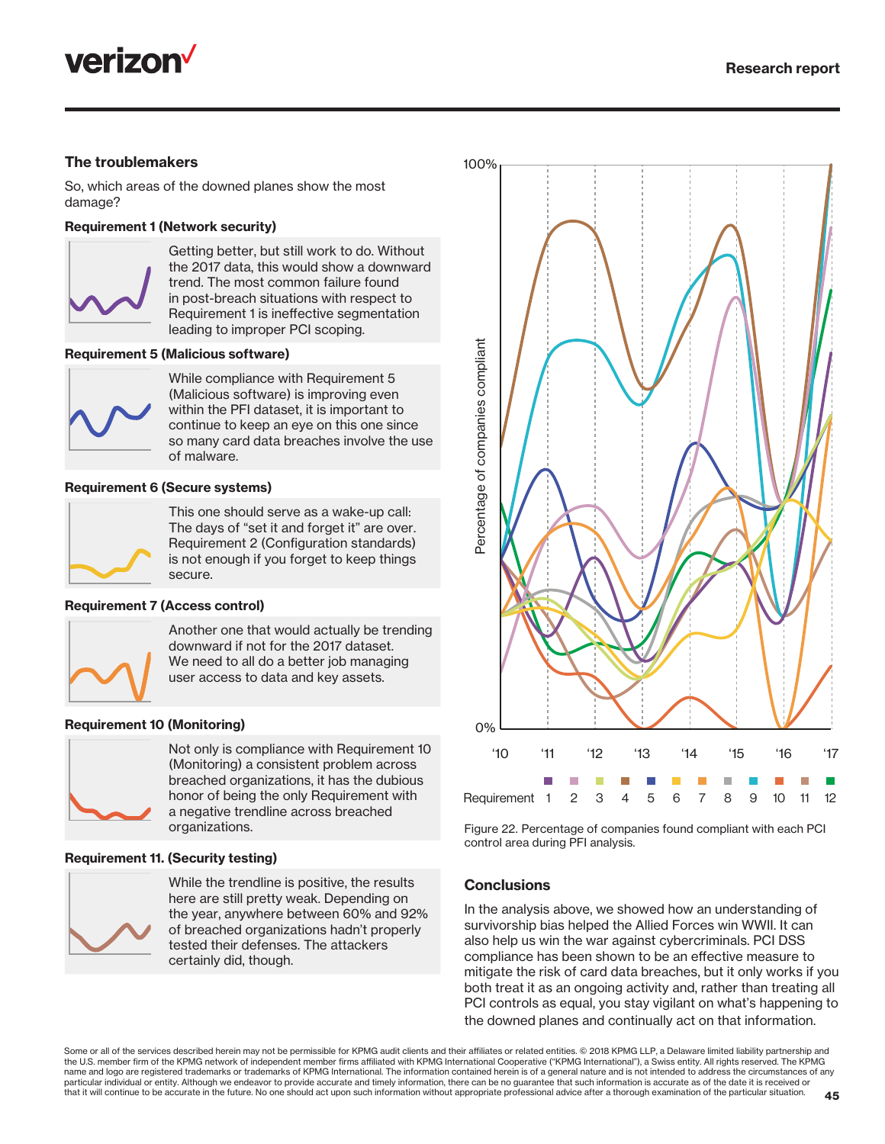

#### The troublemakers

So, which areas of the downed planes show the most damage?

#### Requirement 1 (Network security)



Getting better, but still work to do. Without the 2017 data, this would show a downward trend. The most common failure found in post-breach situations with respect to Requirement 1 is ineffective segmentation leading to improper PCI scoping.

#### Requirement 5 (Malicious software)



While compliance with Requirement 5 (Malicious software) is improving even within the PFI dataset, it is important to continue to keep an eye on this one since so many card data breaches involve the use of malware.

#### Requirement 6 (Secure systems)



This one should serve as a wake-up call: The days of "set it and forget it" are over. Requirement 2 (Configuration standards) is not enough if you forget to keep things secure.

#### Requirement 7 (Access control)



Another one that would actually be trending downward if not for the 2017 dataset. We need to all do a better job managing user access to data and key assets.

#### Requirement 10 (Monitoring)



Not only is compliance with Requirement 10 (Monitoring) a consistent problem across breached organizations, it has the dubious honor of being the only Requirement with a negative trendline across breached organizations.

#### Requirement 11. (Security testing)



While the trendline is positive, the results here are still pretty weak. Depending on the year, anywhere between 60% and 92% of breached organizations hadn't properly tested their defenses. The attackers certainly did, though.



Figure 22. Percentage of companies found compliant with each PCI control area during PFI analysis.

#### **Conclusions**

In the analysis above, we showed how an understanding of survivorship bias helped the Allied Forces win WWII. It can also help us win the war against cybercriminals. PCI DSS compliance has been shown to be an effective measure to mitigate the risk of card data breaches, but it only works if you both treat it as an ongoing activity and, rather than treating all PCI controls as equal, you stay vigilant on what's happening to the downed planes and continually act on that information.

Some or all of the services described herein may not be permissible for KPMG audit clients and their affiliates or related entities. © 2018 KPMG LLP, a Delaware limited liability partnership and the U.S. member firm of the KPMG network of independent member firms affiliated with KPMG International Cooperative ("KPMG International"), a Swiss entity. All rights reserved. The KPMG name and logo are registered trademarks or trademarks of KPMG International. The information contained herein is of a general nature and is not intended to address the circumstances of any<br>name and logo are registered trad particular individual or entity. Although we endeavor to provide accurate and timely information, there can be no guarantee that such information is accurate as of the date it is received or that it will continue to be accurate in the future. No one should act upon such information without appropriate professional advice after a thorough examination of the particular situation.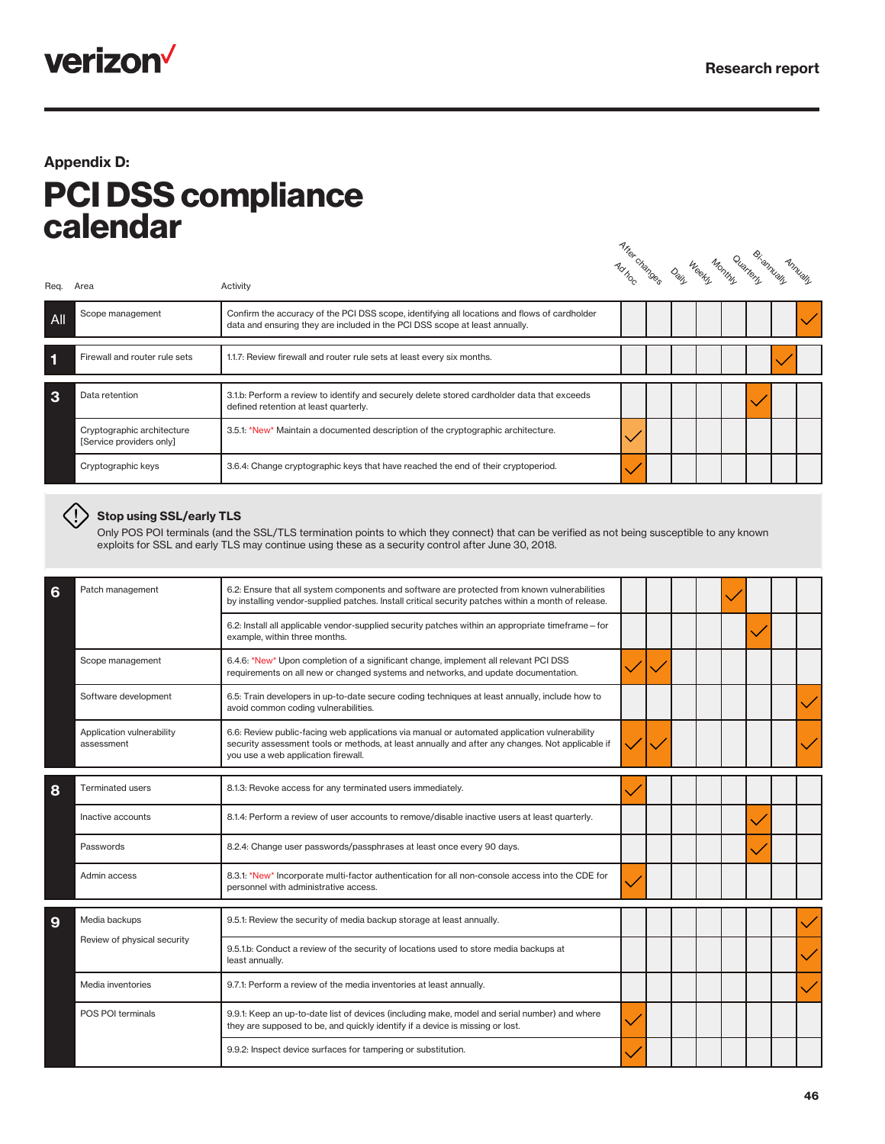

### Appendix D: PCI DSS compliance calendar

Artier changes Daily **Weekly** Quartery Annually Bi-annually

| All | Scope management                                       | Confirm the accuracy of the PCI DSS scope, identifying all locations and flows of cardholder<br>data and ensuring they are included in the PCI DSS scope at least annually. |  |  |  |  |
|-----|--------------------------------------------------------|-----------------------------------------------------------------------------------------------------------------------------------------------------------------------------|--|--|--|--|
|     | Firewall and router rule sets                          | 1.1.7: Review firewall and router rule sets at least every six months.                                                                                                      |  |  |  |  |
| 3   | Data retention                                         | 3.1.b: Perform a review to identify and securely delete stored cardholder data that exceeds<br>defined retention at least quarterly.                                        |  |  |  |  |
|     | Cryptographic architecture<br>[Service providers only] | 3.5.1: *New* Maintain a documented description of the cryptographic architecture.                                                                                           |  |  |  |  |
|     | Cryptographic keys                                     | 3.6.4: Change cryptographic keys that have reached the end of their cryptoperiod.                                                                                           |  |  |  |  |

#### $\langle \cdot | \cdot \rangle$  Stop using SSL/early TLS

Req. Area **Activity** 

Only POS POI terminals (and the SSL/TLS termination points to which they connect) that can be verified as not being susceptible to any known exploits for SSL and early TLS may continue using these as a security control after June 30, 2018.

| 6 | Patch management                        | 6.2: Ensure that all system components and software are protected from known vulnerabilities<br>by installing vendor-supplied patches. Install critical security patches within a month of release.                                     |  |  |  |  |
|---|-----------------------------------------|-----------------------------------------------------------------------------------------------------------------------------------------------------------------------------------------------------------------------------------------|--|--|--|--|
|   |                                         | 6.2: Install all applicable vendor-supplied security patches within an appropriate timeframe – for<br>example, within three months.                                                                                                     |  |  |  |  |
|   | Scope management                        | 6.4.6: *New* Upon completion of a significant change, implement all relevant PCI DSS<br>requirements on all new or changed systems and networks, and update documentation.                                                              |  |  |  |  |
|   | Software development                    | 6.5: Train developers in up-to-date secure coding techniques at least annually, include how to<br>avoid common coding vulnerabilities.                                                                                                  |  |  |  |  |
|   | Application vulnerability<br>assessment | 6.6: Review public-facing web applications via manual or automated application vulnerability<br>security assessment tools or methods, at least annually and after any changes. Not applicable if<br>you use a web application firewall. |  |  |  |  |
| 8 | <b>Terminated users</b>                 | 8.1.3: Revoke access for any terminated users immediately.                                                                                                                                                                              |  |  |  |  |
|   | Inactive accounts                       | 8.1.4: Perform a review of user accounts to remove/disable inactive users at least quarterly.                                                                                                                                           |  |  |  |  |
|   | Passwords                               | 8.2.4: Change user passwords/passphrases at least once every 90 days.                                                                                                                                                                   |  |  |  |  |
|   | Admin access                            | 8.3.1: *New* Incorporate multi-factor authentication for all non-console access into the CDE for<br>personnel with administrative access.                                                                                               |  |  |  |  |
| 9 | Media backups                           | 9.5.1: Review the security of media backup storage at least annually.                                                                                                                                                                   |  |  |  |  |
|   | Review of physical security             | 9.5.1.b: Conduct a review of the security of locations used to store media backups at<br>least annually.                                                                                                                                |  |  |  |  |
|   | Media inventories                       | 9.7.1: Perform a review of the media inventories at least annually.                                                                                                                                                                     |  |  |  |  |
|   | POS POI terminals                       | 9.9.1: Keep an up-to-date list of devices (including make, model and serial number) and where<br>they are supposed to be, and quickly identify if a device is missing or lost.                                                          |  |  |  |  |
|   |                                         | 9.9.2: Inspect device surfaces for tampering or substitution.                                                                                                                                                                           |  |  |  |  |
|   |                                         |                                                                                                                                                                                                                                         |  |  |  |  |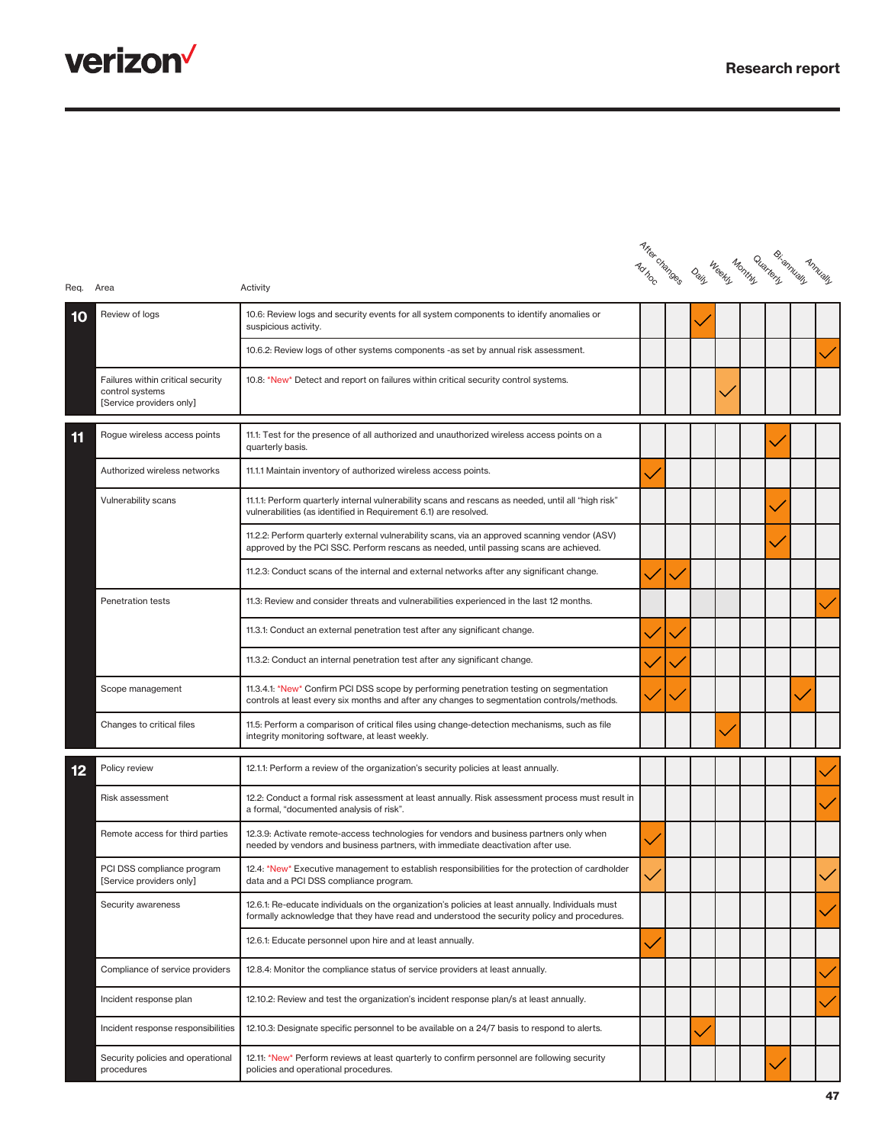

| Req. Area |                                                                                  | Activity                                                                                                                                                                                         | A free-blandes | Dain | weekli uwa gelenguaran di |  | Annually |
|-----------|----------------------------------------------------------------------------------|--------------------------------------------------------------------------------------------------------------------------------------------------------------------------------------------------|----------------|------|---------------------------|--|----------|
| 10        | Review of logs                                                                   | 10.6: Review logs and security events for all system components to identify anomalies or<br>suspicious activity.                                                                                 |                |      |                           |  |          |
|           |                                                                                  | 10.6.2: Review logs of other systems components -as set by annual risk assessment.                                                                                                               |                |      |                           |  |          |
|           | Failures within critical security<br>control systems<br>[Service providers only] | 10.8: *New* Detect and report on failures within critical security control systems.                                                                                                              |                |      |                           |  |          |
| 11        | Rogue wireless access points                                                     | 11.1: Test for the presence of all authorized and unauthorized wireless access points on a<br>quarterly basis.                                                                                   |                |      |                           |  |          |
|           | Authorized wireless networks                                                     | 11.1.1 Maintain inventory of authorized wireless access points.                                                                                                                                  |                |      |                           |  |          |
|           | Vulnerability scans                                                              | 11.1.1: Perform quarterly internal vulnerability scans and rescans as needed, until all "high risk"<br>vulnerabilities (as identified in Requirement 6.1) are resolved.                          |                |      |                           |  |          |
|           |                                                                                  | 11.2.2: Perform quarterly external vulnerability scans, via an approved scanning vendor (ASV)<br>approved by the PCI SSC. Perform rescans as needed, until passing scans are achieved.           |                |      |                           |  |          |
|           |                                                                                  | 11.2.3: Conduct scans of the internal and external networks after any significant change.                                                                                                        |                |      |                           |  |          |
|           | <b>Penetration tests</b>                                                         | 11.3: Review and consider threats and vulnerabilities experienced in the last 12 months.                                                                                                         |                |      |                           |  |          |
|           |                                                                                  | 11.3.1: Conduct an external penetration test after any significant change.                                                                                                                       |                |      |                           |  |          |
|           |                                                                                  | 11.3.2: Conduct an internal penetration test after any significant change.                                                                                                                       |                |      |                           |  |          |
|           | Scope management                                                                 | 11.3.4.1: *New* Confirm PCI DSS scope by performing penetration testing on segmentation<br>controls at least every six months and after any changes to segmentation controls/methods.            |                |      |                           |  |          |
|           | Changes to critical files                                                        | 11.5: Perform a comparison of critical files using change-detection mechanisms, such as file<br>integrity monitoring software, at least weekly.                                                  |                |      |                           |  |          |
| 12        | Policy review                                                                    | 12.1.1: Perform a review of the organization's security policies at least annually.                                                                                                              |                |      |                           |  |          |
|           | Risk assessment                                                                  | 12.2: Conduct a formal risk assessment at least annually. Risk assessment process must result in<br>a formal, "documented analysis of risk".                                                     |                |      |                           |  |          |
|           | Remote access for third parties                                                  | 12.3.9: Activate remote-access technologies for vendors and business partners only when<br>needed by vendors and business partners, with immediate deactivation after use.                       |                |      |                           |  |          |
|           | PCI DSS compliance program<br>[Service providers only]                           | 12.4: *New* Executive management to establish responsibilities for the protection of cardholder<br>data and a PCI DSS compliance program.                                                        |                |      |                           |  |          |
|           | Security awareness                                                               | 12.6.1: Re-educate individuals on the organization's policies at least annually. Individuals must<br>formally acknowledge that they have read and understood the security policy and procedures. |                |      |                           |  |          |
|           |                                                                                  | 12.6.1: Educate personnel upon hire and at least annually.                                                                                                                                       |                |      |                           |  |          |
|           | Compliance of service providers                                                  | 12.8.4: Monitor the compliance status of service providers at least annually.                                                                                                                    |                |      |                           |  |          |
|           | Incident response plan                                                           | 12.10.2: Review and test the organization's incident response plan/s at least annually.                                                                                                          |                |      |                           |  |          |
|           | Incident response responsibilities                                               | 12.10.3: Designate specific personnel to be available on a 24/7 basis to respond to alerts.                                                                                                      |                |      |                           |  |          |
|           | Security policies and operational<br>procedures                                  | 12.11: *New* Perform reviews at least quarterly to confirm personnel are following security<br>policies and operational procedures.                                                              |                |      |                           |  |          |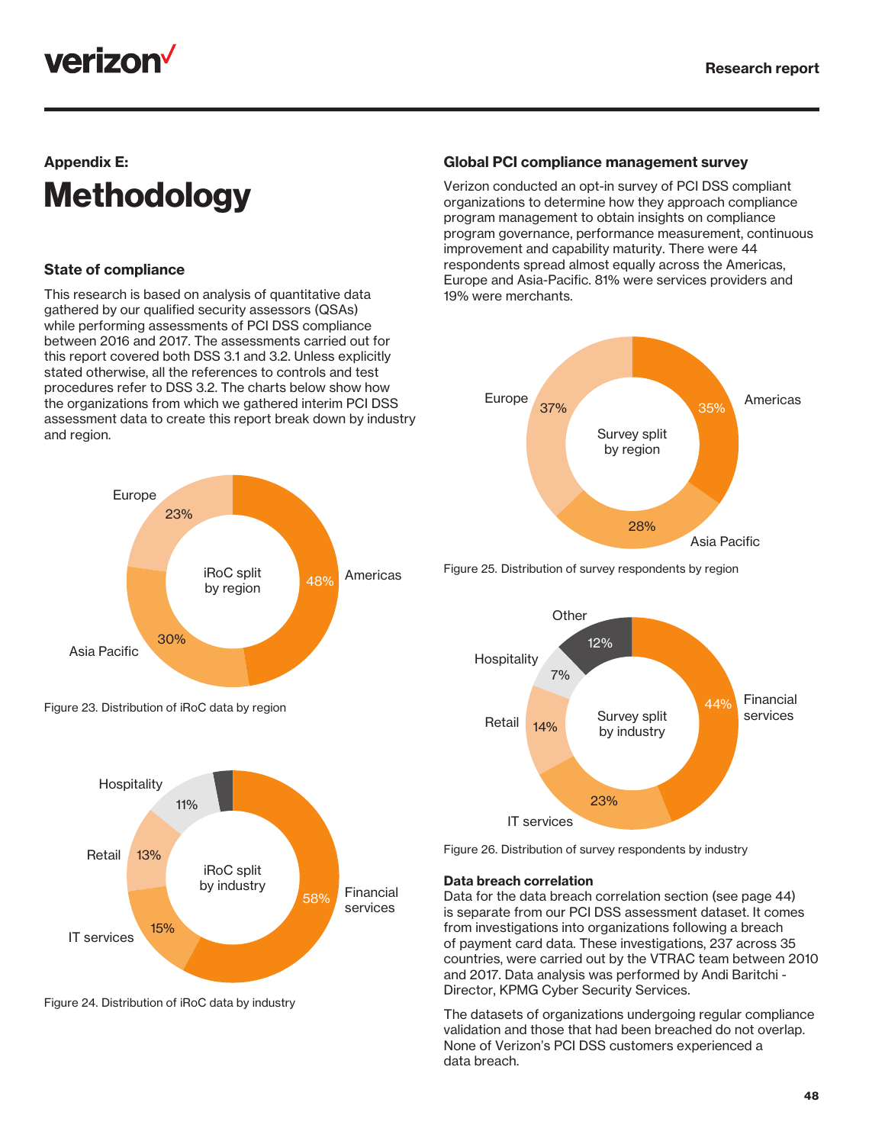## <u>verizon<sup>v</sup></u>

### Appendix E: **Methodology**

### State of compliance

This research is based on analysis of quantitative data gathered by our qualified security assessors (QSAs) while performing assessments of PCI DSS compliance between 2016 and 2017. The assessments carried out for this report covered both DSS 3.1 and 3.2. Unless explicitly stated otherwise, all the references to controls and test procedures refer to DSS 3.2. The charts below show how the organizations from which we gathered interim PCI DSS assessment data to create this report break down by industry and region.





Figure 24. Distribution of iRoC data by industry

#### Global PCI compliance management survey

Verizon conducted an opt-in survey of PCI DSS compliant organizations to determine how they approach compliance program management to obtain insights on compliance program governance, performance measurement, continuous improvement and capability maturity. There were 44 respondents spread almost equally across the Americas, Europe and Asia-Pacific. 81% were services providers and 19% were merchants.



Figure 25. Distribution of survey respondents by region



Figure 26. Distribution of survey respondents by industry

#### Data breach correlation

Data for the data breach correlation section (see page 44) is separate from our PCI DSS assessment dataset. It comes from investigations into organizations following a breach of payment card data. These investigations, 237 across 35 countries, were carried out by the VTRAC team between 2010 and 2017. Data analysis was performed by Andi Baritchi - Director, KPMG Cyber Security Services.

The datasets of organizations undergoing regular compliance validation and those that had been breached do not overlap. None of Verizon's PCI DSS customers experienced a data breach.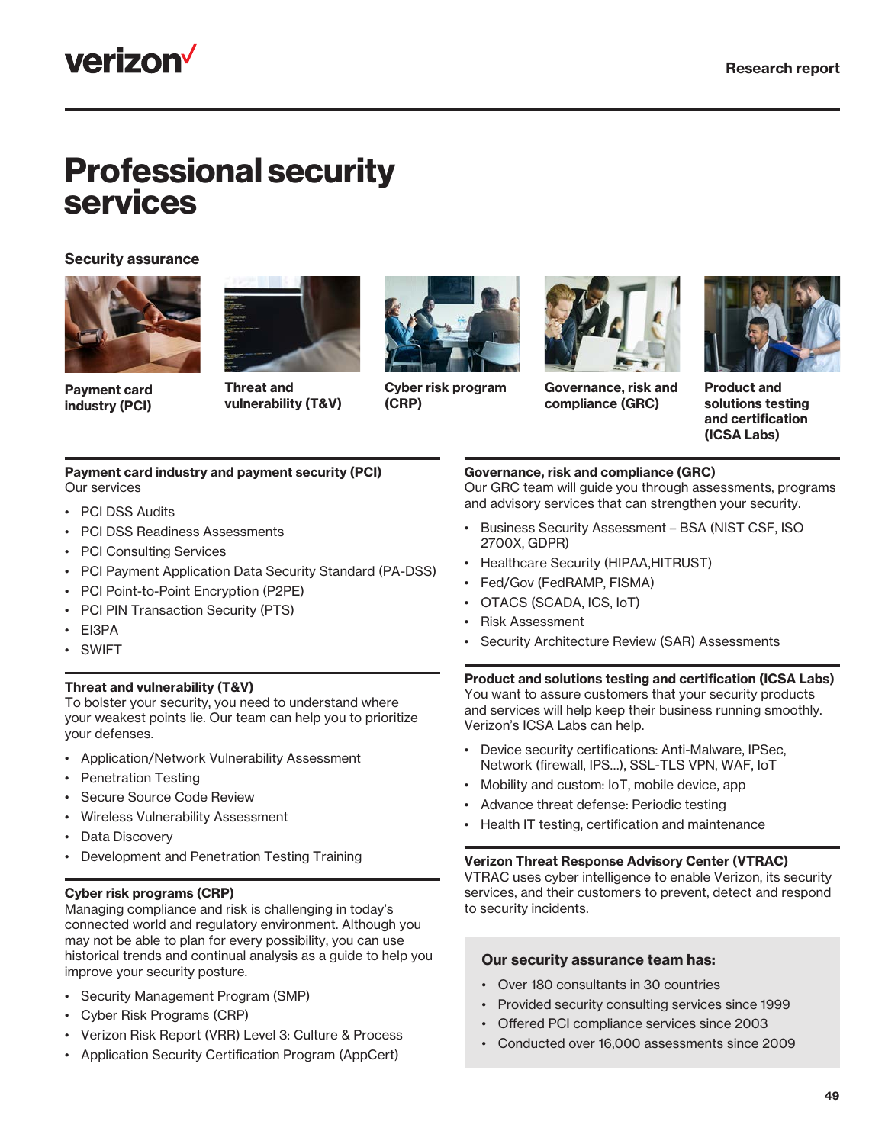

## Professional security services

#### Security assurance





Payment card industry (PCI)

Threat and vulnerability (T&V)



Cyber risk program (CRP)



Governance, risk and compliance (GRC)



Product and solutions testing and certification (ICSA Labs)

#### Payment card industry and payment security (PCI) Our services

- PCI DSS Audits
- PCI DSS Readiness Assessments
- PCI Consulting Services
- PCI Payment Application Data Security Standard (PA-DSS)
- PCI Point-to-Point Encryption (P2PE)
- PCI PIN Transaction Security (PTS)
- EI3PA
- SWIFT

#### Threat and vulnerability (T&V)

To bolster your security, you need to understand where your weakest points lie. Our team can help you to prioritize your defenses.

- Application/Network Vulnerability Assessment
- Penetration Testing
- Secure Source Code Review
- Wireless Vulnerability Assessment
- Data Discovery
- Development and Penetration Testing Training

#### Cyber risk programs (CRP)

Managing compliance and risk is challenging in today's connected world and regulatory environment. Although you may not be able to plan for every possibility, you can use historical trends and continual analysis as a guide to help you improve your security posture.

- Security Management Program (SMP)
- Cyber Risk Programs (CRP)
- Verizon Risk Report (VRR) Level 3: Culture & Process
- Application Security Certification Program (AppCert)

#### Governance, risk and compliance (GRC)

Our GRC team will guide you through assessments, programs and advisory services that can strengthen your security.

- Business Security Assessment BSA (NIST CSF, ISO 2700X, GDPR)
- Healthcare Security (HIPAA,HITRUST)
- Fed/Gov (FedRAMP, FISMA)
- OTACS (SCADA, ICS, IoT)
- Risk Assessment
- Security Architecture Review (SAR) Assessments

#### Product and solutions testing and certification (ICSA Labs)

You want to assure customers that your security products and services will help keep their business running smoothly. Verizon's ICSA Labs can help.

- Device security certifications: Anti-Malware, IPSec, Network (firewall, IPS…), SSL-TLS VPN, WAF, IoT
- Mobility and custom: IoT, mobile device, app
- Advance threat defense: Periodic testing
- Health IT testing, certification and maintenance

#### Verizon Threat Response Advisory Center (VTRAC)

VTRAC uses cyber intelligence to enable Verizon, its security services, and their customers to prevent, detect and respond to security incidents.

#### Our security assurance team has:

- Over 180 consultants in 30 countries
- Provided security consulting services since 1999
- Offered PCI compliance services since 2003
- Conducted over 16,000 assessments since 2009